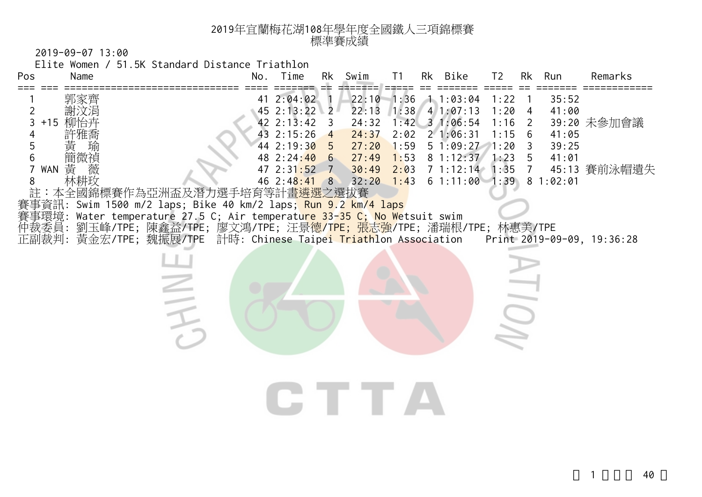2019-09-07 13:00

Elite Women / 51.5K Standard Distance Triathlon

| Pos<br>Name                                                                                                                                                                                                                                                                                                       |                                                                                                                   | No. | Time                                                                                                                           | Rk        | Swim                                                               | T <sub>1</sub>                                       | Rk Bike                                                                                                                                        | T <sub>2</sub>                               | <b>Rk</b>                                                                         | Run                                                   | Remarks                                                   |
|-------------------------------------------------------------------------------------------------------------------------------------------------------------------------------------------------------------------------------------------------------------------------------------------------------------------|-------------------------------------------------------------------------------------------------------------------|-----|--------------------------------------------------------------------------------------------------------------------------------|-----------|--------------------------------------------------------------------|------------------------------------------------------|------------------------------------------------------------------------------------------------------------------------------------------------|----------------------------------------------|-----------------------------------------------------------------------------------|-------------------------------------------------------|-----------------------------------------------------------|
| 郭家齊<br>$\overline{2}$<br>謝汶涓<br>3<br>+15 柳<br>5<br>6<br>WAN 黃<br>7<br>林耕玫<br>8<br>賽事資訊: Swim 1500 m/2 laps; Bike 40 km/2 laps; Run 9.2 km/4 laps<br>事環境:<br>仲裁委員: 劉玉峰/TPE; 陳鑫益/TPE; 廖文鴻/TPE; 汪景 <mark>德/TPE; 張志強</mark> /TPE; 潘瑞根/TPE; 林惠美/TPE<br>正副裁判: 黃金宏/TPE; 魏振展/TPE 計時: Chinese Taipei Triathlon Association | 註:本全國錦標賽作為亞洲盃及潛力選手培育等計畫 <mark>遴選之選拔賽</mark><br>Water temperature 27.5 C; Air temperature 33-35 C; No Wetsuit swim |     | 41 2:04:02<br>45 2:13:22 2<br>$42 \t2:13:42$<br>43 2:15:26 4<br>44 2:19:30 5<br>48 2:24:40 6<br>$47 \t2:31:52$<br>46 2:48:41 8 | 3<br>$-7$ | $22:10$ 1:36<br>22:13<br>24:32<br>24:37<br>27:20<br>27:49<br>30:49 | 1:38<br>2:02<br>1:59<br>1:53<br>2:03<br>$32:20$ 1:43 | 11:03:04<br>41:07:13<br>$1:42 \quad 3 \quad 1:06:54$<br>$2\;1:06:31$<br>51:09:271:20<br>81:12:37<br>71:12:14<br>$6\text{ }1:11:00\text{ }1:39$ | 1:22<br>1:20<br>1:16<br>1:15<br>1:23<br>1:35 | $\overline{4}$<br>$\overline{2}$<br>6<br>$\overline{3}$<br>$-5$<br>$\overline{7}$ | 35:52<br>41:00<br>41:05<br>39:25<br>41:01<br>81:02:01 | 39:20 未參加會議<br>45:13 賽前泳帽遺失<br>Print 2019-09-09, 19:36:28 |
|                                                                                                                                                                                                                                                                                                                   |                                                                                                                   |     |                                                                                                                                |           | TT T                                                               |                                                      |                                                                                                                                                |                                              |                                                                                   |                                                       |                                                           |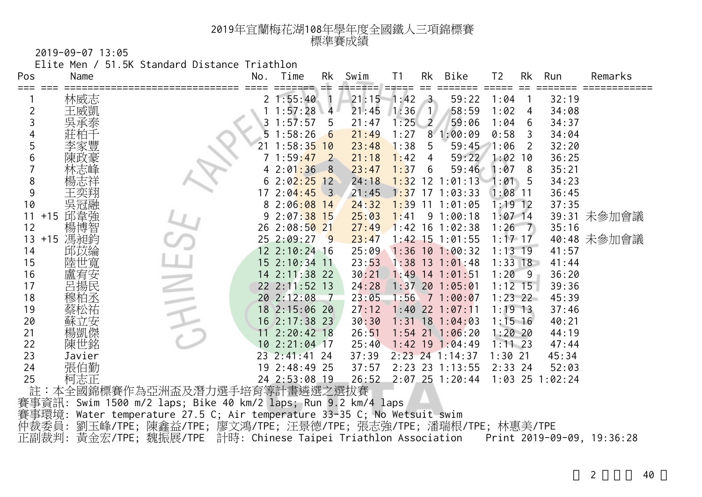2019-09-07 13:05

Elite Men / 51.5K Standard Distance Triathlon

| Pos | Name           |                                                                                   | No. | Time                     | Rk                         | Swim                                     | T <sub>1</sub>   | Rk              | Bike                | T <sub>2</sub> | Rk | Run                 | Remarks                    |
|-----|----------------|-----------------------------------------------------------------------------------|-----|--------------------------|----------------------------|------------------------------------------|------------------|-----------------|---------------------|----------------|----|---------------------|----------------------------|
| ⋍⋍⋍ | 林威志            |                                                                                   |     | 21:55:40                 | ≕                          | 21:15                                    | =====<br>$-1:42$ | $-3$            | 59:22               | 1:04           |    | 32:19               |                            |
| 2   | 王威凱            |                                                                                   |     | 1:57:28                  | 4                          | 21:45                                    | $1:36$ 1         |                 | 58:59               | 1:02           | 4  | 34:08               |                            |
| 3   | 吳承泰            |                                                                                   | 3   | 1:57:57                  | 5                          | 21:47                                    | 1:25             | $\overline{2}$  | 59:06               | 1:04           | 6  | 34:37               |                            |
| 4   |                |                                                                                   |     | 1:58:26                  | 6                          | 21:49                                    | 1:27             |                 | 81:00:09            | 0:58           | 3  | 34:04               |                            |
| 5   |                |                                                                                   |     | $1:58:35$ 10             |                            | 23:48                                    | 1:38             | 5               | 59:45               | 1:06           | 2  | 32:20               |                            |
| 6   |                |                                                                                   |     | 1:59:47                  | $\overline{2}$             | 21:18                                    | 1:42             | $\overline{4}$  | 59:22               | $1:02$ 10      |    | 36:25               |                            |
|     |                |                                                                                   |     | 2:01:36                  | $-8$                       | 23:47                                    | 1:37             | $6\overline{6}$ | 59:46               | 1:07           | -8 | 35:21               |                            |
| 8   |                |                                                                                   |     | $2:02:25$ 12             |                            | 24:18                                    |                  |                 | $1:32$ 12 1:01:13   | $1:01$ 5       |    | 34:23               |                            |
| 9   |                |                                                                                   |     | 17 2:0 <mark>4:45</mark> | $\overline{\phantom{a}}$ 3 | 21:45                                    | $1:37$ 17        |                 | 1:03:33             | $1:08$ 11      |    | 36:45               |                            |
| 10  |                |                                                                                   |     | 82:06:0814               |                            | 24:32                                    |                  |                 | $1:39$ 11 1:01:05   | $1:19$ 12      |    | 37:35               |                            |
| 11  | $+15$<br>邱韋強   |                                                                                   |     | $2:07:38$ 15             |                            | 25:03                                    | 1:41             | 9               | 1:00:18             | $1:07$ 14      |    |                     | 39:31 未參加會議                |
| 12  | 楊博智            |                                                                                   |     | 26 2:08:50 21            |                            | 27:49                                    |                  |                 | $1:42$ 16 1:02:38   | $1:26 \quad 7$ |    | 35:16               |                            |
| 13  | +15 馮昶鈞        |                                                                                   |     | $25$ $2:09:27$ 9         |                            | 23:47                                    |                  |                 | $1:42$ 15 1:01:55   | $1:17$ 17      |    |                     | 40:48 未參加會議                |
| 14  |                |                                                                                   |     | 12 2:10:24 16            |                            | 25:09                                    |                  |                 | $1:36$ 10 1:00:32   | $1:13$ 19      |    | 41:57               |                            |
| 15  |                |                                                                                   |     | 15 2:10:34 11            |                            | 23:53                                    |                  |                 | $1:38$ 13 1:01:48   | $1:33$ 18      |    | 41:44               |                            |
| 16  |                |                                                                                   |     | 14 2:11:38 22            |                            | 30:21                                    |                  |                 | $1:49$ 14 1:01:51   | 1:20 9         |    | 36:20               |                            |
| 17  | 営揚民            |                                                                                   |     | 22 2:11:52 13            |                            | 24:28                                    |                  |                 | $1:37$ 20 1:05:01   | $1:12$ 15      |    | 39:36               |                            |
| 18  |                |                                                                                   |     | 20 2:12:08               | 7                          | 23:05                                    |                  |                 | $1:56$ 7 1:00:07    | $1:23$ 22      |    | 45:39               |                            |
| 19  |                |                                                                                   |     | 18 2:15:06 20            |                            | 27:12                                    |                  |                 | $1:40$ 22 1:07:11   | $1:19$ 13      |    | 37:46               |                            |
| 20  |                |                                                                                   |     | 16 2:17:38 23            |                            | 30:30                                    |                  |                 | $1:31$ 18 1:04:03   | $1:15$ 16      |    | 40:21               |                            |
| 21  |                |                                                                                   |     | 11 2:20:42 18            |                            | 26:51                                    |                  |                 | $1:54$ 21 $1:06:20$ | $1:20$ 20      |    | 44:19               |                            |
| 22  | 陳世銘            |                                                                                   |     | 10 2:21:04 17            |                            | 25:40                                    |                  |                 | $1:42$ 19 1:04:49   | $1:11$ 23      |    | 47:44               |                            |
| 23  | Javier         |                                                                                   |     | 23 2:41:41 24            |                            | 37:39                                    |                  |                 | $2:23$ 24 1:14:37   | $1:30$ 21      |    | 45:34               |                            |
| 24  | 張伯勤            |                                                                                   |     | 19 2:48:49 25            |                            | 37:57                                    |                  |                 | 2:23 23 1:13:55     | $2:33$ 24      |    | 52:03               |                            |
| 25  | 柯志正            |                                                                                   |     | 24 2:53:08 19            |                            | 26:52                                    |                  |                 | $2:07$ 25 1:20:44   |                |    | $1:03$ 25 $1:02:24$ |                            |
| 註   |                | 本全國錦標賽作為亞洲盃及潛力選手培育等計畫遴選之選拔賽                                                       |     |                          |                            |                                          |                  |                 |                     |                |    |                     |                            |
|     | 賽事資訊:          | Swim 1500 m/2 laps; Bike 40 km/2 laps; Run 9.2 km/4 laps                          |     |                          |                            |                                          |                  |                 |                     |                |    |                     |                            |
| 賽   | 事環境:           | Water temperature 27.5 C; Air temperature 33-35 C; No Wetsuit swim                |     |                          |                            |                                          |                  |                 |                     |                |    |                     |                            |
|     | 仲裁委員:<br>正副裁判: | 劉玉峰/TPE; 陳鑫益/TPE; 廖文鴻/TPE; 汪景德/TPE; 張志強/TPE; 潘瑞根/TPE; 林惠美/TPE<br>黃金宏/TPE; 魏振展/TPE |     |                          |                            | 計時: Chinese Taipei Triathlon Association |                  |                 |                     |                |    |                     | Print 2019-09-09, 19:36:28 |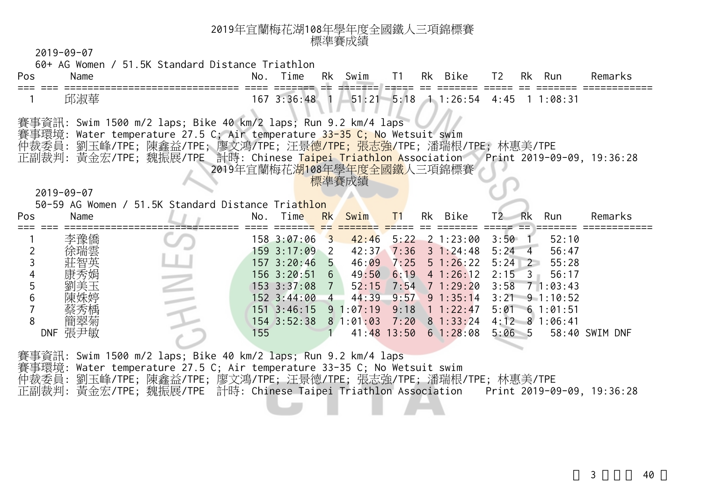2019-09-07

60+ AG Women / 51.5K Standard Distance Triathlon

| Pos      | Name  | No. | $\tau$ ime                      | <b>Rk</b> | Swim                | $\sim$ | Rk | <b>Bike</b> | T <sub>2</sub> | Rk | Run      | emar |
|----------|-------|-----|---------------------------------|-----------|---------------------|--------|----|-------------|----------------|----|----------|------|
| __<br>-- | アントロ士 | 67  | $\Lambda$ O<br>$\sim$<br>$\sim$ |           | 51.21<br>. <u>.</u> | 5.18   |    | : 26:54     | 4:45           |    | 31:08:31 | ____ |

賽事資訊: Swim 1500 m/2 laps; Bike 40 km/2 laps; Run 9.2 km/4 laps

事環境: Water temperature 27.5 C; Air temperature <mark>33-35 C; No</mark> Wetsuit swim

仲裁委員: 劉玉峰/TPE; 陳鑫益/TPE; 廖文鴻/TPE; 汪景<mark>德/TPE; 張志強</mark>/TPE; 潘瑞根/TPE; 林惠美/TPE

正副裁判: 黃金宏/TPE; 魏振展/TPE 計時: Chinese Taipei Triathlon Association Print 2019-09-09, 19:36:28 2019年宜蘭梅花湖108年學年度全國鐵人三項錦標賽

標準賽成績

2019-09-07

50-59 AG Women / 51.5K Standard Distance Triathlon

| Pos | Name              |        | No. | Time                | <b>Rk</b> | Swim     |      | <b>Bike</b><br>Rk            | T2.<br>Rk<br>Run             | Remarks    |
|-----|-------------------|--------|-----|---------------------|-----------|----------|------|------------------------------|------------------------------|------------|
|     | 李豫僑               |        |     | $158$ $3:07:06$     |           |          |      | $42:46$ 5:22 2 1:23:00       | 52:10<br>3:50                |            |
|     |                   |        |     | 159 3:17:09         |           | 42:37    | 7:36 | $3 \t1:24:48$                | 56:47<br>5:24                |            |
|     | 芏智英               |        |     | $157 \t3:20:46$     |           | 46:09    |      | $7:25 \quad 5 \quad 1:26:22$ | 55:28<br>5:24<br>2           |            |
|     | 康秀娟               |        |     | $156 \ \ 3:20:51$   | 6         | 49:50    | 6:19 | 4 1:26:12                    | 56:17<br>2:15<br>3           |            |
|     | 劉美玉               |        |     | $153 \t3:37:08$     |           | 52:15    | 7:54 | 71:29:20                     | 1:03:43<br>3:58              |            |
| b   | 陳姝婷               | $\geq$ |     | $152 \cdot 3:44:00$ |           | 44:39    | 9:57 | $9 \; 1:35:14$               | $3:21 \quad 9 \quad 1:10:52$ |            |
|     |                   |        |     | $151 \ \ 3:46:15$   | 9.        | 1:07:19  | 9:18 | $1 \; 1:22:47$               | 5:01<br>61:01:51             |            |
|     | 簡翠萊               |        |     | $154$ 3:52:38       |           | 81:01:03 | 7:20 | $8 \; 1:33:24$               | 81:06:41<br>4:12             |            |
|     | 張尹敏<br><b>DNF</b> |        | 155 |                     |           |          |      | 41:48 13:50 6 1:28:08        | 58:40 SWIM<br>$5:06$ 5       | <b>DNF</b> |

賽事資訊: Swim 1500 m/2 laps; Bike 40 km/2 laps; Run 9.2 km/4 laps 賽事環境: Water temperature 27.5 C; Air temperature 33-35 C; No Wetsuit swim 仲裁委員: 劉玉峰/TPE; 陳鑫益/TPE; 廖文鴻/TPE; 汪景德/TPE; 張志強/TPE; 潘瑞根/TPE; 林惠美/TPE 正副裁判: 黃金宏/TPE; 魏振展/TPE 計時: Chinese Taipei Triathlon Association Print 2019-09-09, 19:36:28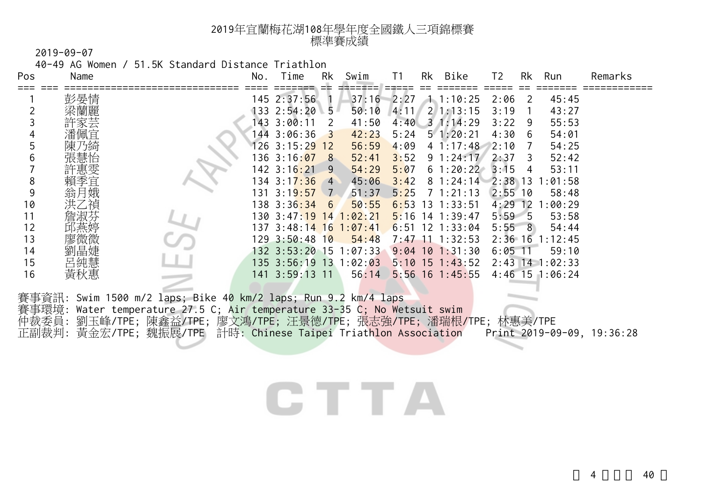40-49 AG Women / 51.5K Standard Distance Triathlon

| Pos            | Name |                                                                                      | No. | Time                                 | Rk                      | Swim  | T1   | Rk Bike                   | T <sub>2</sub> | Rk             | Run               | Remarks |
|----------------|------|--------------------------------------------------------------------------------------|-----|--------------------------------------|-------------------------|-------|------|---------------------------|----------------|----------------|-------------------|---------|
|                | 彭晏情  |                                                                                      |     | 145 2:37:56                          |                         | 37:16 | 2:27 | 1.1:10:25                 | 2:06           | 2              | 45:45             |         |
| $\overline{c}$ |      |                                                                                      |     | 133 2:54:20                          | $5 -$                   | 50:10 | 4:11 | 21:13:15                  | 3:19           |                | 43:27             |         |
| 3              |      |                                                                                      |     | 143 3:00:11                          | 2                       | 41:50 |      | $4:40$ 3 1:14:29          | 3:22           | 9              | 55:53             |         |
| 4              |      |                                                                                      |     | 144 3:06:36                          | $\overline{\mathbf{3}}$ | 42:23 |      | $5:24$ $5$ $1:20:21$      | 4:30           | -6             | 54:01             |         |
| 5              |      |                                                                                      |     | 126 3:15:29 12                       |                         | 56:59 | 4:09 | $4 \; 1:17:48$            | 2:10           | 7              | 54:25             |         |
| 6              |      |                                                                                      |     | 136 3:16:07                          | 8                       | 52:41 | 3:52 | $9 \t1:24:17$             | $2:37 \quad 3$ |                | 52:42             |         |
|                |      |                                                                                      |     | $142$ 3:16:21                        | 9                       | 54:29 | 5:07 | 61:20:22                  | 3:15           | $\overline{4}$ | 53:11             |         |
| 8              | 賴季宜  |                                                                                      |     | $134$ 3:17:36 4                      |                         | 45:06 | 3:42 | 8 1:24:14 2:38 13 1:01:58 |                |                |                   |         |
| 9              | 「娥   |                                                                                      |     | 131 3:19:57                          | $\sqrt{7}$              | 51:37 | 5:25 | 71:21:13                  | $2:55$ 10      |                | 58:48             |         |
| 10             | 乙禎   |                                                                                      |     | 138 3:36:34 6                        |                         | 50:55 |      | $6:53$ 13 1:33:51         |                |                | 4:29 12 1:00:29   |         |
| 11             |      |                                                                                      |     | 130 3:47: <mark>19 14 1:02:21</mark> |                         |       |      | $5:16$ 14 1:39:47         | $5:59$ 5       |                | 53:58             |         |
| 12             |      |                                                                                      |     | 137 3:48:14 16 1:07:41               |                         |       |      | $6:51$ 12 1:33:04         | 5:558          |                | 54:44             |         |
| 13             |      |                                                                                      |     | 129 3:50:48 10                       |                         | 54:48 |      | $7:47$ 11 1:32:53         |                |                | 2:36 16 1:12:45   |         |
| 14             |      |                                                                                      |     | 132 3:53:20 15 1:07:33               |                         |       |      | $9:04$ 10 1:31:30         | $6:05$ 11      |                | 59:10             |         |
| 15             | 呂純慧  |                                                                                      |     | 135 3:56:19 13 1:02:03               |                         |       |      | $5:10$ 15 1:43:52         |                |                | $2:43$ 14 1:02:33 |         |
| 16             | 黃秋惠  |                                                                                      |     | 141 3:59:13 11                       |                         |       |      | 56:14 5:56 16 1:45:55     |                |                | 4:46 15 1:06:24   |         |
|                |      |                                                                                      |     |                                      |                         |       |      |                           |                |                |                   |         |
|                |      | 賽事資訊: Swim 1500 m/2 laps; Bike 40 km/2 laps; Run 9.2 km/4 laps                       |     |                                      |                         |       |      |                           |                |                |                   |         |
|                |      | 賽事環境: Water temperature 27.5 C; Air temperature 33-35 C; No Wetsuit swim             |     |                                      |                         |       |      |                           |                |                |                   |         |
| 仲裁委員:          |      | 劉玉峰/TPE; 陳鑫益/TPE; 廖文鴻/TPE; 汪景德/TPE; 張志強/TPE; 潘瑞根/TPE; 林惠美/TPE                        |     |                                      |                         |       |      |                           |                |                |                   |         |
| 正副裁判:          |      | 黃金宏/TPE; 魏振展/TPE 計時: Chinese Taipei Triathlon Association Print 2019-09-09, 19:36:28 |     |                                      |                         |       |      |                           |                |                |                   |         |
|                |      |                                                                                      |     |                                      |                         |       |      |                           |                |                |                   |         |
|                |      |                                                                                      |     |                                      |                         |       |      |                           |                |                |                   |         |
|                |      |                                                                                      |     |                                      |                         |       |      |                           |                |                |                   |         |
|                |      |                                                                                      |     |                                      |                         |       |      |                           |                |                |                   |         |
|                |      |                                                                                      |     |                                      |                         |       |      |                           |                |                |                   |         |
|                |      |                                                                                      |     |                                      |                         |       |      |                           |                |                |                   |         |
|                |      |                                                                                      |     |                                      |                         |       |      |                           |                |                |                   |         |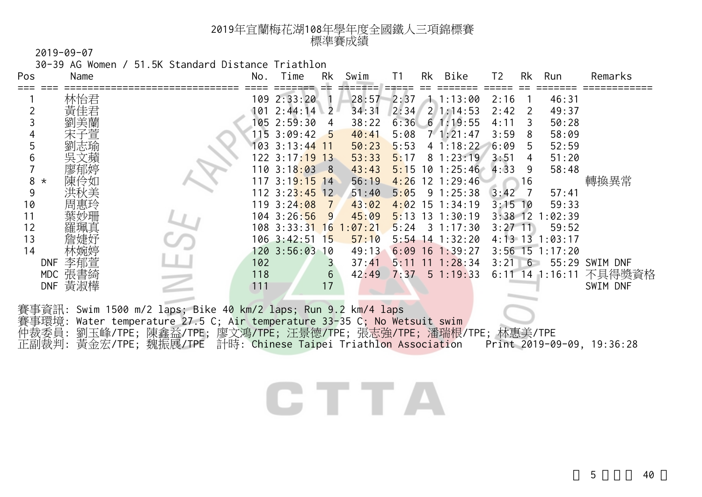2019-09-07

30-39 AG Women / 51.5K Standard Distance Triathlon

| Pos                                                                                        | Name                             |                                                                                                                                                                                                                                                                          | No.               | Time                                                                                                                                                                                                                                                     | Rk                                                                                                              | Swim                                                                                                                                | T1                                           | Rk Bike                                                                                                                                                                                                                                                                                               | T <sub>2</sub>                                                                                 | Rk                                                       | Run                                                                                                                                                                    | Remarks                                      |
|--------------------------------------------------------------------------------------------|----------------------------------|--------------------------------------------------------------------------------------------------------------------------------------------------------------------------------------------------------------------------------------------------------------------------|-------------------|----------------------------------------------------------------------------------------------------------------------------------------------------------------------------------------------------------------------------------------------------------|-----------------------------------------------------------------------------------------------------------------|-------------------------------------------------------------------------------------------------------------------------------------|----------------------------------------------|-------------------------------------------------------------------------------------------------------------------------------------------------------------------------------------------------------------------------------------------------------------------------------------------------------|------------------------------------------------------------------------------------------------|----------------------------------------------------------|------------------------------------------------------------------------------------------------------------------------------------------------------------------------|----------------------------------------------|
| $\overline{c}$<br>5<br>6<br>8<br>$^\star$<br>9<br>10<br>11<br>12<br>13<br>14<br><b>DNF</b> | 林怡君<br>李郁萱<br>MDC 張書綺<br>DNF 黄淑樺 |                                                                                                                                                                                                                                                                          | 102<br>118<br>111 | 109 2:33:20<br>$101 \t2:44:14$<br>105 2:59:30<br>115 3:09:42<br>103 3:13:44 11<br>122 3:17:19 13<br>110.3:18:03<br>$117 \ \ 3:19:15$<br>$112$ $3:23:45$ 12<br>119 3:24:08<br>104 3:26:56<br>108 3:33:31 16 1:07:21<br>$106$ 3:42:51 15<br>120 3:56:03 10 | $\overline{2}$<br>$\overline{4}$<br>5<br>-8<br>14<br>$\overline{\mathcal{L}}$<br>9 <sub>o</sub><br>3<br>6<br>17 | 28:57<br>34:31<br>38:22<br>40:41<br>50:23<br>53:33<br>43:43<br>56:19<br>51:40<br>43:02<br>45:09<br>57:10<br>49:13<br>37:41<br>42:49 | 2:37<br>5:08<br>5:53<br>5:17<br>5:05<br>7:37 | 1.1:13:00<br>$2:34$ 2 1:14:53<br>$6:36$ 6 1:19:55<br>$7 \t1:21:47$<br>4 1:18:22<br>81:23:19<br>$5:15$ 10 1:25:46<br>$4:26$ 12 1:29:46<br>$9 \; 1:25:38$<br>$4:02$ 15 1:34:19<br>$5:13$ 13 1:30:19<br>$5:24$ 3 1:17:30<br>$5:54$ 14 1:32:20<br>$6:09$ 16 1:39:27<br>$5:11$ 11 1:28:34<br>$5 \t1:19:33$ | 2:16<br>2:42<br>4:11<br>3:59<br>6:09<br>3:51<br>4:33<br>3:42<br>$3:15$ 10<br>$3:27$ 11<br>3:21 | 2<br>3<br>8<br>5<br>4<br>-9<br>16<br>$\overline{7}$<br>6 | 46:31<br>49:37<br>50:28<br>58:09<br>52:59<br>51:20<br>58:48<br>57:41<br>59:33<br>3:38 12 1:02:39<br>59:52<br>4:13 13 1:03:17<br>$3:56$ 15 1:17:20<br>$6:11$ 14 1:16:11 | 轉換異常<br>55:29 SWIM DNF<br>不具得獎資格<br>SWIM DNF |
| 仲裁委員:<br>正副裁判:                                                                             |                                  | 賽事資訊: Swim 1500 m/2 laps; Bike 40 km/2 laps; Run 9.2 km/4 laps<br>賽事環境: Water temperature 27.5 C; Air temperature 33-35 C; No Wetsuit swim<br>劉玉峰/TPE; 陳鑫益/TPE; 廖文鴻/TPE; 汪景德/TPE; 張志強/TPE; 潘瑞根/TPE; 林惠美/TPE<br>黃金宏/TPE; 魏振展/TPE 計時: Chinese Taipei Triathlon Association |                   |                                                                                                                                                                                                                                                          |                                                                                                                 |                                                                                                                                     |                                              |                                                                                                                                                                                                                                                                                                       |                                                                                                |                                                          |                                                                                                                                                                        | Print 2019-09-09, 19:36:28                   |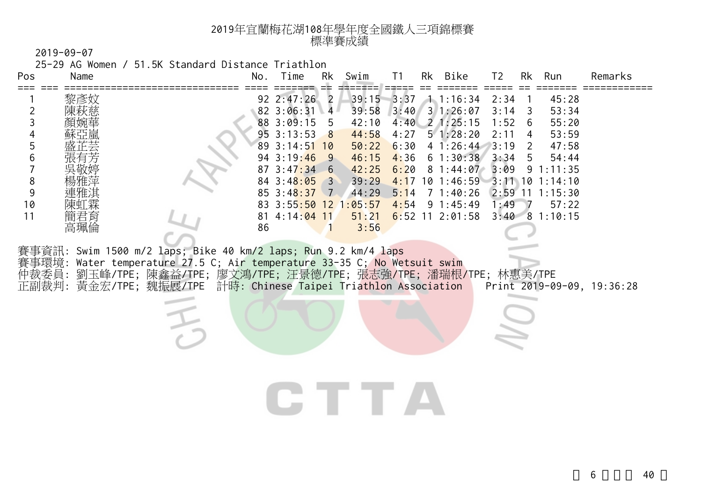2019-09-07

25-29 AG Women / 51.5K Standard Distance Triathlon

| Pos                                                           | Name              |                                                                                                                                                                                                                                                                    | No.      | Time                                                                                                                                                                               | Rk                                                                 | Swim                                                                                                    | T <sub>1</sub>                                               | Rk Bike                                                                                                                                                                           | T <sub>2</sub>                                       | <b>Rk</b>                                | Run                                                                                                                   | Remarks                    |
|---------------------------------------------------------------|-------------------|--------------------------------------------------------------------------------------------------------------------------------------------------------------------------------------------------------------------------------------------------------------------|----------|------------------------------------------------------------------------------------------------------------------------------------------------------------------------------------|--------------------------------------------------------------------|---------------------------------------------------------------------------------------------------------|--------------------------------------------------------------|-----------------------------------------------------------------------------------------------------------------------------------------------------------------------------------|------------------------------------------------------|------------------------------------------|-----------------------------------------------------------------------------------------------------------------------|----------------------------|
| $\overline{2}$<br>3<br>4<br>5<br>6<br>7<br>8<br>9<br>10<br>11 | 黎彥妏<br>簡君育<br>高珮倫 |                                                                                                                                                                                                                                                                    | 81<br>86 | 92 2:47:26<br>82 3:06:31<br>88 3:09:15<br>95 3:13:53<br>89 3:14:51 10<br>94 3:19:46<br>$87 \t3:47:34 \t6$<br>84 3:48:05<br>$85 \t3:48:37$<br>83 3:55:50 12 1:05:57<br>$4:14:04$ 11 | 2<br>$\overline{4}$<br>5<br>8<br>9<br>$\overline{3}$<br>$\sqrt{7}$ | $39:15 - 3:37$<br>39:58<br>42:10<br>44:58<br>50:22<br>46:15<br>42:25<br>39:29<br>44:29<br>51:21<br>3:56 | 3:40<br>4:40<br>4:27<br>6:30<br>4:36<br>6:20<br>5:14<br>4:54 | $1 \t1:16:34$<br>31:26:07<br>21:25:15<br>51:28:20<br>4 1:26:44 3:19<br>61:30:38<br>$8\;1:44:07$<br>$4:17$ 10 1:46:59 3:11 10 1:14:10<br>71:40:26<br>91:45:49<br>$6:52$ 11 2:01:58 | 2:34<br>3:14<br>1:52<br>2:11<br>3:34<br>3:09<br>1:49 | 3<br>6<br>4<br>$\overline{2}$<br>5<br>-7 | 45:28<br>53:34<br>55:20<br>53:59<br>47:58<br>54:44<br>$9 \t1:11:35$<br>$2:59$ 11 1:15:30<br>57:22<br>$3:40$ 8 1:10:15 |                            |
| 賽事環境:<br>仲裁委員:<br>正副裁判:                                       |                   | 賽事資訊: Swim 1500 m/2 laps; Bike 40 km/2 laps; Run 9.2 km/4 laps<br>Water temperature 27.5 C; Air temperature 33-35 C; No Wetsuit swim<br>劉玉峰/TPE; 陳鑫益/TPE; 廖文鴻/TPE; 汪景德/TPE; 張志強/TPE; 潘瑞根/TPE; 林惠美/TPE<br>黃金宏/TPE; 魏振展/TPE 計時: Chinese Taipei Triathlon Association |          |                                                                                                                                                                                    |                                                                    |                                                                                                         |                                                              |                                                                                                                                                                                   |                                                      |                                          |                                                                                                                       | Print 2019-09-09, 19:36:28 |
|                                                               |                   |                                                                                                                                                                                                                                                                    |          |                                                                                                                                                                                    |                                                                    |                                                                                                         |                                                              |                                                                                                                                                                                   |                                                      |                                          |                                                                                                                       |                            |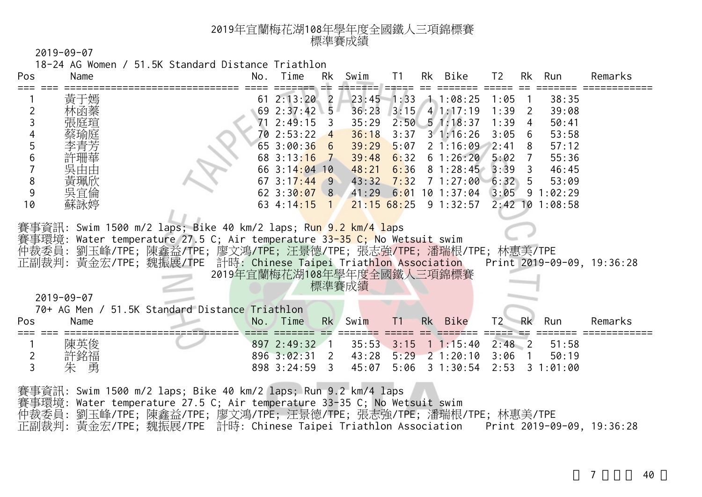2019-09-07

18-24 AG Women / 51.5K Standard Distance Triathlon

| Pos                   | Name             |                                                                                                                                                                                                                   | No. | Time                | Rk             | Swim                                | T1   | Rk Bike                                      | T <sub>2</sub> | Rk             | Run              | Remarks                    |
|-----------------------|------------------|-------------------------------------------------------------------------------------------------------------------------------------------------------------------------------------------------------------------|-----|---------------------|----------------|-------------------------------------|------|----------------------------------------------|----------------|----------------|------------------|----------------------------|
|                       | 黃于嫣              |                                                                                                                                                                                                                   |     | $61 \t2:13:20$      | 2              |                                     |      | $23:45 - 1:33 - 1:1:08:25$                   | 1:05           |                | 38:35            |                            |
| 2                     | 林函蓁              |                                                                                                                                                                                                                   |     | $69$ $2:37:42$      | 5 <sup>1</sup> | 36:23                               |      | $3:15$ 4 1:17:19                             | 1:39           | 2              | 39:08            |                            |
|                       | 妊瑁               |                                                                                                                                                                                                                   |     | 71 2:49:15          | $\overline{3}$ | 35:29                               |      | $2:50$ 5 1:18:37                             | 1:39           | 4              | 50:41            |                            |
|                       |                  |                                                                                                                                                                                                                   |     | 70 2:53:22 4        |                | 36:18                               |      | $3:37$ $3$ $1:16:26$                         | 3:05           | 6              | 53:58            |                            |
| 5                     |                  |                                                                                                                                                                                                                   |     | 65 3:00:36 6        |                | 39:29                               | 5:07 | $2\;1:16:09\;2:41$                           |                | 8              | 57:12            |                            |
| 6                     |                  |                                                                                                                                                                                                                   |     | 68 3:13:16          | $7\phantom{0}$ | 39:48                               |      | $6:32 \quad 61:26:20$                        | 5:02           | 7              | 55:36            |                            |
|                       | 吳由由              |                                                                                                                                                                                                                   |     | 663:14:0410         |                | 48:21                               |      | $6:36$ 8 1:28:45 3:39 3                      |                |                | 46:45            |                            |
| 8                     | 黃珮欣              |                                                                                                                                                                                                                   |     | $67 \cdot 3:17:44$  | 9              |                                     |      | $43:32$ $7:32$ 7 1:27:00                     | $6:32 \quad 5$ |                | 53:09            |                            |
| 9                     | 吳宜倫              |                                                                                                                                                                                                                   |     | $62 \t3:30:07 \t8$  |                |                                     |      | $41:29$ 6:01 10 1:37:04                      |                |                | $3:05$ 9 1:02:29 |                            |
|                       |                  |                                                                                                                                                                                                                   |     | 63 4:14:15 1        |                |                                     |      | $21:15$ 68:25 9 1:32:57                      |                |                | 2:42 10 1:08:58  |                            |
|                       | 蘇詠婷              | 賽事資訊: Swim 1500 m/2 laps; Bike 40 km/2 laps; Run 9.2 km/4 laps<br>賽事環境: Water temperature 27.5 C; Air temperature 33-35 C; No Wetsuit swim<br>仲裁委員: 劉玉峰/TPE; 陳鑫益/TPE; 廖文鴻/TPE; 汪景德/TPE; 張志強/TPE; 潘瑞根/TPE; 林惠美/TPE |     |                     |                |                                     |      |                                              |                |                |                  |                            |
| 10                    |                  | 正副裁判: 黃金宏/TPE; 魏振展/TPE 計時: Chinese Taipei Triathlon Association                                                                                                                                                   |     |                     |                | 2019年宜蘭梅花湖108年學年度全國鐵人三項錦標賽<br>標準賽成績 |      |                                              |                |                |                  |                            |
|                       | $2019 - 09 - 07$ |                                                                                                                                                                                                                   |     |                     |                |                                     |      |                                              |                |                |                  | Print 2019-09-09, 19:36:28 |
|                       | Name             | 70+ AG Men / 51.5K Standard Distance Triathlon                                                                                                                                                                    |     | No. Time            | Rk             | Swim                                | T1   | Rk Bike                                      | T2             | $-Rk$          | Run              | Remarks                    |
|                       |                  |                                                                                                                                                                                                                   |     | 897 2:49:32 1       |                |                                     |      |                                              | $2:48$ 2       |                | 51:58            |                            |
| Pos<br>$\overline{2}$ | 陳英俊<br>許銘福       |                                                                                                                                                                                                                   |     | $896 \t3:02:31 \t2$ |                | 43:28                               |      | $35:53$ $3:15$ 1 1:15:40<br>$5:29$ 2 1:20:10 | 3:06           | $\overline{1}$ | 50:19            |                            |

仲裁委員: 劉玉峰/TPE; 陳鑫益/TPE; 廖文鴻/TPE; 汪景德/TPE; 張志強/TPE; 潘瑞根/TPE; 林惠美/TPE

正副裁判: 黃金宏/TPE; 魏振展/TPE 計時: Chinese Taipei Triathlon Association Print 2019-09-09, 19:36:28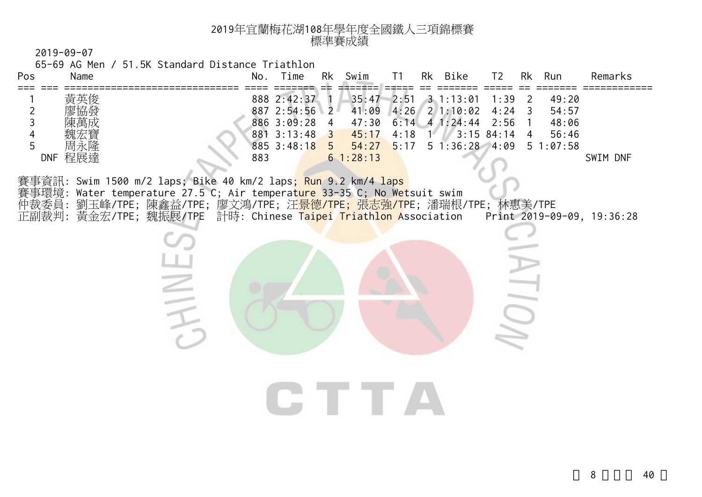2019-09-07

65-69 AG Men / 51.5K Standard Distance Triathlon

**HINT** 

| Pos | Name              |                                                                          | NO. | Time                              | Rk | Swim           |      | Rk | Bike             | T <sub>2</sub>       | Rk | Run                                                           | Remarks  |
|-----|-------------------|--------------------------------------------------------------------------|-----|-----------------------------------|----|----------------|------|----|------------------|----------------------|----|---------------------------------------------------------------|----------|
|     | 黃英俊               |                                                                          |     | 888 2:42:37                       |    | $35:47 - 2:51$ |      |    | $3 \t1:13:01$    | 1:39                 |    | 49:20                                                         |          |
|     | 「協發               |                                                                          |     | $887$ 2:54:56 2                   |    | 41:09          |      |    | $4:26$ 2 1:10:02 | $4:24$ 3             |    | 54:57                                                         |          |
|     | 魏宏寶               |                                                                          |     | 8863:09:28<br>$881 \cdot 3:13:48$ | -3 | 47:30<br>45:17 | 4:18 |    | $6:14$ 4 1:24:44 | 2:56<br>$3:15$ 84:14 |    | 48:06<br>56:46                                                |          |
|     | 周永降               |                                                                          |     | $885$ 3:48:18 5                   |    | 54:27          |      |    |                  |                      | 4  | $5:17 \quad 5 \quad 1:36:28 \quad 4:09 \quad 5 \quad 1:07:58$ |          |
|     | 程展達<br><b>DNF</b> |                                                                          | 883 |                                   |    | $6 \t1:28:13$  |      |    |                  |                      |    |                                                               | SWIM DNF |
|     |                   | 賽事資訊: Swim 1500 m/2 laps; Bike 40 km/2 laps; Run 9.2 km/4 laps           |     |                                   |    |                |      |    |                  |                      |    |                                                               |          |
|     |                   | 賽事環境: Water temperature 27.5 C; Air temperature 33-35 C; No Wetsuit swim |     |                                   |    |                |      |    |                  |                      |    |                                                               |          |

仲裁委員: 劉玉峰/TPE; 陳鑫益/TPE; 廖文鴻/TPE; 汪<mark>景德/TPE; 張志強/TP</mark>E; 潘瑞根/TPE; 林惠美/TPE 正副裁判: 黃金宏/TPE; 魏振展/TPE 計時: Chinese <mark>Taipei Triathlon A</mark>ssociation Print 2019-09-09, 19:36:28

CTTA

 $\frac{1}{2}$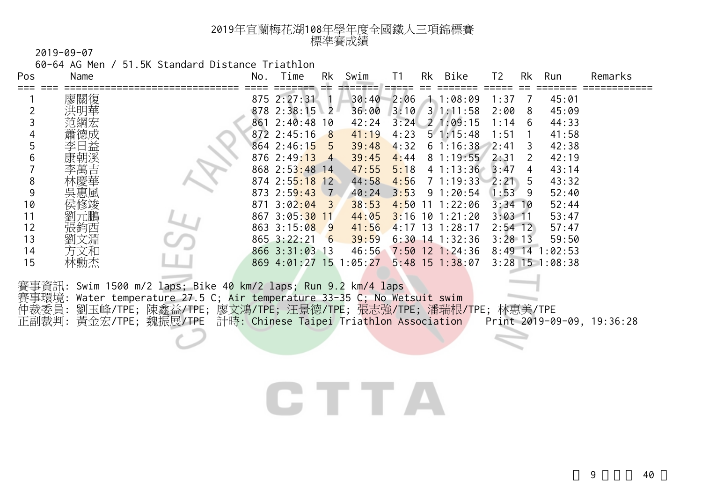2019-09-07

60-64 AG Men / 51.5K Standard Distance Triathlon

| Pos            | Name |                                                                                                                                                                                                                                                                                                     | No. | Time            | Rk                      | Swim  | T1   | Rk Bike                                | T <sub>2</sub> | Rk  | Run               | Remarks |
|----------------|------|-----------------------------------------------------------------------------------------------------------------------------------------------------------------------------------------------------------------------------------------------------------------------------------------------------|-----|-----------------|-------------------------|-------|------|----------------------------------------|----------------|-----|-------------------|---------|
|                | 廖關復  |                                                                                                                                                                                                                                                                                                     |     | 875 2:27:31     |                         | 30:40 | 2:06 | 1.1:08:09                              | 1:37           | 7   | 45:01             |         |
|                |      |                                                                                                                                                                                                                                                                                                     |     | 878 2:38:15 2   |                         | 36:00 | 3:10 | $3 \cdot 1:11:58$                      | 2:00           | -8  | 45:09             |         |
|                |      |                                                                                                                                                                                                                                                                                                     |     | 861 2:40:48 10  |                         | 42:24 |      | $3:24$ 2 1:09:15                       | 1:14           | - 6 | 44:33             |         |
|                |      |                                                                                                                                                                                                                                                                                                     |     | 872 2:45:16     | 8                       | 41:19 | 4:23 | $5 \t1:15:48$                          | 1:51           |     | 41:58             |         |
| 5              |      |                                                                                                                                                                                                                                                                                                     |     | 864 2:46:15 5   |                         | 39:48 |      | $4:32 \quad 6 \quad 1:16:38$           | 2:41           | 3   | 42:38             |         |
| 6              |      |                                                                                                                                                                                                                                                                                                     |     | 876 2:49:13     | $\overline{4}$          | 39:45 | 4:44 | 81:19:55                               | 2:31           | 2   | 42:19             |         |
|                |      |                                                                                                                                                                                                                                                                                                     |     | 868 2:53:48 14  |                         | 47:55 | 5:18 | 41:13:36                               | 3:47           | 4   | 43:14             |         |
| 8              |      |                                                                                                                                                                                                                                                                                                     |     | 874 2:55:18 12  |                         | 44:58 | 4:56 | $7\;1:19:33\;2:21$                     |                | -5  | 43:32             |         |
| 9              |      |                                                                                                                                                                                                                                                                                                     |     | $873 \t2:59:43$ | $\sqrt{7}$              | 40:24 | 3:53 | $9 \t1:20:54$                          | $1:53$ 9       |     | 52:40             |         |
| 10             |      |                                                                                                                                                                                                                                                                                                     |     | $871 \t3:02:04$ | $\overline{\mathbf{3}}$ | 38:53 |      | $4:50$ 11 1:22:06                      | $3:34$ 10      |     | 52:44             |         |
| 11             | 劉元鵬  |                                                                                                                                                                                                                                                                                                     |     | 867 3:05:30 11  |                         | 44:05 |      | $3:16$ 10 1:21:20                      | $3:03$ 11      |     | 53:47             |         |
| 12             | 張鈞西  |                                                                                                                                                                                                                                                                                                     |     | 863 3:15:08 9   |                         | 41:56 |      | 4:17 13 1:28:17                        | $2:54$ 12      |     | 57:47             |         |
| 13             | 劉文淵  |                                                                                                                                                                                                                                                                                                     |     | $865$ 3:22:21 6 |                         | 39:59 |      | $6:30$ 14 1:32:36                      | $3:28$ 13      |     | 59:50             |         |
| 14             | 方文和  |                                                                                                                                                                                                                                                                                                     |     | 866 3:31:03 13  |                         | 46:56 |      | $7:50$ 12 1:24:36                      |                |     | $8:49$ 14 1:02:53 |         |
| 15             | 林勳杰  |                                                                                                                                                                                                                                                                                                     |     |                 |                         |       |      | 869 4:01:27 15 1:05:27 5:48 15 1:38:07 |                |     | $3:28$ 15 1:08:38 |         |
| 仲裁委員:<br>正副裁判: |      | 賽事資訊: Swim 1500 m/2 laps; Bike 40 km/2 laps; Run 9.2 km/4 laps<br>賽事環境: Water temperature 27.5 C; Air temperature 33-35 C; No Wetsuit swim<br>劉玉峰/TPE; 陳鑫益/TPE; 廖文鴻/TPE; 汪景德/TPE; 張志強/TPE; 潘瑞根/TPE; 林惠美/TPE<br>黃金宏/TPE; 魏振展/TPE 計時: Chinese Taipei Triathlon Association Print 2019-09-09, 19:36:28 |     |                 |                         |       |      |                                        |                |     |                   |         |

# CTTA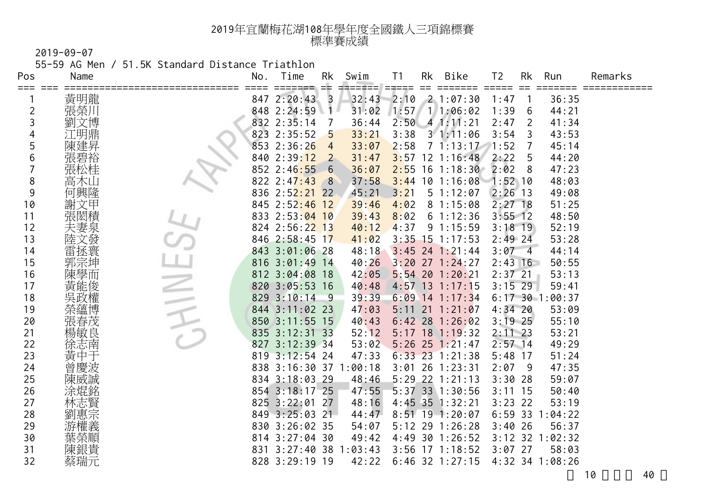55-59 AG Men / 51.5K Standard Distance Triathlon

| Pos     | Name       |                          | No. | Time            | Rk                   | Swim                   | T <sub>1</sub>       | Rk   | Bike              | T <sub>2</sub> | Rk             | Run               | Remarks |
|---------|------------|--------------------------|-----|-----------------|----------------------|------------------------|----------------------|------|-------------------|----------------|----------------|-------------------|---------|
| === === | 黃明龍        |                          |     | 847 2:20:43     | =E<br>$\overline{3}$ | =====<br>32:43         | <b>EQECT</b><br>2:10 | $==$ | 21:07:30          | 1:47           |                | 36:35             |         |
| 2       | 張榮川        |                          |     | 848 2:24:59 1   |                      | 31:02                  | 1:57                 |      | 11:06:02          | 1:39           | 6              | 44:21             |         |
| 3       | 劉文博        |                          |     | 832 2:35:14     | $\overline{7}$       | 36:44                  | 2:50                 |      | 41:11:21          | 2:47           | $\overline{2}$ | 41:34             |         |
| 4       | 江明鼎        |                          |     | 823 2:35:52     | 5                    | 33:21                  | 3:38                 |      | 31:11:06          | 3:54           | 3              | 43:53             |         |
| 5       |            |                          |     | 853 2:36:26     | $\overline{4}$       | 33:07                  | 2:58                 |      | 71:13:17          | 1:52           | 7              | 45:14             |         |
| 6       |            |                          |     | 840 2:39:12     | $\overline{2}$       | 31:47                  |                      |      | $3:57$ 12 1:16:48 | 2:22           | 5              | 44:20             |         |
|         |            |                          |     | 852 2:46:55     | 6                    | 36:07                  |                      |      | $2:55$ 16 1:18:30 | 2:02           | 8              | 47:23             |         |
| 8       |            |                          |     | $822 \t2:47:43$ | 8                    | 37:58                  |                      |      | $3:44$ 10 1:16:08 | $-1:52$ 10     |                | 48:03             |         |
| 9       | 高不出<br>何興隆 |                          |     | 836 2:52:21     | 22                   | 45:21                  | 3:21                 |      | 51:12:07          | $2:26$ 13      |                | 49:08             |         |
| 10      | 謝文甲        |                          |     | 845 2:52:46 12  |                      | 39:46                  | 4:02                 |      | 81:15:08          | $2:27$ 18      |                | 51:25             |         |
| 11      | 張閎積        |                          |     | 833 2:53:04 10  |                      | 39:43                  | 8:02                 |      | 61:12:36          | $3:55$ 12      |                | 48:50             |         |
| 12      | 夫妻泉        |                          |     | 824 2:56:22 13  |                      | 40:12                  | 4:37                 |      | 91:15:59          | $3:18$ 19      |                | 52:19             |         |
| 13      | 文發<br>陸    |                          |     | 846 2:58:45 17  |                      | 41:02                  |                      |      | $3:35$ 15 1:17:53 | $2:49$ 24      |                | 53:28             |         |
| 14      | 雷拯寰        |                          |     | 843 3:01:06 28  |                      | 48:18                  |                      |      | $3:45$ 24 1:21:44 | 3:074          |                | 44:14             |         |
| 15      |            |                          |     | 816 3:01:49 14  |                      | 40:26                  |                      |      | $3:20$ 27 1:24:27 | $2:43$ 16      |                | 50:55             |         |
| 16      |            |                          |     | 812 3:04:08 18  |                      | 42:05                  |                      |      | 5:54 20 1:20:21   | $2:37$ 21      |                | 53:13             |         |
| 17      |            |                          |     | 820 3:05:53 16  |                      | 40:48                  |                      |      | $4:57$ 13 1:17:15 | $3:15$ 29      |                | 59:41             |         |
| 18      |            | $\overline{\phantom{0}}$ |     | $829$ 3:10:14   | -9                   | 39:39                  |                      |      | $6:09$ 14 1:17:34 |                |                | $6:17$ 30 1:00:37 |         |
| 19      | 榮蘊博        |                          |     | 844 3:11:02 23  |                      | 47:03                  | 5:11                 |      | $21 \t1:21:07$    | $4:34$ 20      |                | 53:09             |         |
| 20      | 張春茂        |                          |     | 850 3:11:55 15  |                      | 40:43                  |                      |      | $6:42$ 28 1:26:02 | $3:19$ 25      |                | 55:10             |         |
| 21      |            |                          |     | 835 3:12:31 33  |                      | 52:12                  |                      |      | $5:17$ 18 1:19:32 | $2:11$ 23      |                | 53:21             |         |
| 22      |            |                          |     | 827 3:12:39 34  |                      | 53:02                  |                      |      | $5:26$ 25 1:21:47 | $2:57$ 14      |                | 49:29             |         |
| 23      | 黃中于        |                          |     | 819 3:12:54 24  |                      | 47:33                  |                      |      | $6:33$ 23 1:21:38 | $5:48$ 17      |                | 51:24             |         |
| 24      | 曾<br>慶波    |                          |     |                 |                      | 838 3:16:30 37 1:00:18 |                      |      | 3:01 26 1:23:31   | $2:07$ 9       |                | 47:35             |         |
| 25      | 陳威誠        |                          |     | 834 3:18:03 29  |                      | 48:46                  |                      |      | $5:29$ 22 1:21:13 | $3:30$ 28      |                | 59:07             |         |
| 26      |            |                          |     | 854 3:18:17 25  |                      | 47:55                  |                      |      | 5:37 33 1:30:56   | $3:11$ 15      |                | 50:40             |         |
| 27      |            |                          |     | 825 3:22:01 27  |                      | 48:16                  |                      |      | 4:45 35 1:32:21   | $3:23$ 22      |                | 53:19             |         |
| 28      | 劉惠宗        |                          |     | 849 3:25:03 21  |                      | 44:47                  |                      |      | $8:51$ 19 1:20:07 | $6:59$ 33      |                | 1:04:22           |         |
| 29      | 游權義        |                          |     | 830 3:26:02 35  |                      | 54:07                  |                      |      | 5:12 29 1:26:28   | 3:40.26        |                | 56:37             |         |
| 30      |            |                          |     | 814 3:27:04 30  |                      | 49:42                  |                      |      | 4:49 30 1:26:52   |                |                | 3:12 32 1:02:32   |         |
| 31      | 葉榮順<br>陳銀貴 |                          |     |                 |                      | 831 3:27:40 38 1:03:43 |                      |      | 3:56 17 1:18:52   | $3:07$ 27      |                | 58:03             |         |
| 32      | 蔡瑞元        |                          |     | 828 3:29:19 19  |                      | 42:22                  |                      |      | $6:46$ 32 1:27:15 |                |                | 4:32 34 1:08:26   |         |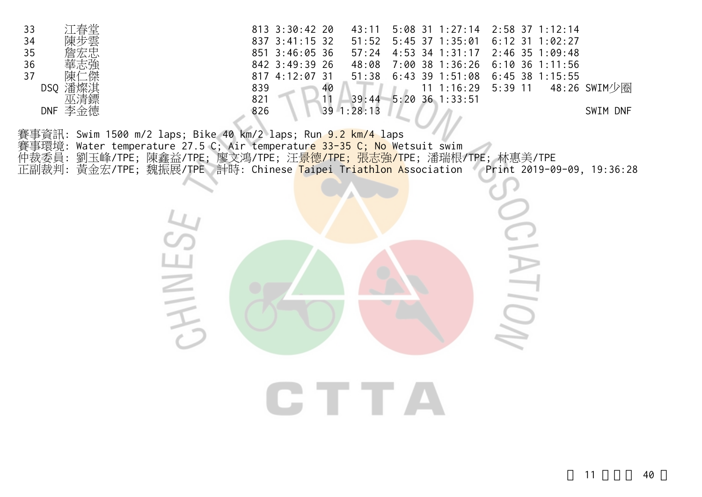| 33<br>34<br>35<br>36<br>37<br>DSQ 潘<br>丛凊鏢<br>DNF 李金德 | 43:11<br>5:08 31 1:27:14 2:58 37 1:12:14<br>813 3:30:42 20<br>837 3:41:15 32<br>5:45 37 1:35:01<br>$6:12$ 31 1:02:27<br>51:52<br>851 3:46:05 36<br>57:24<br>4:53 34 1:31:17<br>2:46 35 1:09:48<br>842 3:49:39 26<br>48:08<br>7:00 38 1:36:26<br>$6:10$ 36 1:11:56<br>$6:43$ 39 1:51:08<br>6:45 38 1:15:55<br>817 4:12:07 31<br>51:38<br>$5:39$ 11<br>48:26 SWIM少圈<br>839<br>40<br>$11 \t1:16:29$<br>821<br>11<br>39:44 5:20 36 1:33:51<br>39 1:28:13<br>SWIM DNF<br>826 |
|-------------------------------------------------------|-------------------------------------------------------------------------------------------------------------------------------------------------------------------------------------------------------------------------------------------------------------------------------------------------------------------------------------------------------------------------------------------------------------------------------------------------------------------------|
| 賽事環境:<br>仲裁委員:                                        | 賽事資訊: Swim 1500 m/2 laps; Bike 40 km/2 laps; Run <mark>9.2 km/4 l</mark> aps<br>Water temperature 27.5 C; Air temperature 33-35 C; No Wetsuit swim<br>劉玉峰/TPE; 陳鑫益/TPE; 廖文鴻/TPE; 汪 <mark>景德/TPE; 張志強/T</mark> PE; 潘瑞根/TPE; 林惠美/TPE<br>正副裁判: 黃金宏/TPE; 魏振展/TPE 計時: Chinese Taipei Triathlon Association<br>Print 2019-09-09, 19:36:28<br>GIA                                                                                                                              |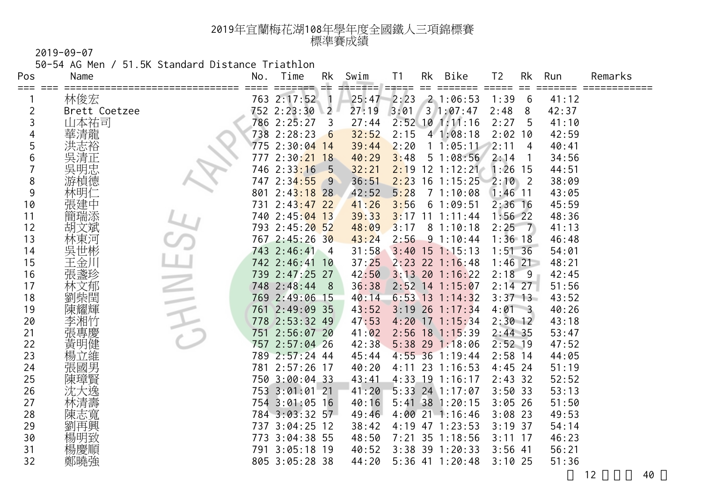50-54 AG Men / 51.5K Standard Distance Triathlon

| Pos            | Name          |                          | No. | Time                      | <b>Rk</b> | Swim  | T <sub>1</sub> | Rk             | <b>Bike</b>       | T <sub>2</sub> | Rk | Run     | Remarks |
|----------------|---------------|--------------------------|-----|---------------------------|-----------|-------|----------------|----------------|-------------------|----------------|----|---------|---------|
| ===<br>$===$   |               |                          |     |                           | =⊨        | ===== | E⊒=≡=          | $==$           |                   |                |    | ======= |         |
|                | 林俊宏           |                          |     | 763 2:17:52               |           | 25:47 | 2:23           |                | 21:06:53          | 1:39           | 6  | 41:12   |         |
| $\overline{2}$ | Brett Coetzee |                          |     | 752 2:23:30 2             |           | 27:19 | 3:01           | s              | 31:07:47          | 2:48           | 8  | 42:37   |         |
| 3              | 山本祐司          |                          |     | 786 2:25:27               | 3         | 27:44 |                |                | 2:52 10 1:11:16   | 2:27           | 5  | 41:10   |         |
| 4              | 華清龍           |                          |     | 738 2:28:23               | 6         | 32:52 | 2:15           |                | 41:08:18          | $2:02$ 10      |    | 42:59   |         |
| 5              | 洪志裕           |                          |     | 775 2:30:04 14            |           | 39:44 | 2:20           |                | 11:05:11          | 2:11           | 4  | 40:41   |         |
| 6              | 吳清正           |                          |     | 777 2:30:21 18            |           | 40:29 | 3:48           |                | 51:08:56          | 2:14           |    | 34:56   |         |
| 7              | 吳明忠           |                          |     | 746 2:33:16               | 5         | 32:21 | 2:19           |                | $12 \t1:12:21$    | $1:26$ 15      |    | 44:51   |         |
| 8              | 游楨德           |                          |     | 747 2:3 <mark>4:55</mark> | 9         | 36:51 |                |                | $2:23$ 16 1:15:25 | $2:10$ 2       |    | 38:09   |         |
| 9              |               |                          |     | 801 2:43:18 28            |           | 42:52 | 5:28           | $\overline{7}$ | 1:10:08           | $1:46$ 11      |    | 43:05   |         |
| 10             |               |                          |     | 731 2:43:47 22            |           | 41:26 | 3:56           |                | 61:09:51          | $2:36$ 16      |    | 45:59   |         |
| 11             | 簡瑞添           |                          |     | 740 2:45:04 13            |           | 39:33 |                |                | $3:17$ 11 1:11:44 | $1:56$ 22      |    | 48:36   |         |
| 12             | 胡文斌           |                          |     | 793 2:45:20 52            |           | 48:09 | 3:17           | 8              | 1:10:18           | $2:25 \quad 7$ |    | 41:13   |         |
| 13             | 林東河           |                          |     | 767 2:45:26 30            |           | 43:24 | 2:56           |                | 91:10:44          | $1:36$ 18      |    | 46:48   |         |
| 14             | 吳世彬           |                          |     | 743 2:46:41 4             |           | 31:58 | 3:40           |                | $15$ 1:15:13      | 1:51.36        |    | 54:01   |         |
| 15             | 王金川           |                          |     | 742 2:46:41 10            |           | 37:25 | 2:23           |                | 22 1:16:48        | $1:46$ 21      |    | 48:21   |         |
| 16             |               |                          |     | 739 2:47:25 27            |           | 42:50 |                |                | $3:13$ 20 1:16:22 | $2:18$ 9       |    | 42:45   |         |
| 17             | 文郁            | $\overline{\phantom{a}}$ |     | 748 2:48:44               | - 8       | 36:38 |                |                | $2:52$ 14 1:15:07 | $2:14$ 27      |    | 51:56   |         |
| 18             | 劉柴閏           |                          |     | 769 2:49:06 15            |           | 40:14 |                |                | $6:53$ 13 1:14:32 | $3:37$ 13      |    | 43:52   |         |
| 19             | 陳耀輝           |                          |     | 761 2:49:09 35            |           | 43:52 | 3:19           |                | $26$ 1:17:34      | $4:01 \quad 3$ |    | 40:26   |         |
| 20             |               |                          |     | 778 2:53:32 49            |           | 47:53 |                |                | 4:20 17 1:15:34   | $2:30$ 12      |    | 43:18   |         |
| 21             |               |                          |     | 751 2:56:07 20            |           | 41:02 |                |                | $2:56$ 18 1:15:39 | $2:44$ 35      |    | 53:47   |         |
| 22             | 黃明健           |                          |     | 757 2:57:04 26            |           | 42:38 |                |                | $5:38$ 29 1:18:06 | $2:52$ 19      |    | 47:52   |         |
| 23             |               |                          |     | 789 2:57:24 44            |           | 45:44 | $4:55$ 36      |                | 1:19:44           | $2:58$ 14      |    | 44:05   |         |
| 24             | 張國男           |                          |     | 781 2:57:26 17            |           | 40:20 |                |                | 4:11 23 1:16:53   | $4:45$ 24      |    | 51:19   |         |
| 25             | 陳璋賢           |                          |     | 750 3:00:04 33            |           | 43:41 |                |                | 4:33 19 1:16:17   | $2:43$ 32      |    | 52:52   |         |
| 26             |               |                          |     | 753 3:01:01 21            |           | 41:20 |                |                | 5:33 24 1:17:07   | 3:50.33        |    | 53:13   |         |
| 27             | 清壽            |                          |     | 754 3:01:05 16            |           | 40:16 |                |                | 5:41 38 1:20:15   | $3:05$ 26      |    | 51:50   |         |
| 28             | 陳志寬           |                          |     | 784 3:03:32 57            |           | 49:46 |                |                | $4:00$ 21 1:16:46 | $3:08$ 23      |    | 49:53   |         |
| 29             | 劉再興           |                          |     | 737 3:04:25 12            |           | 38:42 |                |                | 4:19 47 1:23:53   | $3:19$ 37      |    | 54:14   |         |
| 30             | 楊明致           |                          |     | 773 3:04:38 55            |           | 48:50 |                |                | 7:21 35 1:18:56   | $3:11$ 17      |    | 46:23   |         |
| 31             | 楊慶順           |                          |     | 791 3:05:18 19            |           | 40:52 |                |                | 3:38 39 1:20:33   | $3:56$ 41      |    | 56:21   |         |
| 32             | 鄭曉強           |                          |     | 805 3:05:28 38            |           | 44:20 |                |                | $5:36$ 41 1:20:48 | $3:10$ 25      |    | 51:36   |         |
|                |               |                          |     |                           |           |       |                |                |                   |                |    |         |         |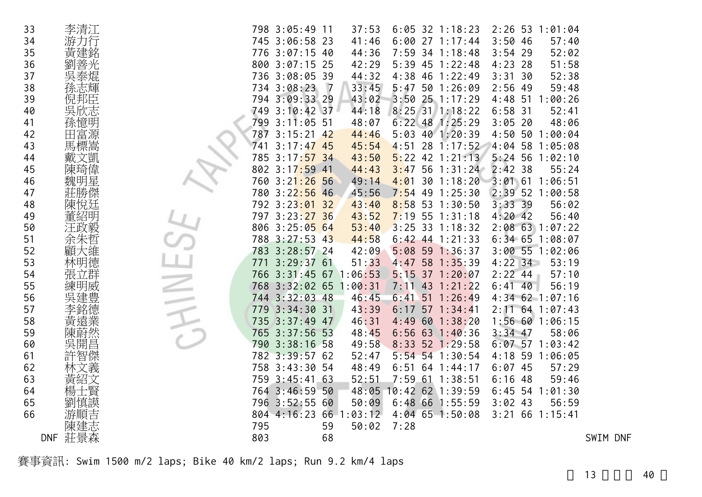| 33       | 李清江               |     | 798 3:05:49 11                   |    | 37:53          |           |    | $6:05$ 32 1:18:23                    |                     | 2:26 53 1:01:04   |          |
|----------|-------------------|-----|----------------------------------|----|----------------|-----------|----|--------------------------------------|---------------------|-------------------|----------|
| 34<br>35 | 嵩                 |     | 745 3:06:58 23<br>776 3:07:15 40 |    | 41:46<br>44:36 |           |    | $6:00$ 27 1:17:44<br>7:59 34 1:18:48 | 3:5046<br>$3:54$ 29 | 57:40<br>52:02    |          |
|          |                   |     | 800 3:07:15 25                   |    | 42:29          |           |    | $5:39$ 45 1:22:48                    | $4:23$ 28           | 51:58             |          |
| 36<br>37 | 善光<br>吳           |     | 736 3:08:05 39                   |    | 44:32          |           |    | 4:38 46 1:22:49                      | 3:31.30             | 52:38             |          |
|          | 泰焜                |     |                                  |    |                |           |    |                                      |                     |                   |          |
| 38       | 孫志輝               |     | 734 3:08:23                      | 7  | 33:45          |           |    | 5:47 50 1:26:09                      | $2:56$ 49           | 59:48             |          |
| 39       | 倪邦臣               |     | 794 3:09:33 29                   |    | 43:02          | 3:50      |    | 25.1:17:29                           | $4:48$ 51           | 1:00:26           |          |
| 40       | 吳欣志               |     | 749 3:10:42 37                   |    | 44:18          |           |    | 8:25 31 1:18:22                      | $6:58$ 31           | 52:41             |          |
| 41       | 憶明                |     | 799 3:11:05 51                   |    | 48:07          |           |    | $6:22$ 48 1:25:29                    | $3:05$ 20           | 48:06             |          |
| 42       | 富源<br>$\boxplus$  |     | 787 3:15:21 42                   |    | 44:46          |           |    | 5:03 40 1:20:39                      | $4:50$ 50           | 1:00:04           |          |
| 43       | 馬標嵩               | 741 | $3:17:47$ 45                     |    | 45:54          | 4:51      | 28 | 1:17:52                              | 4:04 58             | 1:05:08           |          |
| 44       | 戴文凱               |     | 785 3:17 <mark>:57 34</mark>     |    | 43:50          |           |    | $5:22$ 42 1:21:13                    |                     | 5:24 56 1:02:10   |          |
| 45       | 陳琦偉               | 802 | $3:17:59$ 41                     |    | 44:43          |           |    | $3:47$ 56 1:31:24                    | $2:42$ 38           | 55:24             |          |
| 46       |                   | 760 | 3:21:26                          | 56 | 49:14          |           |    | $4:01$ 30 1:18:20                    | $3:01$ 61           | 1:06:51           |          |
| 47       | 勝傑                |     | 780 3:22:56 46                   |    | 45:56          | $7:54$ 49 |    | 1:25:30                              | $2:39$ 52           | 1:00:58           |          |
| 48       | 悅廷                |     | 792 3:23:01 32                   |    | 43:40          |           |    | $8:58$ 53 1:30:50                    | $3:33$ 39           | 56:02             |          |
| 49       |                   |     | 797 3:23:27 36                   |    | 43:52          |           |    | $7:19$ 55 1:31:18                    | $4:20$ 42           | 56:40             |          |
| 50       | 汪政毅               |     | 806 3:25:05 64                   |    | 53:40          |           |    | $3:25$ 33 1:18:32                    |                     | 2:08 63 1:07:22   |          |
| 51       |                   |     | 788 3:27:53 43                   |    | 44:58          |           |    | $6:42$ 44 1:21:33                    |                     | $6:34$ 65 1:08:07 |          |
| 52       | :維                |     | 783 3:28:57 24                   |    | 42:09          | 5:0859    |    | 1:36:37                              |                     | $3:00$ 55 1:02:06 |          |
| 53       | 林明德               |     | 771 3:29:37 61                   |    | 51:33          | 4:4758    |    | 1:35:39                              | $4:22$ 34           | 53:19             |          |
| 54       |                   |     | 766 3:31:45 67                   |    | 1:06:53        |           |    | 5:15 37 1:20:07                      | $2:22$ 44           | 57:10             |          |
| 55       | 練明威               |     | 768 3:32:02 65                   |    | 1:00:31        | $7:11$ 43 |    | 1:21:22                              | $6:41$ 40           | 56:19             |          |
| 56       | 吳建豊               |     | 744 3:32:03 48                   |    | 46:45          | 6:41      |    | $51 \t1:26:49$                       |                     | 4:34 62 1:07:16   |          |
| 57       |                   | 779 | $3:34:30$ 31                     |    | 43:39          | 6:17      |    | $57$ 1:34:41                         |                     | $2:11$ 64 1:07:43 |          |
| 58       | (李銘德<br>黄遠業       |     | 735 3:37:49 47                   |    | 46:31          | 4:49      | 60 | 1:38:20                              |                     | 1:56 60 1:06:15   |          |
| 59       | 陳蔚然               |     | 765 3:37:56 53                   |    | 48:45          | 6:5663    |    | 1:40:36                              | $3:34$ 47           | 58:06             |          |
| 60       | 開昌                |     | 790 3:38:16 58                   |    | 49:58          | 8:3352    |    | 1:29:58                              |                     | $6:07$ 57 1:03:42 |          |
| 61       | 智傑                |     | 782 3:39:57 62                   |    | 52:47          |           |    | $5:54$ 54 1:30:54                    |                     | 4:18 59 1:06:05   |          |
| 62       |                   |     | 758 3:43:30 54                   |    | 48:49          | 6:51      |    | $64$ 1:44:17                         | $6:07$ 45           | 57:29             |          |
| 63       |                   |     | 759 3:45:41 63                   |    | 52:51          |           |    | 7:59 61 1:38:51                      | $6:16$ 48           | 59:46             |          |
| 64       |                   |     | 764 3:46:59 50                   |    |                |           |    | 48:05 10:42 62 1:39:59               |                     | $6:45$ 54 1:01:30 |          |
| 65       |                   |     | 796 3:52:55 60                   |    | 50:09          |           |    | $6:48$ 66 1:55:59                    | $3:02$ 43           | 56:59             |          |
| 66       |                   |     | 804 4:16:23                      |    | $66$ 1:03:12   |           |    | $4:04$ 65 1:50:08                    |                     | 3:21 66 1:15:41   |          |
|          |                   | 795 |                                  | 59 | 50:02          | 7:28      |    |                                      |                     |                   |          |
|          | 莊景森<br><b>DNF</b> | 803 |                                  | 68 |                |           |    |                                      |                     |                   | SWIM DNF |
|          |                   |     |                                  |    |                |           |    |                                      |                     |                   |          |

賽事資訊: Swim 1500 m/2 laps; Bike 40 km/2 laps; Run 9.2 km/4 laps

13 40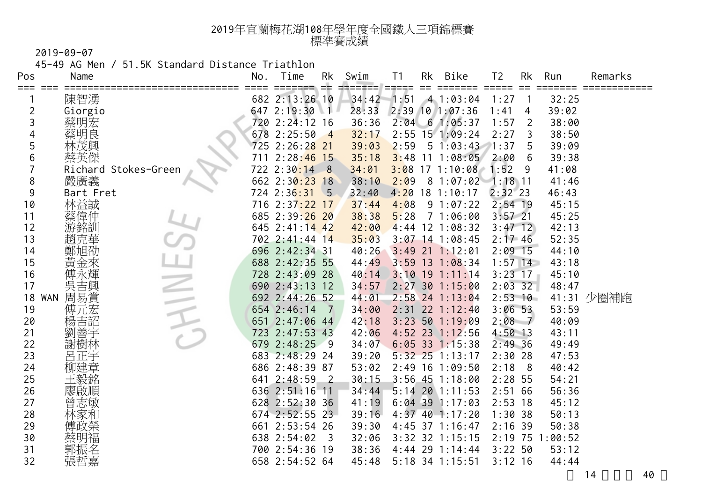2019-09-07

45-49 AG Men / 51.5K Standard Distance Triathlon

| Pos            | Name                 |   | No. | Time                        | <b>Rk</b>               | Swim             | T <sub>1</sub>   | Rk   | <b>Bike</b>       | T <sub>2</sub> | <b>Rk</b> | Run              | Remarks      |
|----------------|----------------------|---|-----|-----------------------------|-------------------------|------------------|------------------|------|-------------------|----------------|-----------|------------------|--------------|
|                | === ===<br>陳智湧       |   |     | =======<br>682 2:13:26 10   | =E,                     | =======<br>34:42 | EBEEE<br>$-1:51$ | $==$ | 41:03:04          | 1:27           | $==$      | =======<br>32:25 | ============ |
| $\overline{2}$ | Giorgio              |   |     | 647 2:19:30 1               |                         | 28:33            |                  |      | 2:39 10 1:07:36   | 1:41           | 4         | 39:02            |              |
| 3              | 蔡明宏                  |   |     | 720 2:24:12 16              |                         | 36:36            |                  |      | $2:04$ 6 1:05:37  | 1:57           | 2         | 38:00            |              |
| 4              |                      |   |     | 678 2:25:50                 | $\overline{4}$          | 32:17            |                  |      | 2:55 15 1:09:24   | 2:27           | 3         | 38:50            |              |
| 5              |                      |   |     | 725 2:26:28 21              |                         | 39:03            | 2:59             |      | $5 \t1:03:43$     | 1:37           | 5         | 39:09            |              |
| 6              |                      |   |     | 711 2:28:46 15              |                         | 35:18            |                  |      | $3:48$ 11 1:08:05 | 2:00           | 6         | 39:38            |              |
| 7              | Richard Stokes-Green |   |     | 722 2:30 <mark>:14 8</mark> |                         | 34:01            |                  |      | $3:08$ 17 1:10:08 | 1:52           | - 9       | 41:08            |              |
| 8              | 嚴廣義                  |   |     | 662 2:30:23 18              |                         | 38:10            | 2:09             |      | 8 1:07:02 1:18 11 |                |           | 41:46            |              |
| 9              | Bart Fret            |   |     | 724 2:36:31                 | $-5$                    | 32:40            |                  |      | $4:20$ 18 1:10:17 | $2:32$ 23      |           | 46:43            |              |
| 10             | 林益誠                  |   |     | 716 2:37:22 17              |                         | 37:44            | 4:08             |      | 91:07:22          | $2:54$ 19      |           | 45:15            |              |
| 11             | 蔡偉仲                  |   |     | 685 2:39:26 20              |                         | 38:38            | 5:28             |      | 71:06:00          | $3:57$ 21      |           | 45:25            |              |
| 12             | 游銘訓                  |   |     | 645 2:41:14 42              |                         | 42:00            |                  |      | 4:44 12 1:08:32   | $3:47$ 12      |           | 42:13            |              |
| 13             | 趙克華                  |   |     | 702 2:41:44 14              |                         | 35:03            |                  |      | $3:07$ 14 1:08:45 | 2:17.46        |           | 52:35            |              |
| 14             |                      |   |     | 696 2:42:34 31              |                         | 40:26            | 3:49             |      | 21 1:12:01        | $2:09$ 15      |           | 44:10            |              |
| 15             |                      |   |     | 688 2:42:35 55              |                         | 44:49            |                  |      | $3:59$ 13 1:08:34 | $1:57$ 14      |           | 43:18            |              |
| 16             |                      |   |     | 728 2:43:09 28              |                         | 40:14            |                  |      | $3:10$ 19 1:11:14 | $3:23$ 17      |           | 45:10            |              |
| 17             |                      | - |     | 690 2:43:13 12              |                         | 34:57            |                  |      | $2:27$ 30 1:15:00 | 2:03.32        |           | 48:47            |              |
| 18             | 周易賞<br>WAN           |   |     | 692 2:44:26 52              |                         | 44:01            |                  |      | $2:58$ 24 1:13:04 | $2:53$ 10      |           |                  | 41:31 少圈補跑   |
| 19             | 傅元宏                  |   |     | 654 2:46:14                 | $\overline{7}$          | 34:00            |                  |      | $2:31$ 22 1:12:40 | $3:06$ 53      |           | 53:59            |              |
| 20             | 楊吉詔                  |   |     | 651 2:47:06 44              |                         | 42:18            |                  |      | $3:23$ 50 1:19:09 | $2:08$ 7       |           | 40:09            |              |
| 21             |                      |   |     | 723 2:47:53 43              |                         | 42:06            |                  |      | 4:52 23 1:12:56   | $4:50$ 13      |           | 43:11            |              |
| 22             |                      |   |     | 679 2:48:25                 | - 9                     | 34:07            |                  |      | $6:05$ 33 1:15:38 | 2:49.36        |           | 49:49            |              |
| 23             |                      |   |     | 683 2:48:29 24              |                         | 39:20            |                  |      | $5:32$ 25 1:13:17 | $2:30$ 28      |           | 47:53            |              |
| 24             | 柳建章                  |   |     | 686 2:48:39 87              |                         | 53:02            |                  |      | 2:49 16 1:09:50   | $2:18$ 8       |           | 40:42            |              |
| 25             |                      |   |     | 641 2:48:59                 | $\overline{2}$          | 30:15            |                  |      | $3:56$ 45 1:18:00 | $2:28$ 55      |           | 54:21            |              |
| 26             |                      |   |     | 636 2:51:16 11              |                         | 34:44            |                  |      | $5:14$ 20 1:11:53 | 2:5166         |           | 56:36            |              |
| 27             | 曾志敏                  |   |     | 628 2:52:30 36              |                         | 41:19            |                  |      | $6:04$ 39 1:17:03 | $2:53$ 18      |           | 45:12            |              |
| 28             |                      |   |     | 674 2:52:55 23              |                         | 39:16            |                  |      | $4:37$ 40 1:17:20 | 1:30.38        |           | 50:13            |              |
| 29             | 傳政榮                  |   |     | 661 2:53:54 26              |                         | 39:30            |                  |      | 4:45 37 1:16:47   | $2:16$ 39      |           | 50:38            |              |
| 30             | 蔡明福                  |   |     | 638 2:54:02                 | $\overline{\mathbf{3}}$ | 32:06            |                  |      | 3:32 32 1:15:15   |                |           | 2:19 75 1:00:52  |              |
| 31             | 郭振名                  |   |     | 700 2:54:36 19              |                         | 38:36            |                  |      | 4:44 29 1:14:44   | 3:22,50        |           | 53:12            |              |
| 32             | 張哲嘉                  |   |     | 658 2:54:52 64              |                         | 45:48            |                  |      | 5:18 34 1:15:51   | $3:12$ 16      |           | 44:44            |              |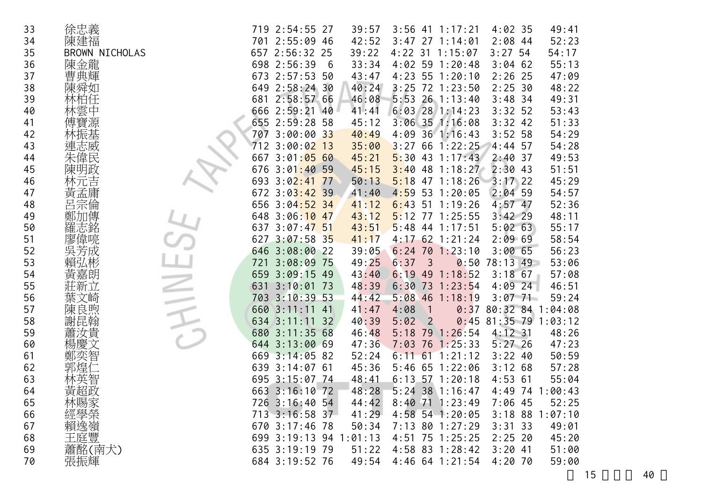| 33 | 徐忠義            | 719 2:54:55<br>49:41<br>-27<br>39:57<br>$3:56$ 41 1:17:21<br>$4:02$ 35               |
|----|----------------|--------------------------------------------------------------------------------------|
| 34 | 陳建福            | $2:55:09$ 46<br>52:23<br>701<br>42:52<br>$3:47$ 27 1:14:01<br>$2:08$ 44              |
| 35 | BROWN NICHOLAS | 657 2:56:32 25<br>39:22<br>4:22 31 1:15:07<br>$3:27$ 54<br>54:17                     |
| 36 | 陳金龍            | 55:13<br>698 2:56:39<br>33:34<br>4:02 59 1:20:48<br>- 6<br>$3:04$ 62                 |
| 37 | 曹典輝            | 673 2:57:53 50<br>4:23 55 1:20:10<br>$2:26$ 25<br>47:09<br>43:47                     |
| 38 | 陳舜如            | 649 2:58:24 30<br>40:24<br>$3:25$ 72 1:23:50<br>2:25.30<br>48:22                     |
| 39 | 林柏任            | 2:58:5766<br>$5:53$ 26 1:13:40<br>49:31<br>681<br>46:08<br>$3:48$ 34                 |
| 40 | 林雲中            | 666 2:59:21<br>$6:03$ 28 1:14:23<br>$3:32$ 52<br>53:43<br>40<br>41:41                |
| 41 | 傅寶源            | 655 2:59:28 58<br>$3:06$ 35 1:16:08<br>$3:32$ 42<br>51:33<br>45:12                   |
| 42 |                | 3:00:0033<br>4:09 36 1:16:43<br>$3:52$ 58<br>54:29<br>707<br>40:49                   |
| 43 | 連志威            | 712 3:00:02 13<br>$3:27$ 66 1:22:25<br>54:28<br>35:00<br>$4:44$ 57                   |
| 44 | 朱偉民            | 3:01:05.60<br>49:53<br>667<br>45:21<br>$5:30$ 43 1:17:43<br>2:40.37                  |
| 45 | 陳明政            | 3:01:40.59<br>3:40.48<br>1:18:27<br>$2:30$ 43<br>51:51<br>676<br>45:15               |
| 46 | 林元吉            | 3:02:41<br>77<br>$5:18$ 47 1:18:26<br>$3:17$ 22<br>45:29<br>693<br>50:13             |
| 47 | 黃孟庸            | $672$ 3:03:42 39<br>54:57<br>41:40<br>$4:59$ 53 1:20:05<br>$2:04$ 59                 |
| 48 | 呂宗倫            | $3:04:52$ 34<br>51<br>$4:57$ 47<br>52:36<br>656<br>41:12<br>6:43<br>1:19:26          |
| 49 |                | 648 3:06:10<br>$5:12$ 77 1:25:55<br>$3:42$ 29<br>48:11<br>43:12<br>47                |
| 50 | 羅志銘            | 637 3:07:47 51<br>$5:48$ 44 1:17:51<br>5:0263<br>55:17<br>43:51                      |
| 51 | 廖偉喨            | 627 3:07:58 35<br>$4:17$ 62 1:21:24<br>2:0969<br>58:54<br>41:17                      |
| 52 | 吳芳成            | 646 3:08:00<br>$6:24$ 70 1:23:10<br>56:23<br>22<br>39:05<br>3:0065                   |
| 53 | 賴弘彬            | 78:13 49<br>3:08:09<br>49:25<br>0:50<br>53:06<br>75<br>6:37<br>$\overline{3}$<br>721 |
| 54 | 黃嘉朗            | 659 3:09:15 49<br>6:19<br>49<br>1:18:52<br>$3:18$ 67<br>57:08<br>43:40               |
| 55 |                | 3:10:01<br>$6:30$ 73<br>$4:09$ 24<br>46:51<br>631<br>73<br>48:39<br>1:23:54          |
| 56 | 葉文崎            | $5:08$ 46<br>703 3:10:39 53<br>44:42<br>1:18:19<br>$3:07$ 71<br>59:24                |
| 57 | 陳良煦            | 660 3:11:11<br>4:08<br>$0:37$ 80:32 84 1:04:08<br>41:47<br>$\sqrt{1}$<br>41          |
| 58 | 謝昆翰            | 81:35 79 1:03:12<br>634 3:11:11<br>0:45<br>32<br>40:39<br>5:02<br>2                  |
| 59 | 蕭汝貴            | $4:12$ 31<br>680 3:11:35 68<br>46:48<br>5:18<br>79<br>1:26:54<br>48:26               |
| 60 |                | 644 3:13:00 69<br>47:36<br>76<br>47:23<br>7:03<br>1:25:33<br>5:27,26                 |
| 61 |                | 669 3:14:05 82<br>50:59<br>52:24<br>6:11<br>$61$ 1:21:12<br>$3:22$ 40                |
| 62 |                | 57:28<br>639 3:14:07 61<br>45:36<br>$5:46$ 65 1:22:06<br>3:1268                      |
| 63 |                | $6:13$ 57 1:20:18<br>695 3:15:07 74<br>55:04<br>48:41<br>4:5361                      |
| 64 | 黃超政            | 5:24 38 1:16:47<br>663 3:16:10 72<br>4:49 74 1:00:43<br>48:28                        |
| 65 | 林賜家<br>經學榮     | 726 3:16:40 54<br>44:42<br>$8:40$ 71 1:23:49<br>$7:06$ 45<br>52:25                   |
| 66 |                | 713 3:16:58 37<br>41:29<br>$4:58$ 54 1:20:05<br>$3:18$ 88 1:07:10                    |
| 67 | 賴逸嶺            | 670 3:17:46 78<br>7:13 80 1:27:29<br>$3:31$ 33<br>50:34<br>49:01                     |
| 68 | 王庭豐            | 699 3:19:13 94 1:01:13<br>4:51 75 1:25:25<br>45:20<br>$2:25$ 20                      |
| 69 | 蕭酩(南犬)         | 635 3:19:19 79<br>4:58 83 1:28:42<br>51:00<br>51:22<br>3:2041                        |
| 70 | 張振輝            | 684 3:19:52 76<br>4:46 64 1:21:54<br>$4:20$ 70<br>59:00<br>49:54                     |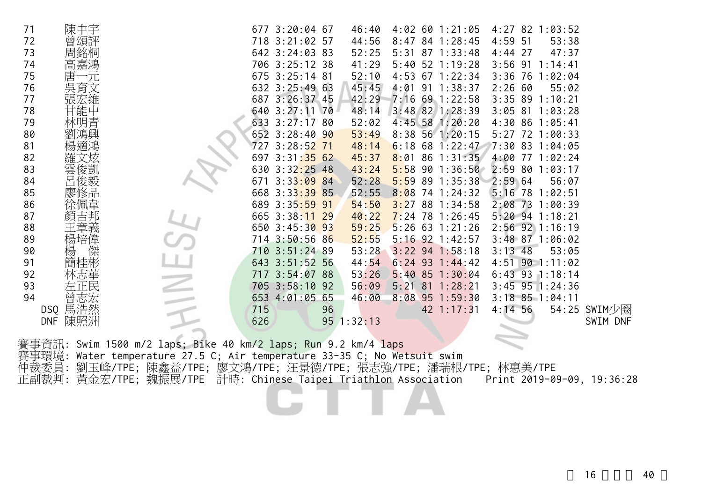| 71         | 陳中宇     |                                                                                      |     | 677 3:20:04 67 |    | 46:40        | $4:02$ 60 1:21:05                 |           | 4:27 82 1:03:52     |              |
|------------|---------|--------------------------------------------------------------------------------------|-----|----------------|----|--------------|-----------------------------------|-----------|---------------------|--------------|
| 72         |         |                                                                                      |     | 718 3:21:02 57 |    | 44:56        | 8:47 84 1:28:45                   | $4:59$ 51 | 53:38               |              |
| 73         |         |                                                                                      |     | 642 3:24:03 83 |    | 52:25        | 5:31 87 1:33:48                   | $4:44$ 27 | 47:37               |              |
| 74         |         |                                                                                      |     | 706 3:25:12 38 |    | 41:29        | $5:40$ 52 1:19:28                 |           | $3:56$ 91 1:14:41   |              |
| 75         |         |                                                                                      |     | 675 3:25:14 81 |    | 52:10        | 4:53 67 1:22:34                   |           | 3:36 76 1:02:04     |              |
| 76         |         |                                                                                      |     | 632 3:25:49 63 |    | 45:45        | 4:01 91 1:38:37                   | 2:2660    | 55:02               |              |
| 77         |         |                                                                                      |     | 687 3:26:37 45 |    | 42:29        | 7:16 69 1:22:58                   |           | 3:35 89 1:10:21     |              |
| 78         |         |                                                                                      |     | 640 3:27:11 70 |    | 48:14        | 3:48 82 1:28:39                   |           | 3:05 81 1:03:28     |              |
| 79         |         |                                                                                      |     | 633 3:27:17 80 |    | 52:02        | $4:45$ 58 1:20:20                 |           | 4:30 86 1:05:41     |              |
| 80         |         |                                                                                      |     | 652 3:28:40 90 |    | 53:49        | 8:38 56 1:20:15                   |           | 5:27 72 1:00:33     |              |
| 81         |         |                                                                                      |     | 727 3:28:52 71 |    | 48:14        | $6:18$ 68 1:22:47 7:30 83 1:04:05 |           |                     |              |
| 82         |         |                                                                                      |     | 697 3:31:35 62 |    | 45:37        | $8:01$ 86 1:31:35                 |           | 4:00 77 1:02:24     |              |
| 83         |         |                                                                                      |     | 630 3:32:25 48 |    | 43:24        | $5:58$ 90 1:36:50                 |           | 2:59 80 1:03:17     |              |
| 84         |         |                                                                                      |     | 671 3:33:09 84 |    | 52:28        | $5:59$ 89 1:35:38                 | 2:5964    | 56:07               |              |
| 85         |         |                                                                                      |     | 668 3:33:39 85 |    | 52:55        | $8:08$ 74 1:24:32                 |           | $5:16$ 78 1:02:51   |              |
| 86         |         |                                                                                      |     | 689 3:35:59 91 |    | 54:50        | $3:27$ 88 1:34:58                 |           | 2:08 73 1:00:39     |              |
| 87         |         |                                                                                      |     | 665 3:38:11 29 |    | 40:22        | $7:24$ 78 1:26:45                 |           | $5:20$ 94 1:18:21   |              |
| 88         |         |                                                                                      |     | 650 3:45:30 93 |    | 59:25        | $5:26$ 63 1:21:26                 |           | $2:56$ 92 1:16:19   |              |
| 89         | 楊培偉     |                                                                                      |     | 714 3:50:56 86 |    | 52:55        | $5:16$ 92 1:42:57                 |           | $3:48$ 87 1:06:02   |              |
| 90         | 傑       |                                                                                      |     | 710 3:51:24 89 |    | 53:28        | $3:22$ 94 1:58:18                 | $3:13$ 48 | 53:05               |              |
| 91         |         |                                                                                      |     | 643 3:51:52 56 |    | 44:54        | $6:24$ 93 1:44:42                 |           | $4:51$ 90 $1:11:02$ |              |
| 92         |         |                                                                                      |     | 717 3:54:07 88 |    | 53:26        | $5:40$ 85 1:30:04                 |           | $6:43$ 93 1:18:14   |              |
| 93         |         |                                                                                      |     | 705 3:58:10 92 |    | 56:09        | $5:21$ 81 1:28:21                 |           | $3:45$ 95 1:24:36   |              |
| 94         |         |                                                                                      |     | 653 4:01:05 65 |    | 46:00        | $8:08$ 95 1:59:30                 |           | $3:18$ 85 1:04:11   |              |
|            | DSQ 馬浩然 |                                                                                      | 715 |                | 96 |              | 42 1:17:31                        | $4:14$ 56 |                     | 54:25 SWIM少圈 |
| <b>DNF</b> | 陳照洲     |                                                                                      | 626 |                |    | $95$ 1:32:13 |                                   |           |                     | SWIM DNF     |
|            |         |                                                                                      |     |                |    |              |                                   |           |                     |              |
|            |         | 賽事資訊: Swim 1500 m/2 laps; Bike 40 km/2 laps; Run 9.2 km/4 laps                       |     |                |    |              |                                   |           |                     |              |
| 賽事環境:      |         | Water temperature 27.5 C; Air temperature 33-35 C; No Wetsuit swim                   |     |                |    |              |                                   |           |                     |              |
| 仲裁委員:      |         | 劉玉峰/TPE; 陳鑫益/TPE; 廖文鴻/TPE; 汪景德/TPE; 張志強/TPE; 潘瑞根/TPE; 林惠美/TPE                        |     |                |    |              |                                   |           |                     |              |
| 正副裁判:      |         | 黃金宏/TPE; 魏振展/TPE 計時: Chinese Taipei Triathlon Association Print 2019-09-09, 19:36:28 |     |                |    |              |                                   |           |                     |              |
|            |         |                                                                                      |     |                |    |              |                                   |           |                     |              |
|            |         |                                                                                      |     |                |    |              |                                   |           |                     |              |
|            |         |                                                                                      |     |                |    |              |                                   |           |                     |              |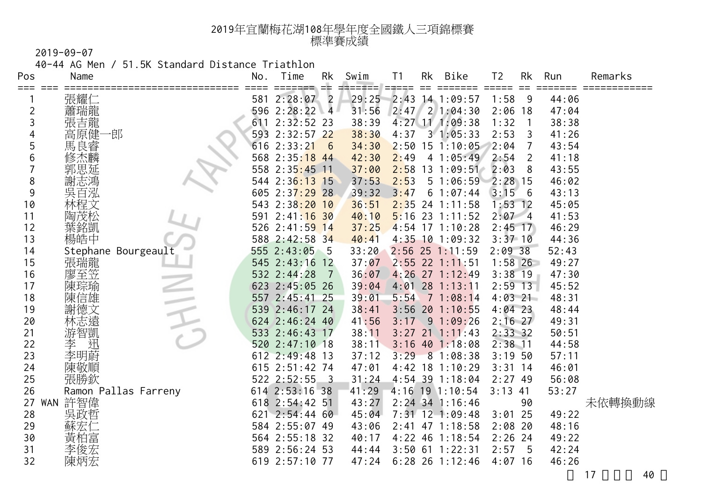2019-09-07

40-44 AG Men / 51.5K Standard Distance Triathlon

| Pos            | Name                 | No. | Time                  | Rk             | Swim           | T <sub>1</sub>                      | Rk   | <b>Bike</b>         | T <sub>2</sub> | <b>Rk</b>      | Run            | Remarks |
|----------------|----------------------|-----|-----------------------|----------------|----------------|-------------------------------------|------|---------------------|----------------|----------------|----------------|---------|
| ===            | 張耀仁                  | 581 | ======<br>$2:28:07$ 2 | ≕              | ==#==<br>29:25 | $\equiv$ $\equiv$ $\equiv$ $\equiv$ | $==$ | 2:43 14 1:09:57     | 1:58           | - 9            | =====<br>44:06 |         |
| $\overline{2}$ | ……<br>蕭瑞龍            |     | 596 2:28:22 4         |                | 31:56          | 2:47                                |      | 21:04:30            | $2:06$ 18      |                | 47:04          |         |
| 3              | 張吉龍                  | 611 | $2:32:52$ 23          |                | 38:39          |                                     |      | 4:27 11 1:09:38     | 1:32           |                | 38:38          |         |
| 4              | 原健<br>−良阝<br>高       |     | 593 2:32:57 22        |                | 38:30          | 4:37                                |      | 31:05:33            | 2:53           | 3              | 41:26          |         |
| 5              | 馬良睿                  |     | $616$ $2:33:21$       | 6              | 34:30          | 2:50                                |      | $15 \t1:10:05$      | 2:04           | 7              | 43:54          |         |
| 6              |                      | 568 | $2:35:18$ 44          |                | 42:30          | 2:49                                |      | 41:05:49            | 2:54           | $\overline{2}$ | 41:18          |         |
| 7              | 郭思延                  | 558 | $2:35:45$ 11          |                | 37:00          | 2:58                                |      | $13 \t1:09:51$      | 2:03           | 8              | 43:55          |         |
| 8              | 謝志鴻                  | 544 | $2:36:13$ 15          |                | 37:53          | 2:53                                | 5    | 1:06:59             | $2:28$ 15      |                | 46:02          |         |
| 9              | 吳百泓                  |     | 605 2:37:29           | 28             | 39:32          | 3:47                                | 6    | 1:07:44             | 3:15           | 6              | 43:13          |         |
| 10             |                      |     | 543 2:38:20 10        |                | 36:51          |                                     |      | $2:35$ 24 1:11:58   | $1:53$ 12      |                | 45:05          |         |
| 11             |                      |     | 591 2:41:16 30        |                | 40:10          | 5:16                                |      | 23 1:11:52          | $2:07 - 4$     |                | 41:53          |         |
| 12             | 葉銘凱                  |     | 526 2:41:59 14        |                | 37:25          |                                     |      | 4:54 17 1:10:28     | $2:45$ 17      |                | 46:29          |         |
| 13             | 楊皓中                  |     | 588 2:42:58 34        |                | 40:41          | 4:35                                |      | $10$ 1:09:32        | $3:37$ 10      |                | 44:36          |         |
| 14             | Stephane Bourgeault  |     | 555 2:43:05           | $\overline{5}$ | 33:20          | 2:56                                |      | 25 1:11:59          | 2:0938         |                | 52:43          |         |
| 15             | 張瑞龍                  |     | 545 2:43:16           | 12             | 37:07          |                                     |      | 2:55 22 1:11:51     | $1:58$ 26      |                | 49:27          |         |
| 16             | 廖至笠                  |     | 532 2:44:28           | 7              | 36:07          |                                     |      | 4:26 27 1:12:49     | $3:38$ 19      |                | 47:30          |         |
| 17             | 陳琮瑜                  |     | 623 2:45:05 26        |                | 39:04          | $4:01$ 28                           |      | 1:13:11             | $2:59$ 13      |                | 45:52          |         |
| 18             | 陳信雄                  |     | 557 2:45:41 25        |                | 39:01          | 5:54                                |      | 71:08:14            | $4:03$ 21      |                | 48:31          |         |
| 19             | 謝德文                  |     | 539 2:46:17 24        |                | 38:41          | 3:56                                | 20   | 1:10:55             | $4:04$ 23      |                | 48:44          |         |
| 20             | 林志遠                  |     | 624 2:46:24 40        |                | 41:56          | 3:17                                | 9    | 1:09:26             | $2:16$ 27      |                | 49:31          |         |
| 21             | 游智凱                  |     | 533 2:46:43 17        |                | 38:11          |                                     |      | $3:27$ 21 1:11:43   | $2:33$ 32      |                | 50:51          |         |
| 22             | 汛<br>李               |     | 520 2:47:10 18        |                | 38:11          |                                     |      | $3:16$ 40 $1:18:08$ | $2:38$ 11      |                | 44:58          |         |
| 23             | 李明蔚                  |     | 612 2:49:48 13        |                | 37:12          | 3:29                                | 8    | 1:08:38             | 3:19.50        |                | 57:11          |         |
| 24             | 陳敬順                  |     | 615 2:51:42 74        |                | 47:01          |                                     |      | 4:42 18 1:10:29     | $3:31$ 14      |                | 46:01          |         |
| 25             | 張勝欽                  |     | 522 2:52:55           |                | 31:24          |                                     |      | 4:54 39 1:18:04     | 2:2749         |                | 56:08          |         |
| 26             | Ramon Pallas Farreny |     | 614 2:53:16 38        |                | 41:29          |                                     |      | 4:16 19 1:10:54     | $3:13$ 41      |                | 53:27          |         |
| 27             | 許智偉<br>WAN           |     | 618 2:54:42 51        |                | 43:27          |                                     |      | 2:24 34 1:16:46     |                | 90             |                | 未依轉換動線  |
| 28             | 吳政哲                  |     | 621 2:54:44 60        |                | 45:04          | 7:31                                |      | $12 \t1:09:48$      | $3:01$ 25      |                | 49:22          |         |
| 29             |                      |     | 584 2:55:07 49        |                | 43:06          |                                     |      | $2:41$ 47 1:18:58   | $2:08$ 20      |                | 48:16          |         |
| 30             | 黃柏富                  |     | 564 2:55:18 32        |                | 40:17          | $4:22$ 46                           |      | 1:18:54             | $2:26$ 24      |                | 49:22          |         |
| 31             | 李俊宏                  |     | 589 2:56:24 53        |                | 44:44          |                                     |      | $3:50$ 61 1:22:31   | 2:57           | -5             | 42:24          |         |
| 32             | 陳炳宏                  |     | 619 2:57:10 77        |                | 47:24          |                                     |      | $6:28$ 26 1:12:46   | $4:07$ 16      |                | 46:26          |         |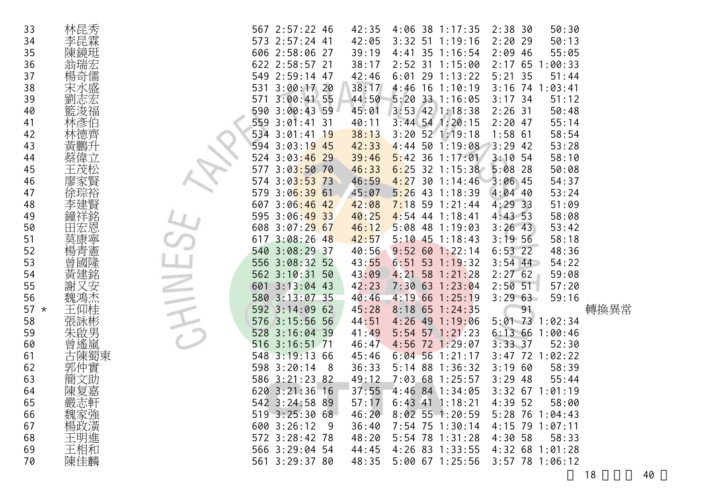| 33            | 林昆秀                                                                                       |     | 567 2:57:22 46                | 42:35 | 4:06 38 1:17:35       | 50:30<br>$2:38$ 30   |      |
|---------------|-------------------------------------------------------------------------------------------|-----|-------------------------------|-------|-----------------------|----------------------|------|
| 34            | 李昆霖                                                                                       |     | 573 2:57:24 41                | 42:05 | $3:32$ 51<br>1:19:16  | $2:20$ 29<br>50:13   |      |
| 35            |                                                                                           |     | 606 2:58:06 27                | 39:19 | 4:41 35 1:16:54       | $2:09$ 46<br>55:05   |      |
| 36            | 翁瑞宏                                                                                       |     | 622 2:58:57 21                | 38:17 | 2:52 31 1:15:00       | 2:1765<br>1:00:33    |      |
| 37            | 楊奇儒                                                                                       |     | 549 2:59:14 47                | 42:46 | 29<br>6:01<br>1:13:22 | 35<br>51:44<br>5:21  |      |
| 38            | にいしょう くらかん くちのう くろのころ とうしゃく とうしゃく とうしゃく とうしゃく くろのころ とうしゃ とうしゃ くろう とうしゃ くろう とうしゃ くろう しょうしゃ |     | 531 3:00:17 20                | 38:17 | $16$ 1:10:19<br>4:46  | $3:16$ 74<br>1:03:41 |      |
| 39            | 志宏                                                                                        | 571 | $3:00:41$ 55                  | 44:50 | 5:20 33 1:16:05       | $3:17$ 34<br>51:12   |      |
| 40            | 浚福                                                                                        |     | 590 3:00:43 59                | 45:01 | 3:53 42 1:18:38       | $2:26$ 31<br>50:48   |      |
| 41            |                                                                                           |     | 559 3:01:41 31                | 40:11 | $3:44$ 54 1:20:15     | $2:20$ 47<br>55:14   |      |
| 42            | 林德齊                                                                                       |     | 534 3:01:41 19                | 38:13 | $3:20$ 52 1:19:18     | 58:54<br>$1:58$ 61   |      |
| 43            | 黃                                                                                         |     | 594 3:03:19 45                | 42:33 | $4:44$ 50<br>1:19:08  | $3:29$ 42<br>53:28   |      |
| 44            |                                                                                           |     | 524 3:03:46 29                | 39:46 | $5:42$ 36 1:17:01     | $3:10$ 54<br>58:10   |      |
| 45            |                                                                                           | 577 | $3:03:50$ 70                  | 46:33 | $6:25$ 32 1:15:38     | 50:08<br>$5:08$ 28   |      |
| 46            |                                                                                           |     | 574 3:03:53 73                | 46:59 | 30<br>4:27<br>1:14:46 | $3:06$ 45<br>54:37   |      |
| 47            |                                                                                           |     | 579 3:0 <mark>6:39 6</mark> 1 | 45:07 | $5:26$ 43 1:18:39     | $4:04$ 40<br>53:24   |      |
| 48            |                                                                                           |     | 607 3:06:46 42                | 42:08 | $7:18$ 59 1:21:44     | 4:29.33<br>51:09     |      |
| 49            |                                                                                           |     | 595 3:06:49 33                | 40:25 | $4:54$ 44<br>1:18:41  | 58:08<br>$4:43$ 53   |      |
| 50            | 宏恩                                                                                        |     | 608 3:07:29 67                | 46:12 | $5:08$ 48 1:19:03     | $3:26$ 43<br>53:42   |      |
| 51            | 莫                                                                                         |     | $617$ 3:08:26 48              | 42:57 | $5:10$ 45 1:18:43     | 58:18<br>3:19.56     |      |
| 52            | 楊青憲                                                                                       |     | 540 3:08:29 37                | 40:56 | 9:5260<br>1:22:14     | $6:53$ 22<br>48:36   |      |
| 53            |                                                                                           |     | 556 3:08:32 52                | 43:55 | 53 1:19:32<br>6:51    | $3:54$ 44<br>54:22   |      |
| 54            | 黃建銘                                                                                       |     | 562 3:10:31 50                | 43:09 | 58<br>1:21:28<br>4:21 | 2:2762<br>59:08      |      |
| 55            | 又安                                                                                        |     | 601 3:13:04 43                | 42:23 | 7:3063<br>1:23:04     | 57:20<br>$2:50$ 51   |      |
| 56            | 鴻杰                                                                                        |     | 580 3:13:07 35                | 40:46 | 4:1966<br>1:25:19     | 3:2963<br>59:16      |      |
| 57<br>$\star$ |                                                                                           |     | 592 3:14:09 62                | 45:28 | $8:18$ 65 1:24:35     | 91                   | 轉換異常 |
| 58            |                                                                                           |     | 576 3:15:56 56                | 44:51 | $4:26$ 49<br>1:19:06  | $5:01$ 73<br>1:02:34 |      |
| 59            |                                                                                           |     | 528 3:16:04 39                | 41:49 | $5:54$ $57$ $1:21:23$ | 6:1366<br>1:00:46    |      |
| 60            | 遙嵐                                                                                        |     | 516 3:16:51 71                | 46:47 | 4:56 72 1:29:07       | 3:33.37<br>52:30     |      |
| 61            | 陳蜀東                                                                                       |     | 548 3:19:13 66                | 45:46 | $6:04$ 56<br>1:21:17  | $3:47$ 72<br>1:02:22 |      |
| 62            |                                                                                           |     | 598 3:20:14<br>- 8            | 36:33 | 5:14 88 1:36:32       | 3:1960<br>58:39      |      |
| 63            |                                                                                           |     | 586 3:21:23 82                | 49:12 | 7:03 68 1:25:57       | $3:29$ 48<br>55:44   |      |
| 64            | 陳复嘉                                                                                       |     | 620 3:21:36 16                | 37:55 | 4:46 84 1:34:05       | $3:32$ 67<br>1:01:19 |      |
| 65            | 嚴志軒                                                                                       |     | 542 3:24:58 89                | 57:17 | $6:43$ 41 1:18:21     | 58:00<br>$4:39$ 52   |      |
| 66            |                                                                                           |     | 519 3:25:30 68                | 46:20 | $8:02$ 55 1:20:59     | 5:28 76 1:04:43      |      |
| 67            | 魏家強<br>楊政潢                                                                                |     | 600 3:26:12 9                 | 36:40 | 7:54 75 1:30:14       | 4:15 79 1:07:11      |      |
| 68            | 王明進                                                                                       |     | 572 3:28:42 78                | 48:20 | $5:54$ 78 $1:31:28$   | $4:30$ 58<br>58:33   |      |
| 69            | 王相和                                                                                       |     | 566 3:29:04 54                | 44:45 | 4:26 83 1:33:55       | 4:32 68 1:01:28      |      |
| 70            | 陳佳麟                                                                                       |     | 561 3:29:37 80                | 48:35 | $5:00$ 67 1:25:56     | 3:57 78 1:06:12      |      |
|               |                                                                                           |     |                               |       |                       |                      |      |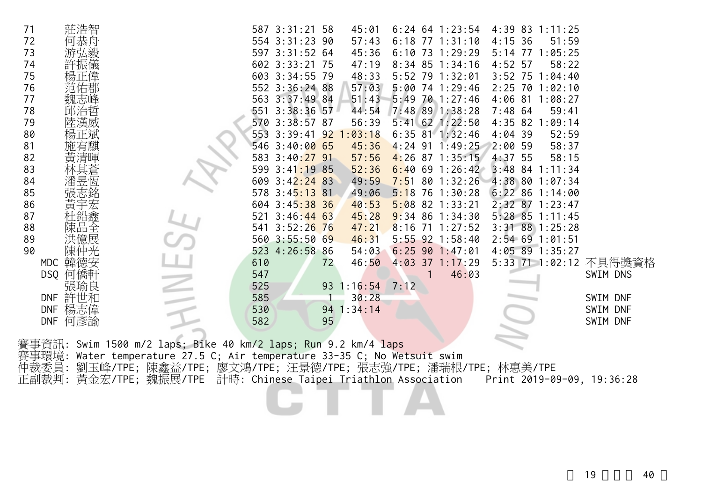| 莊浩智<br>71<br>72<br>73<br>74<br>75<br>76<br>77<br>78<br>79<br>80<br>81<br>82<br>83<br>84<br>85<br>86<br>87<br>88<br>89<br>90<br>MDC<br>韓德安<br>DSQ<br>何僑軒<br>張瑜良<br>許世和<br><b>DNF</b><br>楊志偉<br><b>DNF</b><br><b>DNF</b> | 610<br>547<br>525<br>585<br>530<br>582                                                                                                                                                                                    | 587 3:31:21 58<br>554 3:31:23 90<br>597 3:31:52 64<br>602 3:33:21 75<br>603 3:34:55 79<br>552 3:36:24 88<br>563 3:37:49 84<br>551 3:38:36 57<br>570 3:38:57 87<br>553 3:39:41 92 1:03:18<br>546 3:40:00 65<br>583 3:40:27 91<br>599 3:41:19 85<br>609 3:42:24 83<br>578 3:45:13 81<br>604 3:45:38 36<br>521 3:46:44 63<br>541 3:52:26<br>76<br>560 3:55:50 69<br>523 4:26:58 86<br>72<br>93<br>94<br>95 | 45:01<br>57:43<br>45:36<br>47:19<br>48:33<br>57:03<br>51:43<br>44:54<br>56:39<br>45:36<br>57:56<br>52:36<br>49:59<br>49:06<br>40:53<br>45:28<br>47:21<br>46:31<br>54:03<br>46:50<br>1:16:54<br>30:28<br>1:34:14 | $6:24$ 64 1:23:54<br>$6:18$ 77 $1:31:10$<br>$6:10$ 73 1:29:29<br>8:34 85 1:34:16<br>5:52 79 1:32:01<br>$5:00$ 74 1:29:46<br>5:49 70 1:27:46<br>7:48 89 1:38:28<br>$5:41$ 62 1:22:50<br>$6:35$ 81 1:32:46<br>$4:24$ 91 1:49:25<br>$4:26$ 87 1:35:15<br>$6:40$ 69 1:26:42<br>$7:51$ 80 1:32:26<br>$5:18$ 76 1:30:28<br>$5:08$ 82 1:33:21<br>$9:34$ 86 1:34:30<br>8:16 71 1:27:52<br>$5:55$ 92 1:58:40<br>$6:25$ 90 1:47:01<br>4:03 37 1:17:29<br>46:03<br>7:12 | 4:39 83 1:11:25<br>$4:15$ 36<br>51:59<br>5:14 77 1:05:25<br>$4:52$ 57<br>58:22<br>$3:52$ 75 1:04:40<br>2:25 70 1:02:10<br>4:06 81 1:08:27<br>7:4864<br>59:41<br>4:35 82 1:09:14<br>$4:04$ 39<br>52:59<br>58:37<br>2:00 59<br>$4:37$ 55<br>58:15<br>3:48 84 1:11:34<br>4:38 80 1:07:34<br>$6:22$ 86 1:14:00<br>2:32 87 1:23:47<br>5:28 85 1:11:45<br>$3:31$ 88 1:25:28<br>2:54 69 1:01:51<br>4:05 89 1:35:27<br>5:33 71 1:02:12 不具得獎資格 | SWIM DNS<br>SWIM DNF<br>SWIM DNF<br>SWIM DNF |
|------------------------------------------------------------------------------------------------------------------------------------------------------------------------------------------------------------------------|---------------------------------------------------------------------------------------------------------------------------------------------------------------------------------------------------------------------------|---------------------------------------------------------------------------------------------------------------------------------------------------------------------------------------------------------------------------------------------------------------------------------------------------------------------------------------------------------------------------------------------------------|-----------------------------------------------------------------------------------------------------------------------------------------------------------------------------------------------------------------|--------------------------------------------------------------------------------------------------------------------------------------------------------------------------------------------------------------------------------------------------------------------------------------------------------------------------------------------------------------------------------------------------------------------------------------------------------------|---------------------------------------------------------------------------------------------------------------------------------------------------------------------------------------------------------------------------------------------------------------------------------------------------------------------------------------------------------------------------------------------------------------------------------------|----------------------------------------------|
| 何彥諭                                                                                                                                                                                                                    |                                                                                                                                                                                                                           |                                                                                                                                                                                                                                                                                                                                                                                                         |                                                                                                                                                                                                                 |                                                                                                                                                                                                                                                                                                                                                                                                                                                              |                                                                                                                                                                                                                                                                                                                                                                                                                                       |                                              |
| 賽事環境:<br>仲裁委員:<br>正副裁判:                                                                                                                                                                                                | 賽事資訊: Swim 1500 m/2 laps; Bike 40 km/2 laps; Run 9.2 km/4 laps<br>Water temperature 27.5 C; Air temperature 33-35 C; No Wetsuit swim<br>劉玉峰/TPE; 陳鑫益/TPE; 廖文鴻/TPE; 汪景德/TPE; 張志強/TPE; 潘瑞根/TPE; 林惠美/TPE<br>黃金宏/TPE; 魏振展/TPE |                                                                                                                                                                                                                                                                                                                                                                                                         |                                                                                                                                                                                                                 |                                                                                                                                                                                                                                                                                                                                                                                                                                                              |                                                                                                                                                                                                                                                                                                                                                                                                                                       |                                              |
|                                                                                                                                                                                                                        |                                                                                                                                                                                                                           |                                                                                                                                                                                                                                                                                                                                                                                                         |                                                                                                                                                                                                                 |                                                                                                                                                                                                                                                                                                                                                                                                                                                              |                                                                                                                                                                                                                                                                                                                                                                                                                                       |                                              |

19 40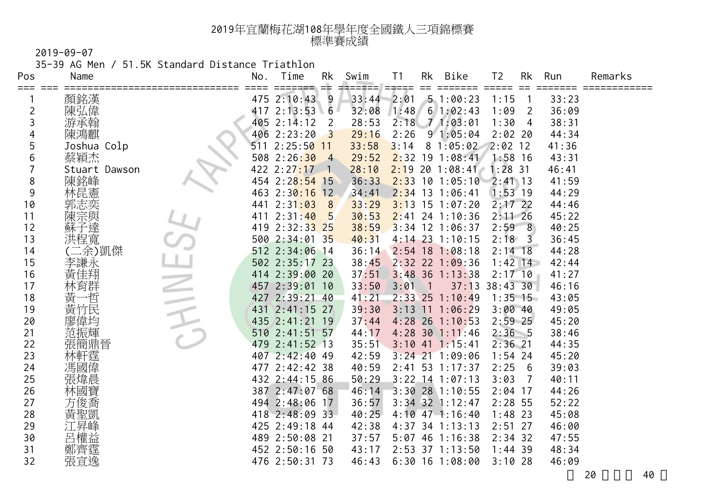2019-09-07

35-39 AG Men / 51.5K Standard Distance Triathlon

| Pos                 | Name          | No. | Time                          | Rk                  | Swim           | T <sub>1</sub> | <b>Rk</b> | <b>Bike</b>                              | T <sub>2</sub>         | Rk             | Run              | Remarks      |
|---------------------|---------------|-----|-------------------------------|---------------------|----------------|----------------|-----------|------------------------------------------|------------------------|----------------|------------------|--------------|
| === ===             |               |     | =======<br>475 2:10:43        | =E,                 | =======        | $= 2000$       | $==$      | =============                            |                        | ==             | =======<br>33:23 | ============ |
|                     | 顏銘漢<br>陳弘偉    |     | $417$ 2:13:53 6               | 9                   | 33:44          | 2:01           |           | 51:00:23                                 | 1:15<br>1:09           |                | 36:09            |              |
| $\overline{2}$<br>3 |               |     | 405 2:14:12                   |                     | 32:08<br>28:53 | 2:18           |           | $1:48 \quad 6 \quad 1:02:43$<br>71:03:01 | 1:30                   | 2              | 38:31            |              |
|                     | 游承翰           |     | 406 2:23:20                   | 2<br>$\overline{3}$ | 29:16          | 2:26           |           | 91:05:04                                 | $2:02$ 20              | $\overline{4}$ | 44:34            |              |
| 4<br>5              | 陳鴻麒           |     | 511 2:25:50 11                |                     | 33:58          |                |           | 81:05:02                                 | $2:02$ 12              |                | 41:36            |              |
|                     | Joshua Colp   |     | 508 2:26:30                   |                     | 29:52          | 3:14           |           |                                          | $1:58$ 16              |                | 43:31            |              |
| 6<br>7              | 蔡穎杰           |     | 422 2:27:17                   | $\overline{4}$      | 28:10          |                |           | $2:32$ 19 1:08:41<br>$2:19$ 20 1:08:41   | $1:28$ 31              |                | 46:41            |              |
|                     | Stuart Dawson |     |                               |                     |                |                |           |                                          |                        |                |                  |              |
| 8<br>9              | 陳銘峰           |     | 454 2:28:54 15<br>463 2:30:16 | 12                  | 36:33          |                |           | $2:33$ 10 1:05:10                        | $2:41$ 13<br>$1:53$ 19 |                | 41:59<br>44:29   |              |
| 10                  | 林昆憲           |     | 441 2:31:03                   | 8                   | 34:41<br>33:29 |                |           | $2:34$ 13 1:06:41<br>$3:13$ 15 1:07:20   | $2:17$ 22              |                | 44:46            |              |
| 11                  | 郭志奕           |     | 411 2:31:40                   | 5                   | 30:53          |                |           | $2:41$ 24 1:10:36                        | $2:11$ 26              |                | 45:22            |              |
| 12                  | 達             |     | 419 2:32:33 25                |                     | 38:59          |                |           | $3:34$ 12 1:06:37                        | $2:59$ 8               |                | 40:25            |              |
| 13                  | 洪程寬           |     | 500 2:34:01 35                |                     | 40:31          |                |           | 4:14 23 1:10:15                          | $2:18$ 3               |                | 36:45            |              |
| 14                  | 二余)凱傑         |     | 512 2:34:06 14                |                     | 36:14          |                |           | $2:54$ 18 1:08:18                        | $2:14$ 18              |                | 44:28            |              |
| 15                  | 李謙永           |     | 502 2:35:17 23                |                     | 38:45          |                |           | $2:32$ 22 1:09:36                        | $1:42$ 14              |                | 42:44            |              |
| 16                  |               |     | 414 2:39:00 20                |                     | 37:51          |                |           | 3:48 36 1:13:38                          | $2:17$ 10              |                | 41:27            |              |
| 17                  | 林育群           |     | 457 2:39:01 10                |                     | 33:50          | 3:01           |           | 37:13                                    | 38:43.30               |                | 46:16            |              |
| 18                  | 黃<br>·哲       |     | 427 2:39:21 40                |                     | 41:21          | 2:33           | 25        | 1:10:49                                  | $1:35$ 15              |                | 43:05            |              |
| 19                  | 黃竹民           |     | 431 2:41:15 27                |                     | 39:30          | 3:13           |           | 111:06:29                                | 3:0040                 |                | 49:05            |              |
| 20                  | 廖偉均           |     | 435 2:41:21 19                |                     | 37:44          | 4:28           | 26        | 1:10:53                                  | $2:59$ 25              |                | 45:20            |              |
| 21                  | 范振輝           |     | 510 2:41:51 57                |                     | 44:17          |                |           | $4:28$ 30 1:11:46                        | $2:36$ 5               |                | 38:46            |              |
| 22                  | 張簡鼎晉          |     | 479 2:41:52 13                |                     | 35:51          |                |           | $3:10$ 41 1:15:41                        | $2:36$ 21              |                | 44:35            |              |
| 23                  | 林軒霆           |     | 407 2:42:40 49                |                     | 42:59          |                |           | $3:24$ 21 1:09:06                        | $1:54$ 24              |                | 45:20            |              |
| 24                  | 馮國偉           |     | 477 2:42:42 38                |                     | 40:59          |                |           | 2:41 53 1:17:37                          | 2:25                   | - 6            | 39:03            |              |
| 25                  | 張煒晨           |     | 432 2:44:15 86                |                     | 50:29          |                |           | $3:22$ 14 1:07:13                        | 3:03                   | 7              | 40:11            |              |
| 26                  |               |     | 387 2:47:07 68                |                     | 46:14          |                |           | $3:30$ 28 1:10:55                        | $2:04$ 17              |                | 44:26            |              |
| 27                  |               |     | 494 2:48:06 17                |                     | 36:57          |                |           | 3:34 32 1:12:47                          | $2:28$ 55              |                | 52:22            |              |
| 28                  | 黃聖凱           |     | 418 2:48:09 33                |                     | 40:25          |                |           | $4:10$ 47 1:16:40                        | $1:48$ 23              |                | 45:08            |              |
| 29                  | 江昇峰           |     | 425 2:49:18 44                |                     | 42:38          | 4:37           |           | $34$ 1:13:13                             | $2:51$ 27              |                | 46:00            |              |
| 30                  | 呂權益           |     | 489 2:50:08 21                |                     | 37:57          |                |           | 5:07 46 1:16:38                          | $2:34$ 32              |                | 47:55            |              |
| 31                  | 鄭齊霆           |     | 452 2:50:16 50                |                     | 43:17          | 2:53           |           | 37 1:13:50                               | $1:44$ 39              |                | 48:34            |              |
| 32                  | 張宣逸           |     | 476 2:50:31 73                |                     | 46:43          |                |           | $6:30$ 16 1:08:00                        | $3:10$ 28              |                | 46:09            |              |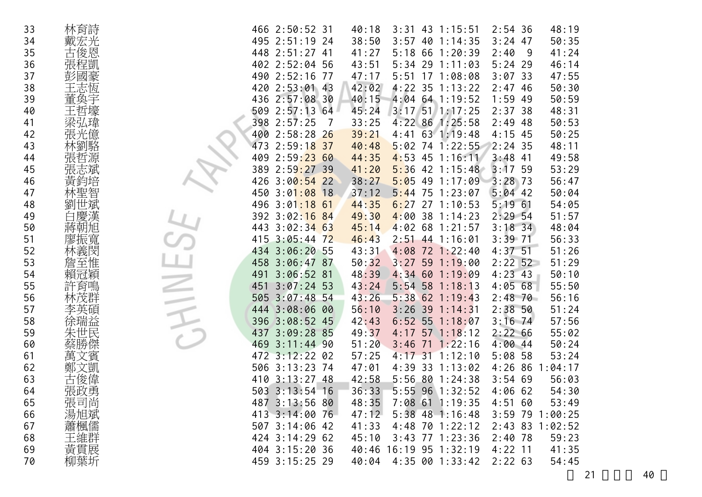| 33 | 林育詩 | 48:19<br>40:18<br>466 2:50:52 31<br>$3:31$ 43 1:15:51<br>$2:54$ 36        |
|----|-----|---------------------------------------------------------------------------|
| 34 | 戴宏光 | 495 2:51:19<br>38:50<br>$3:57$ 40 1:14:35<br>$3:24$ 47<br>24<br>50:35     |
| 35 | 古俊恩 | 448 2:51:27 41<br>41:27<br>5:18 66 1:20:39<br>2:40<br>41:24<br>9          |
| 36 | 張程凱 | 402 2:52:04 56<br>43:51<br>$5:34$ 29 1:11:03<br>$5:24$ 29<br>46:14        |
| 37 | 彭國豪 | 490 2:52:16<br>47:17<br>171:08:08<br>$3:07$ 33<br>47:55<br>5:51<br>77     |
| 38 | 王志恆 | 42:02<br>420 2:53:01 43<br>4:22 35 1:13:22<br>$2:47$ 46<br>50:30          |
| 39 | 董奂宇 | 436 2:57:08 30<br>40:15<br>4:04 64 1:19:52<br>50:59<br>$1:59$ 49          |
| 40 | 王哲壕 | 509 2:57:13 64<br>45:24<br>3:17<br>511:17:25<br>2:37.38<br>48:31          |
| 41 |     | 398 2:57:25<br>33:25<br>4:22 86 1:25:58<br>$2:49$ 48<br>50:53<br>7        |
| 42 | 張光億 | 63 1:19:48<br>50:25<br>400 2:58:28 26<br>39:21<br>4:41<br>$4:15$ 45       |
| 43 | 林劉駱 | 40:48<br>2:59:18<br>$5:02$ 74 1:22:55<br>$2:24$ 35<br>48:11<br>473<br>37  |
| 44 |     | 2:59:23<br>$4:53$ 45 1:16:11<br>$3:48$ 41<br>44:35<br>49:58<br>409<br>60  |
| 45 | 張志斌 | $2:59:27$ 39<br>$5:36$ 42 1:15:48<br>389<br>41:20<br>$3:17$ 59<br>53:29   |
| 46 | 黃鈞培 | 426 3:00:54 22<br>38:27<br>49<br>1:17:09<br>56:47<br>5:05<br>$3:28$ 73    |
| 47 | 林聖智 | 37:12<br>$5:04$ 42<br>450 3:01:08 18<br>$5:44$ 75 1:23:07<br>50:04        |
| 48 | 劉世斌 | $6:27$ 27 1:10:53<br>5:1961<br>54:05<br>496 3:01:18 61<br>44:35           |
| 49 | 慶漢  | 392 3:02:16 84<br>49:30<br>38<br>2:2954<br>51:57<br>4:00<br>1:14:23       |
| 50 | 蔣朝旭 | 443 3:02:34 63<br>45:14<br>4:02 68 1:21:57<br>$3:18$ 34<br>48:04          |
| 51 | 廖振寬 | 415 3:05:44 72<br>56:33<br>46:43<br>$2:51$ 44 1:16:01<br>$3:39$ 71        |
| 52 | 林義閔 | 434 3:06:20 55<br>43:31<br>$4:37$ 51<br>51:26<br>4:08<br>72 1:22:40       |
| 53 | 詹至惟 | 50:32<br>$2:22$ 52<br>51:29<br>458 3:06:47 87<br>3:27<br>59 1:19:00       |
| 54 | 賴冠穎 | $3:06:52$ 81<br>48:39<br>4:34 60 1:19:09<br>50:10<br>491<br>$4:23$ 43     |
| 55 | 許育鳴 | 451 3:07:24 53<br>43:24<br>$5:54$ 58 1:18:13<br>4:0568<br>55:50           |
| 56 | 林茂群 | 505 3:07:48 54<br>43:26<br>$5:38$ 62 1:19:43<br>$2:48$ 70<br>56:16        |
| 57 | 李英碵 | 444 3:08:06 00<br>56:10<br>$3:26$ 39 1:14:31<br>2:3850<br>51:24           |
| 58 | 徐瑞益 | 396 3:08:52 45<br>42:43<br>$3:16$ 74<br>57:56<br>$6:52$ 55 1:18:07        |
| 59 | 朱世民 | 2:2266<br>3:09:28<br>49:37<br>55:02<br>437<br>85<br>4:17<br>$57$ 1:18:12  |
| 60 | 蔡勝傑 | $3:11:44$ 90<br>51:20<br>50:24<br>469<br>3:46<br>$71 \t1:22:16$<br>4:0044 |
| 61 | 萬文賓 | 57:25<br>472 3:12:22<br>$4:17$ 31 1:12:10<br>5:0858<br>53:24<br>02        |
| 62 | 鄭文凱 | 506 3:13:23<br>47:01<br>4:39<br>33<br>1:13:02<br>4:2686<br>1:04:17<br>74  |
| 63 | 古俊偉 | 410 3:13:27 48<br>5:56 80 1:24:38<br>42:58<br>3:5469<br>56:03             |
| 64 | 張政勇 | 503 3:13:54 16<br>36:33<br>5:55 96 1:32:52<br>4:066<br>54:30              |
| 65 | 張司尚 | 487 3:13:56 80<br>48:35<br>7:08 61 1:19:35<br>4:5160<br>53:49             |
| 66 | 湯旭斌 | $5:38$ 48 1:16:48<br>413 3:14:00 76<br>47:12<br>$3:59$ 79 1:00:25         |
| 67 | 蕭楓儒 | 507 3:14:06 42<br>41:33<br>$4:48$ 70 1:22:12<br>2:43 83 1:02:52           |
| 68 | 王黃農 | 424 3:14:29 62<br>45:10<br>$3:43$ 77 1:23:36<br>$2:40$ 78<br>59:23        |
| 69 |     | 404 3:15:20 36<br>16:19 95 1:32:19<br>$4:22$ 11<br>40:46<br>41:35         |
| 70 | 柳葉圻 | 459 3:15:25 29<br>4:35 00 1:33:42<br>2:2263<br>54:45<br>40:04             |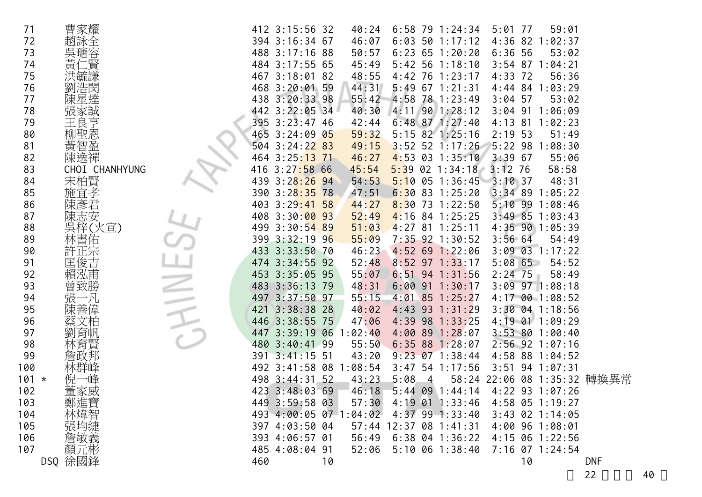| 71  |         | 曹家耀            |     | 412 3:15:56 32 |    | 40:24                  |           |                | $6:58$ 79 1:24:34      | $5:01$ 77 |    | 59:01             |                             |
|-----|---------|----------------|-----|----------------|----|------------------------|-----------|----------------|------------------------|-----------|----|-------------------|-----------------------------|
| 72  |         | 趙詠全            |     | 394 3:16:34 67 |    | 46:07                  |           |                | $6:03$ 50 1:17:12      |           |    | 4:36 82 1:02:37   |                             |
| 73  |         | 塘谷             |     | 488 3:17:16 88 |    | 50:57                  |           |                | $6:23$ 65 1:20:20      | $6:36$ 56 |    | 53:02             |                             |
| 74  |         | 戻              |     | 484 3:17:55 65 |    | 45:49                  |           |                | $5:42$ 56 1:18:10      |           |    | $3:54$ 87 1:04:21 |                             |
| 75  |         |                |     | 467 3:18:01 82 |    | 48:55                  |           |                | 4:42 76 1:23:17        | $4:33$ 72 |    | 56:36             |                             |
| 76  |         | 劉浩閔            |     | 468 3:20:01 59 |    | 44:31                  |           |                | $5:49$ 67 1:21:31      | $4:44$ 84 |    | 1:03:29           |                             |
| 77  |         | 陳星達            |     | 438 3:20:33 98 |    | 55:42                  | 4:58      |                | 78 1:23:49             | $3:04$ 57 |    | 53:02             |                             |
| 78  |         | 張家誠            |     | 442 3:22:05 34 |    | 40:30                  |           |                | 4:11 90 1:28:12        | $3:04$ 91 |    | 1:06:09           |                             |
| 79  |         | 良亨<br>王        |     | 395 3:23:47 46 |    | 42:44                  |           |                | $6:48$ 87 1:27:40      | $4:13$ 81 |    | 1:02:23           |                             |
| 80  |         |                |     | 465 3:24:09 05 |    | 59:32                  |           |                | 5:15 82 1:25:16        | $2:19$ 53 |    | 51:49             |                             |
| 81  |         | 智盈<br>寅        |     | 504 3:24:22 83 |    | 49:15                  |           |                | $3:52$ 52 1:17:26      | $5:22$ 98 |    | 1:08:30           |                             |
| 82  |         | 陳逸禪            |     | 464 3:25:13 71 |    | 46:27                  |           |                | $4:53$ 03 1:35:10      | $3:39$ 67 |    | 55:06             |                             |
| 83  |         | CHOI CHANHYUNG | 416 | 3:27:5866      |    | 45:54                  |           |                | $5:39$ 02 1:34:18      | $3:12$ 76 |    | 58:58             |                             |
| 84  |         | 宋柏賢            |     | 439 3:28:26 94 |    | 54:53                  |           |                | $5:10$ 05 1:36:45      | 3:10.37   |    | 48:31             |                             |
| 85  |         | 施宜孝            |     | 390 3:28:35 78 |    | 47:51                  |           |                | $6:30$ 83 1:25:20      | $3:34$ 89 |    | 1:05:22           |                             |
| 86  |         | 陳彥君            |     | 403 3:29:41 58 |    | 44:27                  | $8:30$ 73 |                | 1:22:50                | $5:10$ 99 |    | 1:08:46           |                             |
| 87  |         | 陳志安            |     | 408 3:30:00 93 |    | 52:49                  |           |                | $4:16$ 84 1:25:25      |           |    | 3:49 85 1:03:43   |                             |
| 88  |         | 吳梓(火宣)         |     | 499 3:30:54 89 |    | 51:03                  |           |                | 4:27 81 1:25:11        |           |    | 4:35 90 1:05:39   |                             |
| 89  |         |                |     | 399 3:32:19 96 |    | 55:09                  |           |                | 7:35 92 1:30:52        | 3:5664    |    | 54:49             |                             |
| 90  |         |                |     | 433 3:33:50 70 |    | 46:23                  |           |                | 4:52 69 1:22:06        |           |    | $3:09$ 03 1:17:22 |                             |
| 91  |         | 匡俊吉            |     | 474 3:34:55 92 |    | 52:48                  |           |                | 8:52 97 1:33:17        | $5:08$ 65 |    | 54:52             |                             |
| 92  |         |                |     | 453 3:35:05 95 |    | 55:07                  |           |                | $6:51$ 94 1:31:56      | $2:24$ 75 |    | 58:49             |                             |
| 93  |         | 致勝             |     | 483 3:36:13 79 |    | 48:31                  |           |                | $6:00$ 91 1:30:17      |           |    | $3:09$ 97 1:08:18 |                             |
| 94  |         | 張              |     | 497 3:37:50 97 |    | 55:15                  |           |                | $4:01$ 85 1:25:27      |           |    | $4:17$ 00 1:08:52 |                             |
| 95  |         | 陳善偉            |     | 421 3:38:38 28 |    | 40:02                  |           |                | 4:43 93 1:31:29        |           |    | $3:30$ 04 1:18:56 |                             |
| 96  |         |                |     | 446 3:38:55 75 |    | 47:06                  | 4:39.98   |                | 1:33:25                |           |    | 4:19 01 1:09:29   |                             |
| 97  |         | 育帆             |     | 447 3:39:19 06 |    | 1:02:40                |           |                | 4:00 89 1:28:07        |           |    | $3:53$ 80 1:00:40 |                             |
| 98  |         |                |     | 480 3:40:41 99 |    | 55:50                  | 6:3588    |                | 1:28:07                |           |    | 2:56 92 1:07:16   |                             |
| 99  |         |                |     | 391 3:41:15 51 |    | 43:20                  |           |                | $9:23$ 07 1:38:44      |           |    | 4:58 88 1:04:52   |                             |
| 100 |         | 林群峰            |     | 492 3:41:58 08 |    | 1:08:54                |           |                | $3:47$ 54 1:17:56      |           |    | $3:51$ 94 1:07:31 |                             |
|     | $101 *$ | 峰<br>倪         |     | 498 3:44:31 52 |    | 43:23                  | 5:08      | $\overline{4}$ |                        |           |    |                   | 58:24 22:06 08 1:35:32 轉換異常 |
| 102 |         | 董家威            |     | 423 3:48:03 69 |    | 46:18                  |           |                | $5:44$ 09 1:44:14      |           |    | 4:22 93 1:07:26   |                             |
| 103 |         |                |     | 449 3:59:58 03 |    | 57:30                  |           |                | $4:19$ 01 1:33:46      |           |    | 4:58 05 1:19:27   |                             |
| 104 |         | 鄭進寶<br>林煒智     |     |                |    | 493 4:00:05 07 1:04:02 |           |                | 4:37 99 1:33:40        |           |    | 3:43 02 1:14:05   |                             |
| 105 |         | 張均緁義           |     | 397 4:03:50 04 |    |                        |           |                | 57:44 12:37 08 1:41:31 |           |    | 4:00 96 1:08:01   |                             |
| 106 |         |                |     | 393 4:06:57 01 |    | 56:49                  |           |                | $6:38$ 04 1:36:22      |           |    | 4:15 06 1:22:56   |                             |
| 107 |         | 顏元彬            |     | 485 4:08:04 91 |    | 52:06                  |           |                | $5:10$ 06 1:38:40      |           |    | 7:16 07 1:24:54   |                             |
|     |         | DSQ 徐國鋒        | 460 |                | 10 |                        |           |                |                        |           | 10 |                   | <b>DNF</b>                  |
|     |         |                |     |                |    |                        |           |                |                        |           |    |                   |                             |

22 40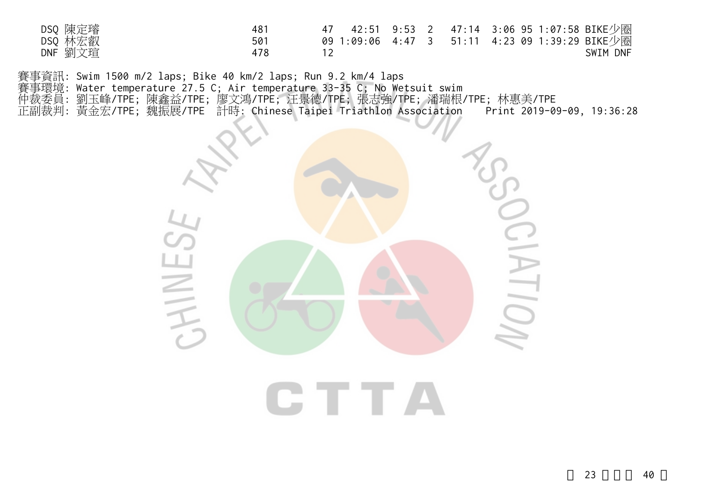| DSQ 陳定璿 | 481 |  | 42:51    9:53    2      47:14    3:06  95  1:07:58  BIKE少圈 |
|---------|-----|--|------------------------------------------------------------|
| DSQ 林宏叡 | 501 |  | 09 1:09:06 4:47 3  51:11 4:23 09 1:39:29 BIKE少圈            |
| DNF 劉文瑄 |     |  | SWIM DNF                                                   |

賽事資訊: Swim 1500 m/2 laps; Bike 40 km/2 laps; Run 9.2 km/4 laps 賽事環境: Water temperature 27.5 C; Air temperature 33-35 C; No Wetsuit swim 仲裁委員: 劉玉峰/TPE; 陳鑫益/TPE; 廖文鴻/TPE; 汪景德/TPE; 張志強/TPE; 潘瑞根/TPE; 林惠美/TPE 正副裁判: 黃金宏/TPE; 魏振展/TPE 計時: Chinese Taipei Triathlon Association Print 2019-09-09, 19:36:28

 $\sum_{i=1}^{n}$ HINES  $\sum$ 

CTTA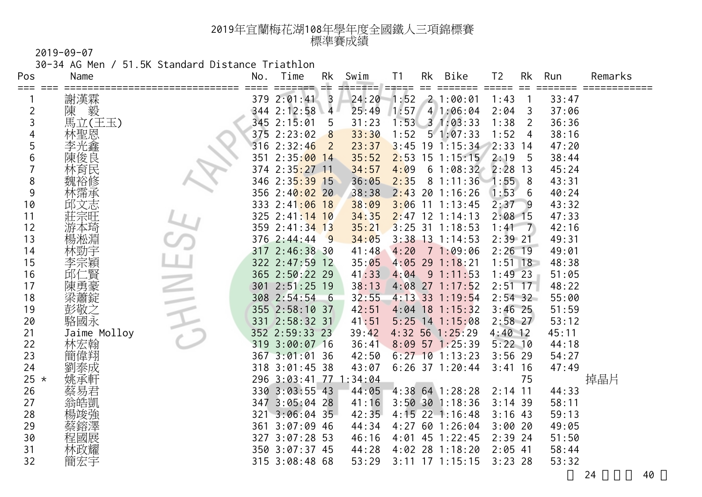30-34 AG Men / 51.5K Standard Distance Triathlon

| Pos            | Name                | No. | Time                   | Rk                   | Swim                    | T <sub>1</sub> | Rk   | <b>Bike</b>       | T <sub>2</sub> | Rk              | Run              | Remarks      |
|----------------|---------------------|-----|------------------------|----------------------|-------------------------|----------------|------|-------------------|----------------|-----------------|------------------|--------------|
| === ===        | ============<br>謝漢霖 |     | =======<br>379 2:01:41 | =Þ<br>$\overline{3}$ | =======<br>$24:20$ 1:52 | $= 2000$       | $==$ | 2 1:00:01         | 1:43           | ==              | =======<br>33:47 | ============ |
| $\overline{2}$ | 毅<br>陳              |     | 344 2:12:58 4          |                      | 25:49                   | 1:57           |      | 41:06:04          | 2:04           | 3               | 37:06            |              |
| 3              | 馬立(王玉)              |     | 345 2:15:01            | 5                    | 31:23                   | 1:53           |      | 31:03:33          | 1:38           | 2               | 36:36            |              |
| 4              | 林聖恩                 |     | 375 2:23:02            | 8                    | 33:30                   | 1:52           |      | 51:07:33          | 1:52           | 4               | 38:16            |              |
| 5              |                     |     | 316 2:32:46            | 2                    | 23:37                   |                |      | $3:45$ 19 1:15:34 | $2:33$ 14      |                 | 47:20            |              |
| 6              | 陳俊良                 |     | 351 2:35:00 14         |                      | 35:52                   |                |      | $2:53$ 15 1:15:15 | 2:19           | -5              | 38:44            |              |
| $\overline{7}$ | 林育民                 |     | 374 2:35:27 11         |                      | 34:57                   | 4:09           |      | 61:08:32          | $2:28$ 13      |                 | 45:24            |              |
| 8              | 魏裕修                 |     | 346 2:35:39 15         |                      | 36:05                   | 2:35           |      | 81:11:36          | 1:55           | - 8             | 43:31            |              |
| 9              | 林霈承                 |     | 356 2:40:02 20         |                      | 38:38                   | 2:43           |      | $20$ 1:16:26      | 1:53           | $6\phantom{1}6$ | 40:24            |              |
| 10             | 邱文志                 |     | 333 2:41:06 18         |                      | 38:09                   |                |      | $3:06$ 11 1:13:45 | 2:37           | 9               | 43:32            |              |
| 11             | 莊宗旺                 |     | 325 2:41:14 10         |                      | 34:35                   |                |      | $2:47$ 12 1:14:13 | $2:08$ 15      |                 | 47:33            |              |
| 12             | 游本琦                 |     | 359 2:41:34 13         |                      | 35:21                   |                |      | $3:25$ 31 1:18:53 | $1:41 \quad 7$ |                 | 42:16            |              |
| 13             | 楊淞淵                 |     | $376$ $2:44:44$        | 9                    | 34:05                   |                |      | $3:38$ 13 1:14:53 | $2:39$ 21      |                 | 49:31            |              |
| 14             |                     |     | 317 2:46:38 30         |                      | 41:48                   | 4:20           |      | 71:09:06          | $2:26$ 19      |                 | 49:01            |              |
| 15             | 李宗穎                 |     | 322 2:47:59 12         |                      | 35:05                   |                |      | 4:05 29 1:18:21   | $1:51$ 18      |                 | 48:38            |              |
| 16             |                     |     | 365 2:50:22 29         |                      | 41:33                   | 4:04           |      | $9 \t1:11:53$     | $1:49$ 23      |                 | 51:05            |              |
| 17             |                     |     | 301 2:51:25 19         |                      | 38:13                   |                |      | $4:08$ 27 1:17:52 | $2:51$ 17      |                 | 48:22            |              |
| 18             | 梁蕭錠                 |     | 308 2:54:54            | 6                    | 32:55                   |                |      | 4:13 33 1:19:54   | $2:54$ 32      |                 | 55:00            |              |
| 19             | 彭敬之<br>駱國永          |     | 355 2:58:10 37         |                      | 42:51                   |                |      | $4:04$ 18 1:15:32 | $3:46$ 25      |                 | 51:59            |              |
| 20             |                     |     | 331 2:58:32 31         |                      | 41:51                   |                |      | $5:25$ 14 1:15:08 | $2:58$ 27      |                 | 53:12            |              |
| 21             | Jaime Molloy        |     | 352 2:59:33 23         |                      | 39:42                   |                |      | $4:32$ 56 1:25:29 | $4:40$ 12      |                 | 45:11            |              |
| 22             | 林宏翰                 |     | 319 3:00:07 16         |                      | 36:41                   |                |      | $8:09$ 57 1:25:39 | $5:22$ 10      |                 | 44:18            |              |
| 23             | 簡偉翔                 |     | 367 3:01:01 36         |                      | 42:50                   |                |      | $6:27$ 10 1:13:23 | $3:56$ 29      |                 | 54:27            |              |
| 24             | 劉泰成                 |     | 318 3:01:45 38         |                      | 43:07                   |                |      | $6:26$ 37 1:20:44 | $3:41$ 16      |                 | 47:49            |              |
| $25 *$         | 姚承軒                 |     | 296 3:03:41 77 1:34:04 |                      |                         |                |      |                   |                | 75              |                  | 掉晶片          |
| 26             |                     |     | 330 3:03:55 43         |                      | 44:05                   |                |      | 4:38 64 1:28:28   | $2:14$ 11      |                 | 44:33            |              |
| 27             |                     |     | 347 3:05:04 28         |                      | 41:16                   |                |      | $3:50$ 30 1:18:36 | $3:14$ 39      |                 | 58:11            |              |
| 28             |                     |     | 321 3:06:04 35         |                      | 42:35                   |                |      | $4:15$ 22 1:16:48 | $3:16$ 43      |                 | 59:13            |              |
| 29             |                     |     | 361 3:07:09 46         |                      | 44:34                   |                |      | 4:27 60 1:26:04   | 3:0020         |                 | 49:05            |              |
| 30             | 程國展<br>林政耀          |     | 327 3:07:28 53         |                      | 46:16                   |                |      | 4:01 45 1:22:45   | $2:39$ 24      |                 | 51:50            |              |
| 31             |                     |     | 350 3:07:37 45         |                      | 44:28                   |                |      | 4:02 28 1:18:20   | $2:05$ 41      |                 | 58:44            |              |
| 32             | 簡宏宇                 |     | 315 3:08:48 68         |                      | 53:29                   |                |      | $3:11$ 17 1:15:15 | $3:23$ 28      |                 | 53:32            |              |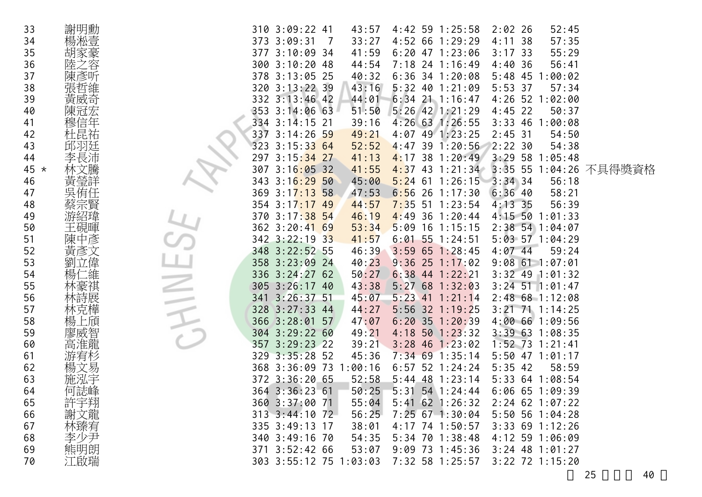| 33 |        | 謝明勳        |   | 310 3:09:22 41         | 43:57 | $4:42$ 59 1:25:58         | $2:02$ 26 | 52:45               |                                                         |
|----|--------|------------|---|------------------------|-------|---------------------------|-----------|---------------------|---------------------------------------------------------|
| 34 |        | 楊淞壹        |   | 373 3:09:31<br>7       | 33:27 | 4:52 66 1:29:29           | $4:11$ 38 | 57:35               |                                                         |
| 35 |        | 胡家豪        |   | 377 3:10:09 34         | 41:59 | $6:20$ 47 1:23:06         | $3:17$ 33 | 55:29               |                                                         |
| 36 |        | 陸之容        |   | 300 3:10:20 48         | 44:54 | 7:18 24 1:16:49           | 4:40.36   | 56:41               |                                                         |
| 37 |        | 陳彥听        |   | 378 3:13:05 25         | 40:32 | $6:36$ 34 1:20:08         |           | 5:48 45 1:00:02     |                                                         |
| 38 |        | 張哲維        |   | 320 3:13:22 39         | 43:16 | $5:32$ 40 1:21:09         | $5:53$ 37 | 57:34               |                                                         |
| 39 |        | 黃威奇        |   | 332 3:13:46 42         | 44:01 | $6:34$ 21 1:16:47         |           | 4:26 52 1:02:00     |                                                         |
| 40 |        |            |   | 353 3:14:06 63         | 51:50 | $5:26$ 42 1:21:29         | $4:45$ 22 | 50:37               |                                                         |
| 41 |        | 穆信年        |   | 334 3:14:15 21         | 39:16 | 4:26 63 1:26:55           | $3:33$ 46 | 1:00:08             |                                                         |
| 42 |        | 杜昆祐        |   | 337 3:14:26 59         | 49:21 | 4:07 49 1:23:25           | $2:45$ 31 | 54:50               |                                                         |
| 43 |        | 邱羽廷        |   | 323 3:15:33 64         | 52:52 | $4:47$ 39 1:20:56         | 2:22 30   | 54:38               |                                                         |
| 44 |        | 李長沛        |   | 297 3:15:34 27         | 41:13 | $4:17$ 38 1:20:49         |           | 3:29 58 1:05:48     |                                                         |
|    | $45 *$ | 林文騰        |   | 307 3:16:05 32         | 41:55 |                           |           |                     | <mark>-4:</mark> 37 43 1:21:34 - 3:35 55 1:04:26 不具得獎資格 |
| 46 |        | 黃瑩詳        |   | 343 3:16:29 50         | 45:00 | $5:24$ 61 1:26:15 3:34 34 |           | 56:18               |                                                         |
| 47 |        | 吳侑任        |   | 369 3:17:13 58         | 47:53 | $6:56$ 26 1:17:30         | $6:36$ 40 | 58:21               |                                                         |
| 48 |        | 蔡宗賢        |   | 354 3:17:17 49         | 44:57 | $7:35$ 51 1:23:54         | $4:13$ 35 | 56:39               |                                                         |
| 49 |        | 游紹瑋        |   | 370 3:17:38 54         | 46:19 | $4:49$ 36 1:20:44         |           | 4:15 50 1:01:33     |                                                         |
| 50 |        | 王硯暉        |   | 362 3:20:41 69         | 53:34 | $5:09$ 16 1:15:15         |           | 2:38 54 1:04:07     |                                                         |
| 51 |        | 陳中彥        |   | 342 3:22:19 33         | 41:57 | $6:01$ 55 1:24:51         |           | 5:03 57 1:04:29     |                                                         |
| 52 |        | 黃彥文        |   | 348 3:22:52 55         | 46:39 | $3:59$ 65 1:28:45         | $4:07$ 44 | 59:24               |                                                         |
| 53 |        | 劉立偉        |   | 358 3:23:09 24         | 40:23 | $9:36$ 25 1:17:02         |           | $9:08$ 61 1:07:01   |                                                         |
| 54 |        |            |   | 336 3:24:27 62         | 50:27 | 6:38 44 1:22:21           |           | $3:32$ 49 1:01:32   |                                                         |
| 55 |        | 楊仁維<br>林豪祺 |   | 305 3:26:17 40         | 43:38 | $5:27$ 68 1:32:03         |           | $3:24$ 51 1:01:47   |                                                         |
| 56 |        | 林詩展        | 三 | 341 3:26:37 51         | 45:07 | $5:23$ 41 1:21:14         |           | $2:48$ 68 1:12:08   |                                                         |
| 57 |        | 林克樺        |   | 328 3:27:33 44         | 44:27 | $5:56$ 32 1:19:25         |           | $3:21$ 71 1:14:25   |                                                         |
| 58 | 楊      |            |   | 366 3:28:01 57         | 47:07 | $6:20$ 35 1:20:39         |           | 4:00 66 1:09:56     |                                                         |
| 59 |        |            |   | 304 3:29:22 60         | 49:21 | $4:18$ 50 $1:23:32$       |           | $3:39$ 63 1:08:35   |                                                         |
| 60 |        | 高淮龍        |   | 357 3:29:23 22         | 39:21 | $3:28$ 46 1:23:02         |           | $1:52$ 73 $1:21:41$ |                                                         |
| 61 |        | 游宥杉        |   | 329 3:35:28 52         | 45:36 | $7:34$ 69 1:35:14         |           | $5:50$ 47 1:01:17   |                                                         |
| 62 |        | 楊文易        |   | 368 3:36:09 73 1:00:16 |       | $6:57$ 52 1:24:24         | $5:35$ 42 | 58:59               |                                                         |
| 63 |        | 施泓宇        |   | 372 3:36:20 65         | 52:58 | $5:44$ 48 1:23:14         |           | 5:33 64 1:08:54     |                                                         |
| 64 |        | 何誌峰        |   | 364 3:36:23 61         | 50:25 | $5:31$ 54 1:24:44         |           | $6:06$ 65 1:09:39   |                                                         |
| 65 |        | 許宇翔        |   | 360 3:37:00 71         | 55:04 | $5:41$ 62 1:26:32         |           | $2:24$ 62 1:07:22   |                                                         |
| 66 |        | 謝文龍        |   | 313 3:44:10 72         | 56:25 | 7:25 67 1:30:04           |           | 5:50 56 1:04:28     |                                                         |
| 67 |        | 林臻宥        |   | 335 3:49:13 17         | 38:01 | 4:17 74 1:50:57           |           | $3:33$ 69 1:12:26   |                                                         |
| 68 |        | 李少尹        |   | 340 3:49:16 70         | 54:35 | $5:34$ 70 $1:38:48$       |           | 4:12 59 1:06:09     |                                                         |
| 69 |        | 熊明朗        |   | 371 3:52:42 66         | 53:07 | $9:09$ 73 1:45:36         |           | $3:24$ 48 1:01:27   |                                                         |
| 70 |        | 江啟瑞        |   | 303 3:55:12 75 1:03:03 |       | 7:32 58 1:25:57           |           | 3:22 72 1:15:20     |                                                         |
|    |        |            |   |                        |       |                           |           |                     |                                                         |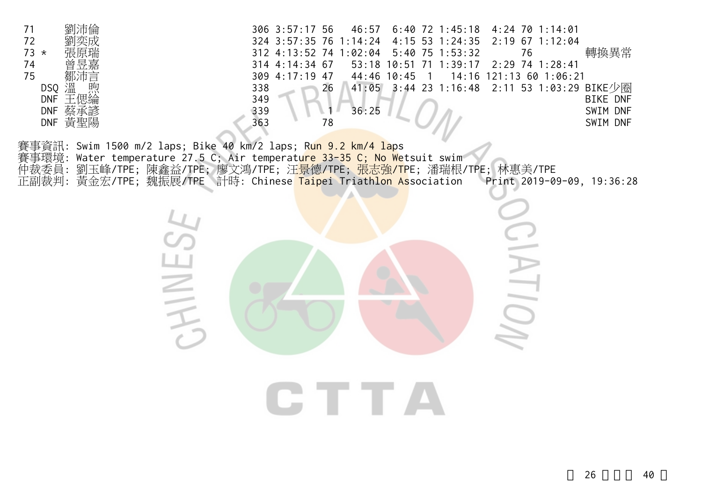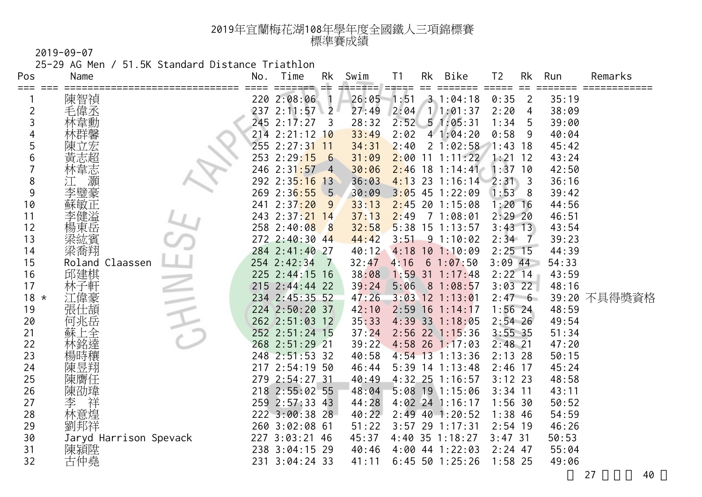25-29 AG Men / 51.5K Standard Distance Triathlon

| Pos    | Name                   | No. | Time                      | Rk             | Swim             | T <sub>1</sub>                               | Rk | Bike                | T <sub>2</sub> | Rk | Run   | Remarks      |
|--------|------------------------|-----|---------------------------|----------------|------------------|----------------------------------------------|----|---------------------|----------------|----|-------|--------------|
|        | 陳智禎                    |     | ====<br>220 2:08:06       | ≕              | =======<br>26:05 | $\equiv \equiv \equiv \equiv \equiv$<br>1:51 |    | $3 \t1:04:18$       | 0:35           | 2  | 35:19 |              |
| 2      | 毛偉丞                    |     | $237$ 2:11:57             | $\overline{2}$ | 27:49            | 2:04                                         |    | $1 \; 1:01:37$      | 2:20           | 4  | 38:09 |              |
| 3      |                        |     | 245 2:17:27               | 3              | 28:32            | 2:52                                         |    | 51:05:31            | 1:34           | 5  | 39:00 |              |
| 4      |                        |     | 214 2:21:12 10            |                | 33:49            | 2:02                                         |    | 41:04:20            | 0:58           | 9  | 40:04 |              |
| 5      |                        |     | $255$ $2:27:31$           | 11             | 34:31            | 2:40                                         |    | 21:02:58            | $1:43$ 18      |    | 45:42 |              |
| 6      |                        |     | 253 2:29: <mark>15</mark> | 6              | 31:09            | 2:00                                         |    | $11 \t1:11:22$      | 1:21           | 12 | 43:24 |              |
|        | 違志                     |     | $246$ $2:31:57$           | 4              | 30:06            |                                              |    | $2:46$ 18 1:14:41   | $1:37$ 10      |    | 42:50 |              |
| 8      | 灝                      |     | 292 2:35:16               | 13             | 36:03            | 4:13                                         |    | $23 \t1:16:14$      | $2:31 \quad 3$ |    | 36:16 |              |
| 9      | 李璧豪                    |     | 269 2:36:55               | $-5$           | 30:09            |                                              |    | $3:05$ 45 1:22:09   | 1:53           | -8 | 39:42 |              |
| 10     | 蘇敏正                    |     | 241 2:37:20               | 9              | 33:13            |                                              |    | $2:45$ 20 1:15:08   | $1:20$ 16      |    | 44:56 |              |
| 11     | 李健溢                    |     | 243 2:37:21 14            |                | 37:13            | 2:49                                         |    | 71:08:01            | $2:29$ 20      |    | 46:51 |              |
| 12     | 楊東岳                    |     | 258 2:40:08               | 8              | 32:58            |                                              |    | $5:38$ 15 1:13:57   | $3:43$ 13      |    | 43:54 |              |
| 13     | 梁紘賓                    |     | 272 2:40:30 44            |                | 44:42            | 3:51                                         |    | 91:10:02            | $2:34$ 7       |    | 39:23 |              |
| 14     | 梁喬翔                    |     | 284 2:41:40 27            |                | 40:12            | 4:18                                         |    | 101:10:09           | $2:25$ 15      |    | 44:39 |              |
| 15     | Roland Claassen        |     | 254 2:42:34               | 7              | 32:47            | 4:16                                         |    | 61:07:50            | $3:09$ 44      |    | 54:33 |              |
| 16     | 邱建棋                    |     | 225 2:44:15               | 16             | 38:08            | 1:59                                         |    | $31 \t1:17:48$      | $2:22$ 14      |    | 43:59 |              |
| 17     |                        |     | 215 2:44:44 22            |                | 39:24            | 5:06                                         |    | 81:08:57            | $3:03$ 22      |    | 48:16 |              |
| $18 *$ |                        |     | 234 2:45:35 52            |                | 47:26            | 3:03                                         |    | $12$ 1:13:01        | 2:476          |    |       | 39:20 不具得獎資格 |
| 19     | 強                      |     | 224 2:50:20 37            |                | 42:10            | 2:59                                         | 16 | 1:14:17             | $1:56$ 24      |    | 48:59 |              |
| 20     | 何兆岳                    |     | 262 2:51:03 12            |                | 35:33            |                                              |    | 4:39 33 1:18:05     | $2:54$ 26      |    | 49:54 |              |
| 21     | 上全                     |     | 252 2:51:24 15            |                | 37:24            |                                              |    | $2:56$ 22 1:15:36   | $3:55$ 35      |    | 51:34 |              |
| 22     |                        |     | 268 2:51:29 21            |                | 39:22            |                                              |    | $4:58$ 26 1:17:03   | $2:48$ 21      |    | 47:20 |              |
| 23     |                        |     | 248 2:51:53 32            |                | 40:58            |                                              |    | 4:54 13 1:13:36     | $2:13$ 28      |    | 50:15 |              |
| 24     | 陳昱翔                    |     | 217 2:54:19 50            |                | 46:44            |                                              |    | $5:39$ 14 1:13:48   | $2:46$ 17      |    | 45:24 |              |
| 25     | 陳膺任                    |     | 279 2:54:27 31            |                | 40:49            |                                              |    | 4:32 25 1:16:57     | $3:12$ 23      |    | 48:58 |              |
| 26     | 陳劭瑋                    |     | 218 2:55:02 55            |                | 48:04            |                                              |    | 5:08 19 1:15:06     | $3:34$ 11      |    | 43:11 |              |
| 27     | 李                      |     | 259 2:57:33 43            |                | 44:28            |                                              |    | 4:02 24 1:16:17     | $1:56$ 30      |    | 50:52 |              |
| 28     | 林意煌                    |     | 222 3:00:38 28            |                | 40:22            |                                              |    | $2:49$ 40 1:20:52   | $1:38$ 46      |    | 54:59 |              |
| 29     | 劉邦祥                    |     | 260 3:02:08 61            |                | 51:22            |                                              |    | $3:57$ 29 1:17:31   | $2:54$ 19      |    | 46:26 |              |
| 30     | Jaryd Harrison Spevack |     | 227 3:03:21 46            |                | 45:37            |                                              |    | 4:40 35 1:18:27     | $3:47$ 31      |    | 50:53 |              |
| 31     | 陳潁陞                    |     | 238 3:04:15 29            |                | 40:46            |                                              |    | 4:00 44 1:22:03     | $2:24$ 47      |    | 55:04 |              |
| 32     | 古仲堯                    |     | 231 3:04:24 33            |                | 41:11            |                                              |    | $6:45$ 50 $1:25:26$ | $1:58$ 25      |    | 49:06 |              |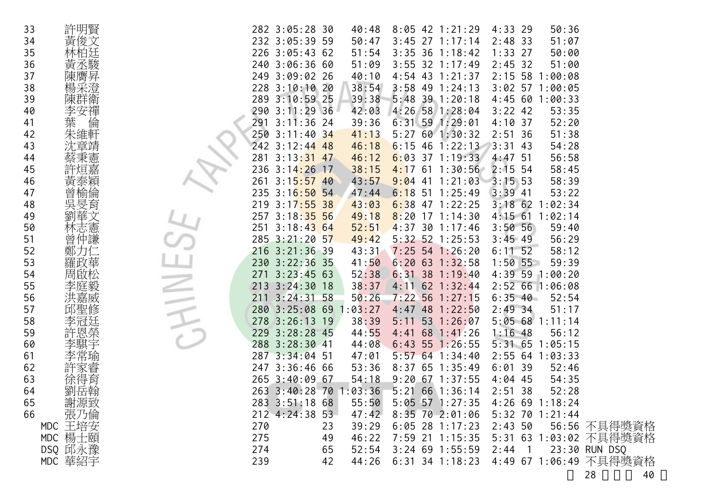| 33 | 許明賢     |                          |                | 282 3:05:28 30   | 40:48                  |           | $8:05$ 42 1:21:29 | $4:33$ 29 | 50:36               |                        |
|----|---------|--------------------------|----------------|------------------|------------------------|-----------|-------------------|-----------|---------------------|------------------------|
| 34 | 黃       |                          |                | 232 3:05:39 59   | 50:47                  |           | $3:45$ 27 1:17:14 | $2:48$ 33 | 51:07               |                        |
| 35 |         |                          | 226 3:05:43 62 |                  | 51:54                  |           | $3:35$ 36 1:18:42 | $1:33$ 27 | 50:00               |                        |
| 36 | 黃丞駿     |                          | 240 3:06:36 60 |                  | 51:09                  |           | $3:55$ 32 1:17:49 | $2:45$ 32 | 51:00               |                        |
| 37 | 陳膺昇     |                          |                | 249 3:09:02 26   | 40:10                  |           | $4:54$ 43 1:21:37 |           | 2:15 58 1:00:08     |                        |
| 38 | 楊采澄     |                          | 228 3:10:10 20 |                  | 38:54                  |           | $3:58$ 49 1:24:13 |           | $3:02$ 57 1:00:05   |                        |
| 39 | 陳群衛     |                          |                | 289 3:10:59 25   | 39:38                  |           | $5:48$ 39 1:20:18 |           | 4:45 60 1:00:33     |                        |
| 40 | 李安禪     |                          |                | 290 3:11:29 36   | 42:03                  |           | 4:26 58 1:28:04   | $3:22$ 42 | 53:35               |                        |
| 41 | 倫<br>葉  |                          |                | 291 3:11:36 24   | 39:36                  |           | $6:31$ 59 1:29:01 | 4:10.37   | 52:20               |                        |
| 42 | 朱維軒     |                          |                | 250 3:11:40 34   | 41:13                  |           | 5:27601:30:32     | $2:51$ 36 | 51:38               |                        |
| 43 |         |                          |                | 242 3:12:44 48   | 46:18                  |           | $6:15$ 46 1:22:13 | $3:31$ 43 | 54:28               |                        |
| 44 | 沈章靖     |                          | 281 3:13:31 47 |                  | 46:12                  |           | $6:03$ 37 1:19:33 | $4:47$ 51 | 56:58               |                        |
| 45 | 許烜嘉     |                          | 236 3:14:26 17 |                  | 38:15                  |           | $4:17$ 61 1:30:56 | $2:15$ 54 | 58:45               |                        |
| 46 | 黃泰穎     |                          | 261            | $3:15:57$ 40     | 43:57                  |           | $9:04$ 41 1:21:03 | $3:15$ 53 | 58:39               |                        |
| 47 | 曾榆倫     |                          |                | 235 3:16:50 54   | 47:44                  |           | $6:18$ 51 1:25:49 | $3:39$ 41 | 53:22               |                        |
| 48 | 吳旻育     |                          |                | 219 3:17:55 38   | 43:03                  |           | $6:38$ 47 1:22:25 |           | $3:18$ 62 1:02:34   |                        |
| 49 | 劉華文     |                          |                | 257 3:18:35 56   | 49:18                  |           | $8:20$ 17 1:14:30 |           | $4:15$ 61 1:02:14   |                        |
| 50 | 林志憲     |                          |                | 251 3:18:43 64   | 52:51                  |           | 4:37 30 1:17:46   | 3:50.56   | 59:40               |                        |
| 51 | 曾仲謙     |                          |                | $285$ 3:21:20 57 | 49:42                  |           | $5:32$ 52 1:25:53 | $3:45$ 49 | 56:29               |                        |
| 52 |         |                          |                | 216 3:21:36 39   | 43:31                  |           | $7:25$ 54 1:26:20 | $6:11$ 52 | 58:12               |                        |
| 53 |         |                          |                | 230 3:22:36 35   | 41:50                  |           | $6:20$ 63 1:32:58 | $1:50$ 55 | 59:39               |                        |
| 54 | 周啟松     |                          |                | 271 3:23:45 63   | 52:38                  |           | $6:31$ 38 1:19:40 |           | 4:39 59 1:00:20     |                        |
| 55 | 李庭毅     |                          |                | 213 3:24:30 18   | 38:37                  | 4:11      | $62$ 1:32:44      |           | 2:52 66 1:06:08     |                        |
| 56 | 洪嘉威     | $\overline{\phantom{a}}$ |                | 211 3:24:31 58   | 50:26                  | $7:22$ 56 | 1:27:15           | $6:35$ 40 | 52:54               |                        |
| 57 | 邱聖修     | $\qquad \qquad =\qquad$  |                | 280 3:25:08 69   | :03:27<br>-1           |           | $4:47$ 48 1:22:50 | $2:49$ 34 | 51:17               |                        |
| 58 | 李冠廷     |                          |                | 278 3:26:13 19   | 38:39                  | 5:11      | $53$ 1:26:07      |           | 5:05681:11:14       |                        |
| 59 | 許恩榮     |                          |                | 229 3:28:28 45   | 44:55                  | 4:41      | 68 1:41:26        | $1:16$ 48 | 56:12               |                        |
| 60 |         |                          | 288 3:28:30 41 |                  | 44:08                  |           | $6:43$ 55 1:26:55 |           | 5:31 65 1:05:15     |                        |
| 61 | 李常瑜     |                          | 287 3:34:04 51 |                  | 47:01                  |           | $5:57$ 64 1:34:40 |           | 2:55 64 1:03:33     |                        |
| 62 | 許家睿     |                          |                | 247 3:36:46 66   | 53:36                  |           | 8:37 65 1:35:49   | $6:01$ 39 | 52:46               |                        |
| 63 | 徐得育     |                          |                | 265 3:40:09 67   | 54:18                  |           | $9:20$ 67 1:37:55 | $4:04$ 45 | 54:35               |                        |
| 64 | 劉岳翰     |                          |                |                  | 263 3:40:28 70 1:03:36 |           | $5:21$ 66 1:36:14 | $2:51$ 38 | 52:28               |                        |
| 65 | 謝源致     |                          |                | 283 3:51:18 68   | 55:50                  |           | 5:05 57 1:27:35   |           | $4:26$ 69 1:18:24   |                        |
| 66 | 張乃倫     |                          |                | 212 4:24:38 53   | 47:42                  |           | 8:35 70 2:01:06   |           | $5:32$ 70 $1:21:44$ |                        |
|    | MDC 王培安 |                          | 270            | 23               | 39:29                  |           | $6:05$ 28 1:17:23 | 2:4350    |                     | 56:56 不具得獎資格           |
|    | MDC 楊士頤 |                          | 275            | 49               | 46:22                  |           | 7:59 21 1:15:35   |           |                     | 5:31 63 1:03:02 不具得獎資格 |
|    | DSQ 邱永豫 |                          | 274            | 65               | 52:54                  |           | $3:24$ 69 1:55:59 | $2:44$ 1  |                     | 23:30 RUN DSQ          |
|    | MDC 華紹宇 |                          | 239            | 42               | 44:26                  |           | $6:31$ 34 1:18:23 |           |                     | 4:49 67 1:06:49 不具得獎資格 |
|    |         |                          |                |                  |                        |           |                   |           |                     | 28<br>40               |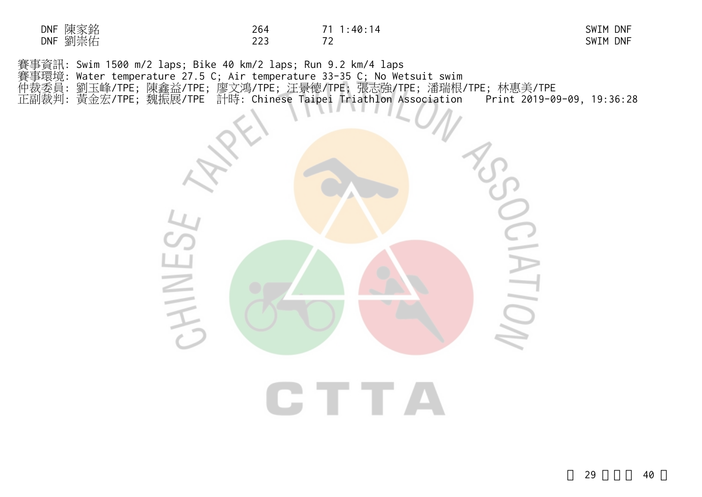| 陳家銘<br><b>DNF</b> | 264             | :40:<br>4                            | SWIM<br><b>DNF</b> |
|-------------------|-----------------|--------------------------------------|--------------------|
| 劉崇佑<br><b>DNF</b> | <u>_</u><br>ᅩㄥJ | $\overline{\phantom{a}}$<br><u>_</u> | SWIM<br><b>DNF</b> |

賽事資訊: Swim 1500 m/2 laps; Bike 40 km/2 laps; Run 9.2 km/4 laps 賽事環境: Water temperature 27.5 C; Air temperature 33-35 C; No Wetsuit swim 仲裁委員: 劉玉峰/TPE; 陳鑫益/TPE; 廖文鴻/TPE; 汪景德/TPE; 張志強/TPE; 潘瑞根/TPE; 林惠美/TPE 正副裁判: 黃金宏/TPE; 魏振展/TPE 計時: Chinese Taipei Triathlon Association Print 2019-09-09, 19:36:28



CTTA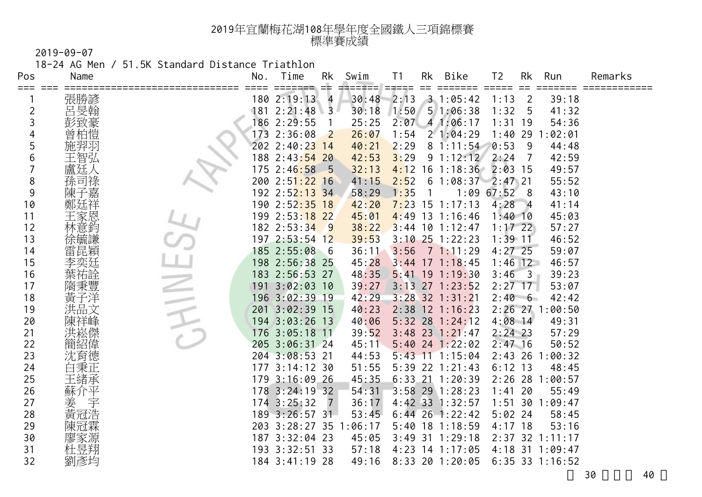2019-09-07

18-24 AG Men / 51.5K Standard Distance Triathlon

| Pos     | Name          | No. | Time                   | Rk<br>=E       | Swim           | T <sub>1</sub>       | Rk   | Bike                         | T <sub>2</sub> | Rk                     | Run                 | Remarks                     |
|---------|---------------|-----|------------------------|----------------|----------------|----------------------|------|------------------------------|----------------|------------------------|---------------------|-----------------------------|
| === === | $==$<br>張勝諺   |     | :====<br>180 2:19:13   | $\overline{4}$ | =====<br>30:48 | <b>EQECE</b><br>2:13 | $==$ | ===== =====<br>$3 \t1:05:42$ | 1:13           | $==$<br>$\overline{2}$ | =====<br>39:18      | $=$ = = = = = = = = = = = = |
| 2       | 呂旻翰           |     | $181 \t2:21:48$        | 3              | 30:18          | 1:50                 |      | 51:06:38                     | 1:32           | 5                      | 41:32               |                             |
| 3       | 彭致豪           |     | 186 2:29:55            | $\mathbf{1}$   | 25:25          | 2:07                 |      | 41:06:17                     | $1:31$ 19      |                        | 54:36               |                             |
| 4       | 曾柏愷           |     | 173 2:36:08            | $\overline{2}$ | 26:07          | 1:54                 |      | 21:04:29                     | $1:40$ 29      |                        | 1:02:01             |                             |
| 5       | 施羿羽           |     | 202 2:40:23 14         |                | 40:21          | 2:29                 | 8    | 1:11:54                      | 0:53           | 9                      | 44:48               |                             |
| 6       |               |     | 188 2:43:54 20         |                | 42:53          | 3:29                 | 9    | 1:12:12                      | 2:24           | 7                      | 42:59               |                             |
|         |               |     | 175 2:46:58            |                | 32:13          |                      |      | $4:12$ 16 1:18:36            | $2:03$ 15      |                        | 49:57               |                             |
| 8       | 孫司祿           |     | 200 2:51:22 16         |                | 41:15          | 2:52                 | 6    | 1:08:37                      | $2:47$ 21      |                        | 55:52               |                             |
| 9       | 子嘉            |     | 192 2:52:13 34         |                | 58:29          | 1:35                 |      |                              | $1:09$ 67:52 8 |                        | 43:10               |                             |
| 10      |               |     | 190 2:52:35 18         |                | 42:20          | 7:23                 | 15   | 1:17:13                      | 4:28           | $\overline{4}$         | 41:14               |                             |
| 11      | 王家恩           |     | 199 2:53:18 22         |                | 45:01          | 4:49                 |      | $13 \t1:16:46$               | $1:40$ 10      |                        | 45:03               |                             |
| 12      | 林意鈞           |     | 182 2:53:34            | -9             | 38:22          | $3:44$ 10            |      | 1:12:47                      | $1:17$ 22      |                        | 57:27               |                             |
| 13      | 徐毓謙           |     | 197 2:53:54 12         |                | 39:53          |                      |      | $3:10$ 25 1:22:23            | $1:39$ 11      |                        | 46:52               |                             |
| 14      | 雷昆穎           |     | 185 2:55:08            | -6             | 36:11          | 3:56                 |      | 71:11:29                     | $4:27$ 25      |                        | 59:07               |                             |
| 15      |               |     | 198 2:56:38 25         |                | 45:28          |                      |      | $3:44$ 17 1:18:45            | $1:46$ 12      |                        | 46:57               |                             |
| 16      | 葉祐詮           |     | 183 2:56:53 27         |                | 48:35          |                      |      | $5:41$ 19 1:19:30            | $3:46 \quad 3$ |                        | 39:23               |                             |
| 17      | 隋秉豐           |     | 191 3:02:03 10         |                | 39:27          |                      |      | $3:13$ 27 1:23:52            | $2:27$ 17      |                        | 53:07               |                             |
| 18      | 子洋<br>±±<br>寅 |     | 196 3:02:39 19         |                | 42:29          |                      |      | $3:28$ 32 1:31:21            | $2:40 \quad 6$ |                        | 42:42               |                             |
| 19      | 洪品文           |     | 201 3:02:39 15         |                | 40:23          |                      |      | $2:38$ 12 1:16:23            |                |                        | 2:26 27 1:00:50     |                             |
| 20      |               |     | 194 3:03:26 13         |                | 40:06          |                      |      | 5:32 28 1:24:12              | $4:08$ 14      |                        | 49:31               |                             |
| 21      |               |     | 176 3:05:18 11         |                | 39:52          | 3:48                 | 23   | 1:21:47                      | $2:24$ 23      |                        | 57:29               |                             |
| 22      | 簡紹偉           |     | 205 3:06:31 24         |                | 45:11          |                      |      | $5:40$ 24 1:22:02            | $2:47$ 16      |                        | 50:52               |                             |
| 23      | 沈育德           |     | 204 3:08:53 21         |                | 44:53          |                      |      | $5:43$ 11 1:15:04            | $2:43$ 26      |                        | 1:00:32             |                             |
| 24      | 白秉正           |     | 177 3:14:12 30         |                | 51:55          |                      |      | 5:39 22 1:21:43              | $6:12$ 13      |                        | 48:45               |                             |
| 25      | 王緒承           |     | 179 3:16:09 26         |                | 45:35          |                      |      | 6:33 21 1:20:39              | $2:26$ 28      |                        | 1:00:57             |                             |
| 26      | 蘇介平           |     | 178 3:24:19 32         |                | 54:31          |                      |      | 3:58 29 1:28:23              | $1:41$ 20      |                        | 55:49               |                             |
| 27      | 一<br>姜<br>黃冠浩 |     | $174$ 3:25:32          | 7              | 36:17          | $4:42$ 33            |      | 1:32:57                      |                |                        | $1:51$ 30 $1:09:47$ |                             |
| 28      |               |     | 189 3:26:57 31         |                | 53:45          |                      |      | $6:44$ 26 1:22:42            | $5:02$ 24      |                        | 58:45               |                             |
| 29      | 陳冠霖           |     | 203 3:28:27 35 1:06:17 |                |                |                      |      | 5:40 18 1:18:59              | $4:17$ 18      |                        | 53:16               |                             |
| 30      | 廖家源           |     | 187 3:32:04 23         |                | 45:05          |                      |      | 3:49 31 1:29:18              |                |                        | 2:37 32 1:11:17     |                             |
| 31      | 杜昱翔           |     | 193 3:32:51 33         |                | 57:18          |                      |      | 4:23 14 1:17:05              |                |                        | 4:18 31 1:09:47     |                             |
| 32      | 劉彥均           |     | 184 3:41:19 28         |                | 49:16          |                      |      | 8:33 20 1:20:05              |                |                        | 6:35 33 1:16:52     |                             |
|         |               |     |                        |                |                |                      |      |                              |                |                        |                     | 40<br>30                    |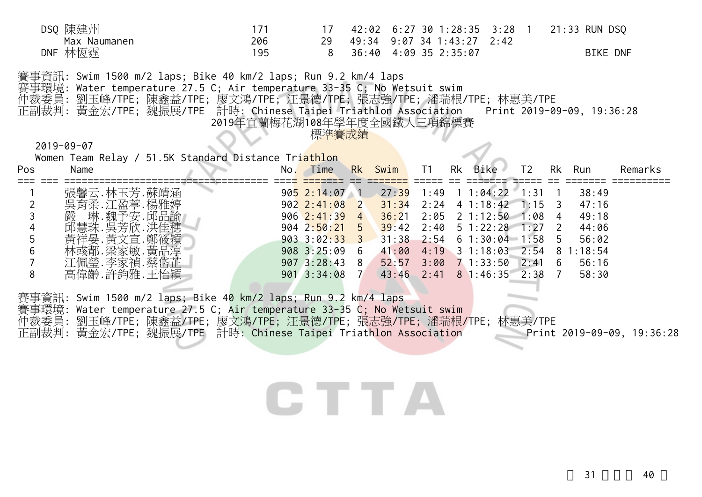| DSQ 陳建州                                                                                                                                                                                                                                                                                                                                                                                     | 171                                                 | 17<br>42:02                                                                                                                                                                            | $6:27$ 30 1:28:35<br>3:28                                                                                                                                                                                            | 21:33 RUN DSQ<br>$\overline{1}$                                                                                                                                      |         |
|---------------------------------------------------------------------------------------------------------------------------------------------------------------------------------------------------------------------------------------------------------------------------------------------------------------------------------------------------------------------------------------------|-----------------------------------------------------|----------------------------------------------------------------------------------------------------------------------------------------------------------------------------------------|----------------------------------------------------------------------------------------------------------------------------------------------------------------------------------------------------------------------|----------------------------------------------------------------------------------------------------------------------------------------------------------------------|---------|
| Max Naumanen<br>DNF 林恆霆                                                                                                                                                                                                                                                                                                                                                                     | 206<br>195                                          | 29<br>36:40<br>8                                                                                                                                                                       | 49:34 9:07 34 1:43:27<br>2:42<br>4:09 35 2:35:07                                                                                                                                                                     | <b>BIKE DNF</b>                                                                                                                                                      |         |
| 賽事資訊: Swim 1500 m/2 laps; Bike 40 km/2 laps; Run 9.2 km/4 laps<br>賽事環境: Water temperature 27.5 C; Air temperature 33-35 C; No Wetsuit swim<br>仲裁委員: 劉玉峰/TPE; 陳鑫益/TPE; 廖文鴻/TPE; 汪景德/TPE; 張志強/TPE; 潘瑞根/TPE; 林惠美/TPE<br>正副裁判: 黃金宏/TPE; 魏振展/TPE 計時: Chinese Taipei Triathlon Association Print 2019-09-09, 19:36:28<br>$2019 - 09 - 07$                                                         | 2019年宜蘭梅花湖108年學年度全國鐵人三項錦標賽                          | 標準賽成績                                                                                                                                                                                  |                                                                                                                                                                                                                      |                                                                                                                                                                      |         |
| Women Team Relay / 51.5K Standard Distance Triathlon<br>Pos<br>Name                                                                                                                                                                                                                                                                                                                         | No. Time                                            | Rk<br>Swim                                                                                                                                                                             | Rk Bike<br>T <sub>1</sub>                                                                                                                                                                                            | T <sub>2</sub><br>Rk<br>Run                                                                                                                                          | Remarks |
| 張馨云.林玉芳.蘇靖涵<br>吳育柔.江盈葶.楊雅婷<br>$\overline{2}$<br>嚴<br>琳.魏予安.邱品諭<br>3<br>邱慧珠. 吳芳欣. 洪佳穗<br>黃祥晏. 黃文宣. 鄭筱穎<br>4<br>5<br>6<br>林彧郬.梁家敏.黃品淳<br>江佩瑩.李家禎.蔡岱芷<br>8<br>高偉齡.許鈞雅.王怡穎<br>賽事資訊: Swim 1500 m/2 laps; Bike 40 km/2 laps; Run 9.2 km/4 laps<br>賽事環境: Water temperature 27.5 C; Air temperature 33-35 C; No Wetsuit swim<br>仲裁委員: 劉玉峰/TPE; 陳鑫益/TPE; 廖文鴻/TPE; 汪景德/TPE; 張志強/TPE; 潘瑞根/TPE; 林惠美/TPE | $902 \t2:41:08$<br>$904 \ \ 2:50:21$<br>901 3:34:08 | $905$ 2:14:07 1<br>27:39<br>31:34<br>$\overline{2}$<br>$906$ $2:41:39$ 4<br>36:21<br>-5<br>$903$ 3:02:33 3<br>908 3:25:09 6<br>41:00<br>907 3:28:43 8<br>52:57<br>43:46<br>$7^{\circ}$ | 1:49<br>$1\;1:04:22\;1:31$<br>2:24<br>41:18:421:15<br>2:05<br>21:12:501:08<br>$39:42$ 2:40<br>$5\;1:22:28\;1:27$<br>$31:38$ 2:54<br>61:30:041:58<br>31:18:032:54<br>4:19<br>71:33:50<br>3:00<br>2:41<br>81:46:352:38 | 38:49<br>$\overline{\phantom{0}}$<br>47:16<br>$\overline{3}$<br>49:18<br>$\overline{4}$<br>44:06<br>2<br>56:02<br>-5<br>81:18:54<br>2:41<br>56:16<br>6<br>58:30<br>7 |         |
| 正副裁判: 黃金宏/TPE; 魏振展/TPE 計時: Chinese Taipei Triathlon Association                                                                                                                                                                                                                                                                                                                             |                                                     |                                                                                                                                                                                        |                                                                                                                                                                                                                      | Print 2019-09-09, 19:36:28                                                                                                                                           |         |
|                                                                                                                                                                                                                                                                                                                                                                                             |                                                     |                                                                                                                                                                                        |                                                                                                                                                                                                                      |                                                                                                                                                                      |         |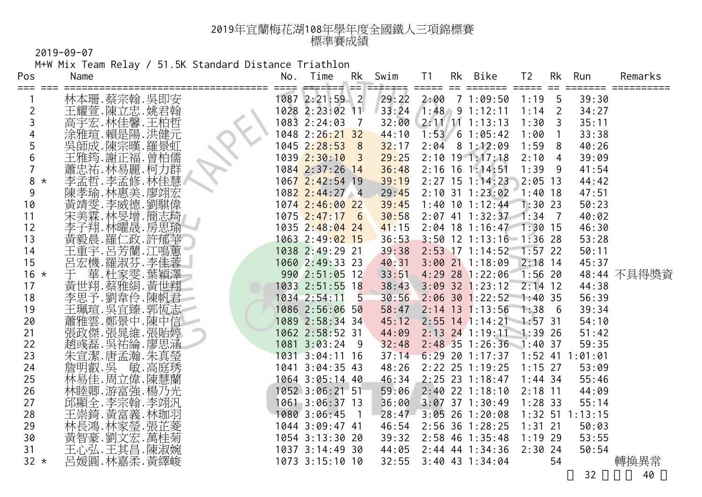M+W Mix Team Relay / 51.5K Standard Distance Triathlon

| Pos            | Name                                                                                                 | No.  | Time<br>ampoints of concept conce | Rk                         | Swim  | T1 | Rk | Bike                        | T <sub>2</sub> | Rk                      | Run                 | Remarks     |
|----------------|------------------------------------------------------------------------------------------------------|------|-----------------------------------|----------------------------|-------|----|----|-----------------------------|----------------|-------------------------|---------------------|-------------|
|                | 林本珊.蔡宗翰.吳即安                                                                                          | ==== | $1087$ 2:21:59 2                  |                            | 29:22 |    |    | $2:00$ 7 1:09:50            | $1:19$ 5       | $==$                    | 39:30               |             |
| 2              |                                                                                                      |      | 1028 2:23:02 11                   |                            |       |    |    | 33:24 1:48 9 1:12:11        | $1:14$ 2       |                         | 34:27               |             |
| 3              |                                                                                                      |      | $1083$ $2:24:03$                  | $\overline{7}$             | 32:00 |    |    | $2:11$ 11 1:13:13           | 1:30           | $\overline{\mathbf{3}}$ | 35:11               |             |
| $\overline{4}$ |                                                                                                      |      | 1048 2:26:21 32                   |                            | 44:10 |    |    | $1:53$ 6 1:05:42            | 1:00           | $\overline{1}$          | 33:38               |             |
| 5              |                                                                                                      |      | 1045 2:28:53 8                    |                            | 32:17 |    |    | $2:04$ 8 1:12:09            | $1:59$ 8       |                         | 40:26               |             |
| 6              | 王雅筠.謝正福.曾柏儒                                                                                          |      | 1039 2:30:10                      | $\overline{\phantom{a}}$ 3 | 29:25 |    |    | $2:10$ 19 1:17:18           | $2:10$ 4       |                         | 39:09               |             |
|                | 蕭忠祐.林易麗.柯力群                                                                                          |      | 1084 2:37:26 14                   |                            | 36:48 |    |    | 2:16 16 1:14:51             | 1:39           | - 9                     | 41:54               |             |
| 8<br>$\star$   | 李孟哲.李孟修.林佳慧                                                                                          |      | 1067 2:42:54 19                   |                            | 39:19 |    |    | $2:27$ 15 1:14:23           | $2:05$ 13      |                         | 44:42               |             |
| 9              |                                                                                                      |      | 1082 2:44:27 4                    |                            | 29:45 |    |    | $2:10$ 31 1:23:02           | $1:40$ 18      |                         | 47:51               |             |
| 10             |                                                                                                      |      | 1074 2:46:00 22                   |                            | 39:45 |    |    | $1:40$ 10 $1:12:44$ 1:30 23 |                |                         | 50:23               |             |
| 11             | 于陳黃宋李清長子,我要來來,我是天子,我是天子,我是在我,我是我,我是我,我是我,我是我,我是是我的。」 "我是是我的,我是是我的。」 "我的话,我的话,我的话,我的话,我的话,我的话,我的话,我的话 |      | 1075 2:47:17 6                    |                            | 30:58 |    |    | $2:07$ 41 1:32:37 1:34      |                | $\overline{7}$          | 40:02               |             |
| 12             |                                                                                                      |      | 1035 2:48:04 24                   |                            | 41:15 |    |    | 2:04 18 1:16:47 1:30 15     |                |                         | 46:30               |             |
| 13             |                                                                                                      |      | 1063 2:49:02 15                   |                            | 36:53 |    |    | $3:50$ 12 1:13:16 1:36 28   |                |                         | 53:28               |             |
| 14             | 王重字.呂芳蘭.江鳴蕙                                                                                          |      | 1038 2:49:29 21                   |                            | 39:38 |    |    | 2:53 17 1:14:52 1:57 22     |                |                         | 50:11               |             |
| 15             | 呂宏機.羅淑芬.李佳蓉                                                                                          |      | 1060 2:49:33 23                   |                            | 40:31 |    |    | $3:00$ 21 1:18:09           | $2:18$ 14      |                         | 45:37               |             |
| $16 *$         | 于一華.杜家雯.葉穎澤<br>黃世翔.蔡雅絹.黃世翔<br>李思子.劉韋伶.陳帆君.                                                           |      | 990 2:51:05 12                    |                            | 33:51 |    |    | $4:29$ 28 1:22:06           | $1:56$ 20      |                         |                     | 48:44 不具得獎資 |
| 17             |                                                                                                      |      | 1033 2:51:55 18                   |                            | 38:43 |    |    | $3:09$ 32 1:23:12           | $2:14$ 12      |                         | 44:38               |             |
| 18             |                                                                                                      |      | 1034 2:54:11                      | $5\overline{)}$            | 30:56 |    |    | $2:06$ 30 1:22:52 1:40 35   |                |                         | 56:39               |             |
| 19             | ·王珮瑄 ·吳宜臻 ·郭恆志<br>蕭雅雲 ·鄭景中 ·陳中信                                                                      |      | 1086 2:56:06 50                   |                            | 58:47 |    |    | $2:14$ 13 1:13:56           | $1:38$ 6       |                         | 39:34               |             |
| 20             |                                                                                                      |      | 1089 2:58:34 34                   |                            | 45:12 |    |    | 2:55 14 1:14:21 1:57 31     |                |                         | 54:10               |             |
| 21             | 張政傑.張晁維.張貽婷                                                                                          |      | 1062 2:58:52 31                   |                            | 44:09 |    |    | 2:13 24 1:19:11 1:39 26     |                |                         | 51:42               |             |
| 22             | 趙彧磊. 吳祐綸. 廖思涵                                                                                        |      | 1081 3:03:24 9                    |                            | 32:48 |    |    | 2:48 35 1:26:36 1:40 37     |                |                         | 59:35               |             |
| 23             | 朱宣潔.唐孟瀚.朱真瑩                                                                                          |      | 1031 3:04:11 16                   |                            | 37:14 |    |    | $6:29$ 20 1:17:37           |                |                         | $1:52$ 41 $1:01:01$ |             |
| 24             | 詹明叡.吳 敏.高庭琇                                                                                          |      | 1041 3:04:35 43                   |                            | 48:26 |    |    | 2:22 25 1:19:25             | $1:15$ 27      |                         | 53:09               |             |
| 25             | 林易佳.周立偉.陳慧蘭                                                                                          |      | 1064 3:05:14 40                   |                            | 46:34 |    |    | $2:25$ 23 1:18:47           | $1:44$ 34      |                         | 55:46               |             |
| 26             | 林睦卿.游富強.楊乃光<br>邱顯全.李宗翰.李翊汎<br>王崇錡.黄富義.林珈羽.                                                           |      | 1052 3:06:21 51                   |                            | 59:06 |    |    | $2:40$ 22 1:18:10           | $2:18$ 11      |                         | 44:09               |             |
| 27             |                                                                                                      |      | 1061 3:06:37 13                   |                            | 36:00 |    |    | $3:07$ 37 1:30:49           | $1:28$ 33      |                         | 55:14               |             |
| 28             |                                                                                                      |      | 1080 3:06:45                      | $\overline{1}$             | 28:47 |    |    | $3:05$ 26 1:20:08           |                |                         | 1:32 51 1:13:15     |             |
| 29             | 林長鴻.林家瑩.張芷菱                                                                                          |      | 1044 3:09:47 41                   |                            | 46:54 |    |    | 2:56 36 1:28:25             | $1:31$ 21      |                         | 50:03               |             |
| 30             | 黃智豪.劉文宏.萬桂菊                                                                                          |      | 1054 3:13:30 20                   |                            | 39:32 |    |    | 2:58 46 1:35:48             | $1:19$ 29      |                         | 53:55               |             |
| 31             | 王心弘.王其昌.陳淑婉                                                                                          |      | 1037 3:14:49 30                   |                            | 44:05 |    |    | 2:44 44 1:34:36             | $2:30$ 24      |                         | 50:54               |             |
| $32 *$         | 呂媛圓.林嘉柔.黃繹峻                                                                                          |      | 1073 3:15:10 10                   |                            | 32:55 |    |    | $3:40$ 43 1:34:04           |                | 54                      |                     | 轉換異常        |
|                |                                                                                                      |      |                                   |                            |       |    |    |                             |                |                         | 32                  | 40          |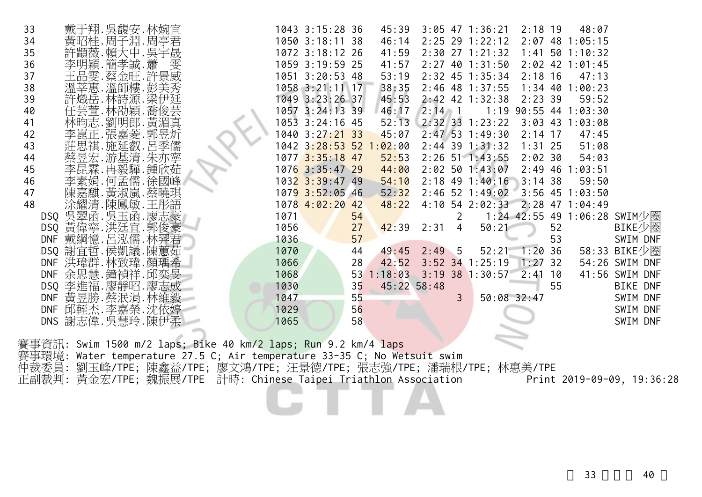| 33<br>34 |                                    | -翔.吳馥安.林婉宜<br>黃昭桂.周子淵.周亭君 |                                           |                                                                          |      | 1043 3:15:28 36<br>1050 3:18:11 38 |    | 45:39<br>46:14 |                |                | 3:05 47 1:36:21<br>$2:25$ 29 1:22:12   | $2:18$ 19         |    | 48:07<br>2:07 48 1:05:15               |                 |  |
|----------|------------------------------------|---------------------------|-------------------------------------------|--------------------------------------------------------------------------|------|------------------------------------|----|----------------|----------------|----------------|----------------------------------------|-------------------|----|----------------------------------------|-----------------|--|
| 35<br>36 |                                    | 許顓薇.賴大中.吳宇晟               |                                           |                                                                          |      | 1072 3:18:12 26<br>1059 3:19:59 25 |    | 41:59<br>41:57 |                |                | $2:30$ 27 1:21:32<br>$2:27$ 40 1:31:50 |                   |    | $1:41$ 50 $1:10:32$<br>2:02 42 1:01:45 |                 |  |
| 37       |                                    | 李明穎.簡孝誠.蕭                 |                                           |                                                                          |      | 1051 3:20:53 48                    |    | 53:19          |                |                | 2:32 45 1:35:34                        | $2:18$ 16         |    | 47:13                                  |                 |  |
| 38       |                                    |                           |                                           |                                                                          |      | 1058 3:21:11 17                    |    | 38:35          |                |                | 2:46 48 1:37:55                        |                   |    | 1:34 40 1:00:23                        |                 |  |
| 39       |                                    |                           | 于治寒:蔡金旺:許景,<br>溫莘惠:溫師樓:彭秀<br>許熾岳:林詩源:梁伊廷: |                                                                          |      | 1049 3:23:26 37                    |    | 45:53          |                |                | 2:42 42 1:32:38                        | 2:23.39           |    | 59:52                                  |                 |  |
| 40       |                                    | 任芸萱.林劭穎.喬俊芸               |                                           |                                                                          |      | 1057 3:24:13 39                    |    | 46:17          | $2:14 \t1$     |                |                                        |                   |    | 1:19 90:55 44 1:03:30                  |                 |  |
| 41       |                                    | 林昀志.劉明郎.黃湄真               |                                           |                                                                          |      | 1053 3:24:16 45                    |    | 52:13          |                |                | $2:32$ 33 1:23:22                      |                   |    | 3:03 43 1:03:08                        |                 |  |
| 42       |                                    | 李崑正.張嘉菱.郭昱炘               |                                           |                                                                          |      | 1040 3:27:21 33                    |    | 45:07          |                |                | $2:47$ 53 1:49:30                      | $2:14$ 17         |    | 47:45                                  |                 |  |
| 43       |                                    | 莊思祺.施延叡.呂季儒               |                                           |                                                                          |      | 1042 3:28:53 52 1:02:00            |    |                |                |                | $2:44$ 39 1:31:32                      | $1:31$ 25         |    | 51:08                                  |                 |  |
| 44       |                                    | 蔡昱宏.游基清.朱亦寧               |                                           |                                                                          |      | 1077 3:35:18 47                    |    | 52:53          |                |                | 2:26 51 1:43:55                        | $2:02$ 30         |    | 54:03                                  |                 |  |
| 45       |                                    | 李昆霖.冉毅驊.鍾欣茹               |                                           |                                                                          |      | 1076 3:35:47 29                    |    | 44:00          |                |                | $2:02$ 50 1:43:07                      |                   |    | 2:49 46 1:03:51                        |                 |  |
| 46       |                                    | 何孟儒.徐國峰                   |                                           |                                                                          |      | 1032 3:39:47 49                    |    | 54:10          |                |                | $2:18$ 49 1:40:16                      | $3:14$ 38         |    | 59:50                                  |                 |  |
| 47       |                                    | 陳嘉麒. 黃淑嵐. 蔡曉琪             |                                           |                                                                          |      | 1079 3:52:05 46                    |    | 52:32          |                |                | $2:46$ 52 1:49:02                      |                   |    | $3:56$ 45 1:03:50                      |                 |  |
| 48       |                                    | 涂耀清.陳鳳敏.王彤語               |                                           |                                                                          |      | 1078 4:02:20 42                    |    | 48:22          |                |                | 4:10 54 2:02:33 2:28 47 1:04:49        |                   |    |                                        |                 |  |
|          | DSQ 吴翠函.吴玉函.廖志豪<br>DSQ 黄偉寧.洪廷宜.郭俊豪 |                           |                                           |                                                                          | 1071 |                                    | 54 |                |                | $\overline{2}$ |                                        |                   |    | 1:24 42:55 49 1:06:28 SWIM少圈           |                 |  |
|          |                                    |                           |                                           |                                                                          | 1056 |                                    | 27 |                | $42:39$ $2:31$ | $\overline{4}$ | 50:21                                  |                   | 52 |                                        | BIKE少圈          |  |
|          | DNF 戴綱憶. 呂泓儒. 林羿君                  |                           |                                           |                                                                          | 1036 |                                    | 57 |                |                |                |                                        |                   | 53 |                                        | SWIM DNF        |  |
|          | DSQ 謝宜哲.侯凱議.陳蕙茹                    |                           |                                           |                                                                          | 1070 |                                    | 44 | 49:45          | $2:49$ 5       |                |                                        | $52:21$ $1:20$ 36 |    | 58:33 BIKE少圈                           |                 |  |
|          | DNF 洪瑋群. 林致瑋. 顏瑀希                  |                           |                                           |                                                                          | 1066 |                                    | 28 |                |                |                | 42:52 3:52 34 1:25:19 1:27 32          |                   |    | 54:26 SWIM DNF                         |                 |  |
|          | DNF 余思慧. 鐘禎祥. 邱奕旻                  |                           |                                           |                                                                          | 1068 |                                    | 53 |                |                |                | 1:18:03 3:19 38 1:30:57 2:41 10        |                   |    | 41:56 SWIM DNF                         |                 |  |
|          | DSQ 李進福.廖靜昭.廖志成                    |                           |                                           |                                                                          | 1030 |                                    | 35 |                | $45:22$ 58:48  |                |                                        |                   | 55 |                                        | <b>BIKE DNF</b> |  |
|          | DNF 黃昱勝.蔡泯涓.林維毅                    |                           |                                           |                                                                          | 1047 |                                    | 55 |                |                | $\mathfrak{Z}$ | 50:08 32:47                            |                   |    |                                        | SWIM DNF        |  |
|          | DNF 邱輊杰. 李嘉榮. 沈依婷                  |                           |                                           |                                                                          | 1029 |                                    | 56 |                |                |                |                                        |                   |    |                                        | SWIM DNF        |  |
|          | DNS 謝志偉.吳慧玲.陳伊柔                    |                           |                                           |                                                                          | 1065 |                                    | 58 |                |                |                |                                        |                   |    |                                        | SWIM DNF        |  |
|          |                                    |                           |                                           | 賽事資訊: Swim 1500 m/2 laps; Bike 40 km/2 laps; Run 9.2 km/4 laps           |      |                                    |    |                |                |                |                                        |                   |    |                                        |                 |  |
|          |                                    |                           |                                           | 賽事環境: Water temperature 27.5 C; Air temperature 33-35 C; No Wetsuit swim |      |                                    |    |                |                |                |                                        |                   |    |                                        |                 |  |
|          |                                    |                           |                                           | 仲裁委員:劉玉峰/TPE;陳鑫益/TPE;廖文鴻/TPE;汪景德/TPE;張志強/TPE;潘瑞根/TPE;林惠美/TPE             |      |                                    |    |                |                |                |                                        |                   |    |                                        |                 |  |
|          |                                    |                           |                                           | 正副裁判: 黃金宏/TPE; 魏振展/TPE 計時: Chinese Taipei Triathlon Association          |      |                                    |    |                |                |                |                                        |                   |    | Print 2019-09-09, 19:36:28             |                 |  |
|          |                                    |                           |                                           |                                                                          |      |                                    |    |                |                |                |                                        |                   |    |                                        |                 |  |
|          |                                    |                           |                                           |                                                                          |      |                                    |    |                |                |                |                                        |                   |    |                                        |                 |  |
|          |                                    |                           |                                           |                                                                          |      |                                    |    |                |                |                |                                        |                   |    |                                        |                 |  |

33 40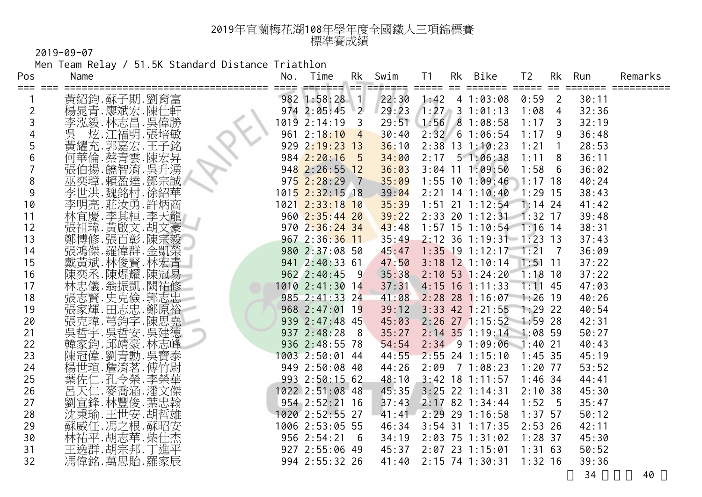Men Team Relay / 51.5K Standard Distance Triathlon

| Pos | Name                                                                                                                         | No.  | Time<br>papahon ao addinyany anana ao anananan' anana ao. | Rk | Swim  | T1 | Rk Bike                            | T <sub>2</sub> | Rk                       | Run   | Remarks |
|-----|------------------------------------------------------------------------------------------------------------------------------|------|-----------------------------------------------------------|----|-------|----|------------------------------------|----------------|--------------------------|-------|---------|
|     | 黃紹鈞.蘇子期.劉育富                                                                                                                  | ==== | 982 1:58:28 1                                             |    | 22:30 |    | $1:42 \quad 4 \quad 1:03:08$       | $0:59$ 2       |                          | 30:11 |         |
| 2   | 與楊李吳 漩流 (楊布張伯提) 《新闻》 《新史》 《新史》 《新闻》 《新闻》 《新闻》 《新闻》 《唐·宋·王子安》 《唐·宋·王子安》 《唐·宋·王子安》 《唐·宋·唐·宋·王子安》 《唐·唐·                         |      | $974$ 2:05:45 2                                           |    | 29:23 |    | $1:27 \rightarrow 3 \quad 1:01:13$ | $1:08$ 4       |                          | 32:36 |         |
| 3   |                                                                                                                              |      | $1019$ 2:14:19 3                                          |    |       |    | 29:51 1:56 8 1:08:58               | $1:17 \quad 3$ |                          | 32:19 |         |
| 4   |                                                                                                                              |      | 961 2:18:10 4                                             |    | 30:40 |    | 2:32 6 1:06:54                     | $1:17$ 9       |                          | 36:48 |         |
| 5   |                                                                                                                              |      | 929 2:19:23 13                                            |    | 36:10 |    | $2:38$ 13 1:10:23                  | 1:21           | $\overline{\phantom{0}}$ | 28:53 |         |
| 6   |                                                                                                                              |      | 984 2:20:16 5                                             |    | 34:00 |    | $2:17 \quad 5 \quad 1:06:38$       | 1:11           | 8                        | 36:11 |         |
|     |                                                                                                                              |      | 948 2:26:55 12                                            |    | 36:03 |    | $3:04$ 11 1:09:50                  | 1:58           | $6\overline{6}$          | 36:02 |         |
| 8   | 巫奕璋.賴盈達.鄧宗誠                                                                                                                  |      | $975$ 2:28:29 7                                           |    | 35:09 |    | $1:55$ 10 $1:09:46$                | $1:17$ 18      |                          | 40:24 |         |
| 9   | 李世洪.魏銘村.徐紹華                                                                                                                  |      | 1015 2:32:15 18                                           |    | 39:04 |    | $2:21$ 14 1:10:40                  | $1:29$ 15      |                          | 38:43 |         |
| 10  | 李明亮.莊汝勇.許炳商                                                                                                                  |      | 1021 2:33:18 10                                           |    | 35:39 |    | $1:51$ 21 $1:12:54$ 1:14 24        |                |                          | 41:42 |         |
| 11  |                                                                                                                              |      | $960$ $2:35:44$ 20                                        |    | 39:22 |    | 2:33 20 1:12:31 1:32 17            |                |                          | 39:48 |         |
| 12  |                                                                                                                              |      | 9702:36:2434                                              |    | 43:48 |    | 1:57 15 1:10:54 1:16 14            |                |                          | 38:31 |         |
| 13  |                                                                                                                              |      | 967 2:36:36 11                                            |    | 35:49 |    | 2:12 36 1:19:31 1:23 13            |                |                          | 37:43 |         |
| 14  | ナ林宜慶.李其桓.李天龍<br><br>東北東、黄原文.胡文豪<br>鄭博修.張百彰.陳宗毅<br>張鴻傑.羅祥.金凱榮<br>張鴻傑.羅祥.金凱榮                                                   |      | 980 2:37:08 50                                            |    | 45:47 |    | $1:35$ 19 1:12:17 1:21             |                | $\overline{7}$           | 36:09 |         |
| 15  | 戴黃斌.林俊賢.林宏青                                                                                                                  |      | 941 2:40:33 61                                            |    | 47:50 |    | $3:18$ 12 1:10:14                  | $1:51$ 11      |                          | 37:22 |         |
| 16  | 整陳林志儀.翁振謙、張亮輝.張亮輝.雲家輝.田志忠.鄭原輝.王志忠.鄭原輝.王志忠.鄭原輝.王志忠.鄭原裕堯<br>天文<br>張天輝.王志忠.鄭原裕堯.<br>張克輝.王志忠.鄭原<br>張克瑞亮<br>張克<br>張克 <sup>宗</sup> |      | 962 2:40:45 9                                             |    | 35:38 |    | $2:10$ 53 1:24:20                  | $1:18$ 10      |                          | 37:22 |         |
| 17  |                                                                                                                              |      | 1010 2:41:30 14                                           |    | 37:31 |    | $4:15$ 16 1:11:33                  | $1:11$ 45      |                          | 47:03 |         |
| 18  |                                                                                                                              |      | 985 2:41:33 24                                            |    | 41:08 |    | $2:28$ 28 1:16:07 1:26 19          |                |                          | 40:26 |         |
| 19  |                                                                                                                              |      | 968 2:47:01 19                                            |    | 39:12 |    | $3:33$ 42 1:21:55 1:29 22          |                |                          | 40:54 |         |
| 20  |                                                                                                                              |      | 939 2:47:48 45                                            |    | 45:03 |    | 2:26 27 1:15:52 1:59 28            |                |                          | 42:31 |         |
| 21  | 吴哲宇.吴哲安.吴建德                                                                                                                  |      | 937 2:48:28 8                                             |    | 35:27 |    | $2:14$ 35 1:19:14 1:08 59          |                |                          | 50:27 |         |
| 22  | 韓家鈞.邱靖豪.林志峰                                                                                                                  |      | 936 2:48:55 78                                            |    | 54:54 |    | 2:34 9 1:09:06 1:40 21             |                |                          | 40:43 |         |
| 23  | 陳冠偉.劉青勳.吳寶泰                                                                                                                  |      | 1003 2:50:01 44                                           |    | 44:55 |    | $2:55$ 24 1:15:10                  | $1:45$ 35      |                          | 45:19 |         |
| 24  | 楊世瑄.詹淯茗.傅竹尉                                                                                                                  |      | 949 2:50:08 40                                            |    | 44:26 |    | $2:09$ 7 1:08:23                   | $1:20$ 77      |                          | 53:52 |         |
| 25  | 葉佐仁·柔喬涵·潘文<br>呂天仁·麥喬涵·潘文傑<br>劉宣鋒·林豐俊·葉忠                                                                                      |      | 993 2:50:15 62                                            |    | 48:10 |    | $3:42$ 18 1:11:57                  | $1:46$ 34      |                          | 44:41 |         |
| 26  |                                                                                                                              |      | 1022 2:51:08 48                                           |    | 45:35 |    | 3:25 22 1:14:31                    | 2:10.38        |                          | 45:30 |         |
| 27  |                                                                                                                              |      | 954 2:52:21 16                                            |    | 37:43 |    | 2:17 82 1:34:44                    | $1:52$ 5       |                          | 35:47 |         |
| 28  | 沈秉瑜.王世安.胡哲雄                                                                                                                  |      | 1020 2:52:55 27                                           |    | 41:41 |    | 2:29 29 1:16:58                    | $1:37$ 57      |                          | 50:12 |         |
| 29  | 蘇威任.馮之根.蘇昭安                                                                                                                  |      | 1006 2:53:05 55                                           |    | 46:34 |    | $3:54$ 31 1:17:35                  | $2:53$ 26      |                          | 42:11 |         |
| 30  | 林祐平.胡志華.柴仕杰                                                                                                                  |      | 956 2:54:21                                               | 6  | 34:19 |    | $2:03$ 75 1:31:02                  | $1:28$ 37      |                          | 45:30 |         |
| 31  | 王逸群.胡宗邦.丁進平                                                                                                                  |      | 927 2:55:06 49                                            |    | 45:37 |    | $2:07$ 23 1:15:01                  | 1:3163         |                          | 50:52 |         |
| 32  | 馮偉銘.萬思貽.羅家辰                                                                                                                  |      | 994 2:55:32 26                                            |    | 41:40 |    | 2:15 74 1:30:31                    | $1:32$ 16      |                          | 39:36 |         |
|     |                                                                                                                              |      |                                                           |    |       |    |                                    |                |                          | 34    | 40      |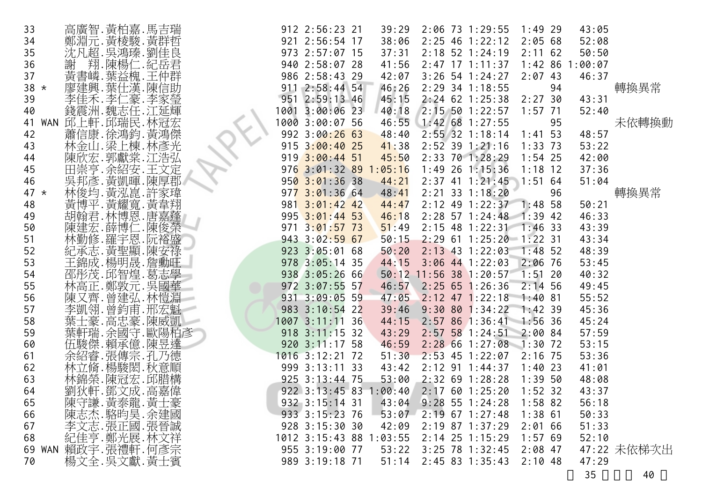| 33               | 高廣智.黃柏嘉.馬吉瑞                            | 912 2:56:23 21                         | 39:29 |  | $2:06$ 73 1:29:55             | $1:49$ 29 |    | 43:05        |             |
|------------------|----------------------------------------|----------------------------------------|-------|--|-------------------------------|-----------|----|--------------|-------------|
| 34               | 鄭淵元.黃棱駿.黃群哲                            | 921 2:56:54 17                         | 38:06 |  | $2:25$ 46 1:22:12             | 2:0568    |    | 52:08        |             |
| 35               | 沈凡超.吳鴻瑧.劉佳良                            | 973 2:57:07 15                         | 37:31 |  | 2:18 52 1:24:19               | 2:1162    |    | 50:50        |             |
| 36               |                                        | 940 2:58:07 28                         | 41:56 |  | $2:47$ 17 1:11:37             | 1:42 86   |    | :00:07<br>-1 |             |
| 37               | 謝 翔.陳楊仁.紀岳君<br>黃書嶙.葉益槐.王仲群             | 986 2:58:43 29                         | 42:07 |  | $3:26$ 54 1:24:27             | 2:0743    |    | 46:37        |             |
| $38 *$           | 廖建興.葉仕漢.陳信助                            | 911 2:58:44 54                         | 46:26 |  | 2:29 34 1:18:55               |           | 94 |              | 轉換異常        |
| 39               | 李佳禾.李仁豪.李家瑩                            | 951 2:59:13 46                         | 45:15 |  | $2:24$ 62 1:25:38             | 2:2730    |    | 43:31        |             |
| 40               | 錢震洲.魏志任.江延輝                            | 1001 3:00:06 23                        | 40:18 |  | $2:15$ 50 1:22:57             | $1:57$ 71 |    | 52:40        |             |
| <b>WAN</b><br>41 | 邱上軒.邱瑞民.林冠宏                            | 1000 3:00:07 56                        | 46:55 |  | $1:42$ 68 1:27:55             |           | 95 |              | 未依轉換動       |
|                  |                                        |                                        |       |  |                               |           |    |              |             |
| 42               | 蕭信康.徐鴻鈞.黃鴻傑                            | 992 3:00:26 63                         | 48:40 |  | $2:55$ 32 1:18:14             | $1:41$ 53 |    | 48:57        |             |
| 43               | 林金山.梁上棟.林彥光                            | 915 3:00:40 25                         | 41:38 |  | $2:52$ 39 1:21:16             | $1:33$ 73 |    | 53:22        |             |
| 44               | 陳欣宏.郭獻棠.江浩弘                            | 919 3:00:44 51                         | 45:50 |  | 2:33 70 1:28:29               | $1:54$ 25 |    | 42:00        |             |
| 45               | 田崇亨.余紹安.王文定                            | 976 3:01:32 89 1:05:16                 |       |  | $1:49$ 26 $1:15:36$           | $1:18$ 12 |    | 37:36        |             |
| 46               | 吴邦彥. 黃凱暉. 陳厚郡                          | 950 3:01:36 38                         | 44:21 |  | 2:37 41 1:21:45 1:51 64       |           |    | 51:04        |             |
| 47 $*$           | 林俊均. 黃泓崑. 許家瑋                          | $977$ 3:01:36 64                       | 48:41 |  | $2:21$ 33 1:18:20             |           | 96 |              | 轉換異常        |
| 48               | 黃博平.黃耀寬.黃韋翔                            | 981 3:01:42 42                         | 44:47 |  | 2:12 49 1:22:37 1:48 58       |           |    | 50:21        |             |
| 49               | 胡翰君.林博恩.唐嘉蓬                            | 995 3:01:44 53                         | 46:18 |  | 2:28 57 1:24:48 1:39 42       |           |    | 46:33        |             |
| 50               | 陳建宏.薛博仁.陳俊榮                            | $971 \t3:01:57 \t73$                   | 51:49 |  | 2:15 48 1:22:31 1:46 33       |           |    | 43:39        |             |
| 51               |                                        | $943$ 3:02:59 67                       | 50:15 |  | $2:29$ 61 1:25:20 1:22 31     |           |    | 43:34        |             |
| 52               | 林勤修.羅宇恩.阮裕盛<br>紀承志.黃聖顯.陳安祿             | 923 3:05:01 68                         | 50:20 |  | 2:13 43 1:22:03 1:48 52       |           |    | 48:39        |             |
|                  |                                        | 978 3:05:14 35                         |       |  |                               |           |    | 53:45        |             |
| 53               | 王錦成.楊明晟.詹勳旺                            |                                        | 44:15 |  | $3:06$ 44 1:22:03             | $2:06$ 76 |    |              |             |
| 54               | 邵彤茂.邱智煌.葛志學                            | 938 3:05:26 66                         |       |  | 50:12 11:56 38 1:20:57        | $1:51$ 20 |    | 40:32        |             |
| 55               | 林高正.鄭敦元.吳國華<br>陳又齊.曾建弘.林愷淵             | 972 3:07:55 57                         |       |  | 46:57 2:25 65 1:26:36         | $2:14$ 56 |    | 49:45        |             |
| 56               |                                        | 931 3:09:05 59                         | 47:05 |  | $2:12$ 47 1:22:18             | $1:40$ 81 |    | 55:52        |             |
| 57               | 李凱翎. 曾鈞甫. 邢宏魁                          | 983 3:10:54 22                         | 39:46 |  | $9:30$ 80 1:34:22             | 1:42.39   |    | 45:36        |             |
| 58               | 葉士豪.高忠豪.陳威凱                            | 1007 3:11:11 36                        | 44:15 |  | 2:57 86 1:36:41 1:56 36       |           |    | 45:24        |             |
| 59               | 葉軒瑞.余國守.歐陽柏彥                           | 918 3:11:15 32                         | 43:29 |  | $2:57$ 58 1:24:51             | 2:00 84   |    | 57:59        |             |
| 60               | 伍駿傑.賴承億.陳昱達                            | 920 3:11:17 58                         | 46:59 |  | 2:28 66 1:27:08 1:30 72       |           |    | 53:15        |             |
| 61               | 余紹睿.張傳宗.孔乃德                            | 1016 3:12:21 72                        | 51:30 |  | $2:53$ 45 1:22:07             | $2:16$ 75 |    | 53:36        |             |
| 62               | 林立脩.楊駿閎.秋意順                            | 999 3:13:11 33                         | 43:42 |  | 2:12 91 1:44:37               | $1:40$ 23 |    | 41:01        |             |
| 63               | 林錦榮.陳冠宏.邱腊構                            | 925 3:13:44 75                         | 53:00 |  | $2:32$ 69 1:28:28             | 1:39.50   |    | 48:08        |             |
| 64               | 劉狄軒.鄧文成.高嘉偉                            | 922 3:13:45 83 1:00:40 2:17 60 1:25:20 |       |  |                               | $1:52$ 32 |    | 43:37        |             |
|                  |                                        |                                        |       |  |                               |           |    |              |             |
| 65               | 陳守謙.黃泰龍.黃士豪                            | 932 3:15:14 31                         |       |  | 43:04 9:28 55 1:24:28         | 1:5882    |    | 56:18        |             |
| 66               | 陳志杰.駱昀昊.余建國                            | 933 3:15:23 76                         |       |  | $53:07$ 2:19 67 1:27:48       | $1:38$ 61 |    | 50:33        |             |
| 67               | 李文志.張正國.張晉誠                            | 928 3:15:30 30                         | 42:09 |  | 2:19 87 1:37:29               | 2:0166    |    | 51:33        |             |
|                  |                                        | 1012 3:15:43 88 1:03:55                |       |  | 2:14 25 1:15:29               | 1:5769    |    | 52:10        |             |
|                  | 68   紀佳亨.鄭光展.林文祥<br>69 WAN 賴政宇.張禮軒.何彥宗 | 955 3:19:00 77                         | 53:22 |  | $3:25$ 78 1:32:45             | $2:08$ 47 |    |              | 47:22 未依梯次出 |
| 70               | 楊文全.吳文獻.黃士賓                            | 989 3:19:18 71                         |       |  | 51:14 2:45 83 1:35:43 2:10 48 |           |    | 47:29        |             |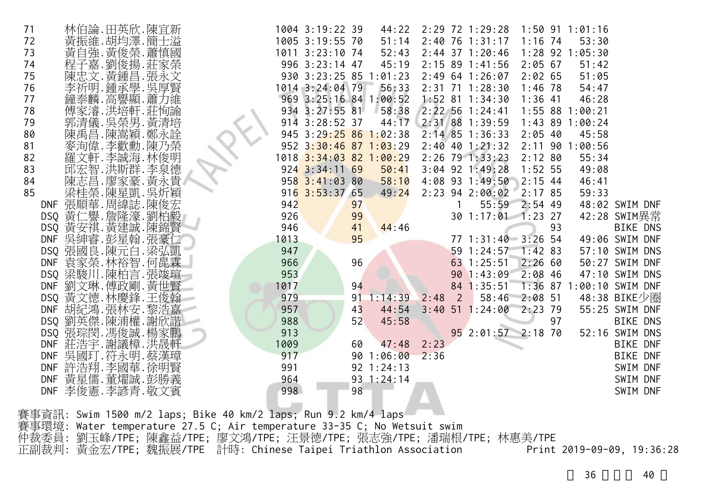| 71                                                             | 1004 3:19:22 39                                   | 44:22                          | 2:29 72 1:29:28 1:50 91 1:01:16 |                            |                 |
|----------------------------------------------------------------|---------------------------------------------------|--------------------------------|---------------------------------|----------------------------|-----------------|
| 林伯論.田英欣.陳宜新<br>黃振維.胡均澤.簡士溢<br>72                               | 1005 3:19:55 70                                   | 51:14                          | 2:40 76 1:31:17 1:16 74         | 53:30                      |                 |
| 黃白強. 黃俊榮. 蕭慎國<br>73                                            | 1011 3:23:10 74                                   | 52:43                          | $2:44$ 37 1:20:46               | 1:28 92 1:05:30            |                 |
| 程子、到後揚·莊家榮<br>陳忠文·黃鍾昌·張永文<br>74                                | 996 3:23:14 47                                    | 45:19                          | $2:15$ 89 1:41:56               | $2:05$ 67<br>51:42         |                 |
| 75                                                             | 930 3:23:25 85 1:01:23                            |                                | 2:49 64 1:26:07                 | 2:0265<br>51:05            |                 |
| 76                                                             | 1014 3:24:04 79                                   | $-56:33$                       | $2:31$ 71 1:28:30               | $1:46$ 78<br>54:47         |                 |
| 77                                                             | 969 3:25:16 84 1:00:52                            |                                | $1:52$ 81 $1:34:30$             | 46:28<br>$1:36$ 41         |                 |
| 78                                                             |                                                   | 934 3:27:55 81 58:38           | $2:22$ 56 1:24:41               | 1:55 88 1:00:21            |                 |
| 79                                                             | 914 3:28:52 37                                    | 44:17                          | 2:31 88 1:39:59                 | 1:43 89 1:00:24            |                 |
| 郭清儀.吳榮男.黃清培<br>陳禹昌.陳嵩穎.鄭永詮<br>80                               |                                                   | 945 3:29:25 86 1:02:38         | $2:14$ 85 1:36:33               | 2:05 40<br>45:58           |                 |
| 81                                                             |                                                   | $952$ $3:30:46$ $87$ $1:03:29$ | 2:40 40 1:21:32 2:11 90 1:00:56 |                            |                 |
| 麥洵偉.李歡勳.陳乃榮<br>羅文軒.李誠海.林俊明<br>82                               |                                                   | 1018 3:34:03 82 1:00:29        | $2:26$ 79 1:33:23               | 2:12 80<br>55:34           |                 |
| 邱宏智.洪斯群.李泉德<br>83                                              | 924 3:34:11 69                                    | 50:41                          | $3:04$ 92 1:49:28               | $1:52$ 55<br>49:08         |                 |
| 陳志昌.廖家豪.黃永貴<br>84                                              | 958 3:41:03 80                                    | 58:10                          | 4:08 93 1:49:50                 | $2:15$ 44<br>46:41         |                 |
| 85                                                             |                                                   | 49:24                          | 2:23 94 2:00:02 2:17 85         | 59:33                      |                 |
|                                                                | 916 3:53:37 65<br>942 97                          |                                | 55:59 2:54 49<br>$\mathbf{1}$   |                            | 48:02 SWIM DNF  |
| MF張順華·周緯遠遠東端之中、深桂等·原理誌·陳家和教授<br>DSQ黃仁譽·詹隆濠·劉柏<br>DSQ黃仁譽·黃建誠·陳錦 | 926                                               | 99                             | 30 1:17:01 1:23 27              |                            | 42:28 SWIM異常    |
|                                                                | 946                                               | 41<br>44:46                    |                                 | 93                         | <b>BIKE DNS</b> |
| DNF 吳紳睿.彭星翰.張豪仁                                                |                                                   | 95                             | 77 1:31:40 3:26 54              |                            | 49:06 SWIM DNF  |
| DSQ 張國良.陳元白.梁弘凱                                                | $\begin{array}{r} 1013 \\ 947 \\ 966 \end{array}$ |                                | 59 1:24:57 1:42 83              |                            | 57:10 SWIM DNS  |
| DNF 袁家榮.林裕智.何昆霖                                                | 966                                               | 96                             | 63 1:25:51 2:26 60              |                            | 50:27 SWIM DNF  |
| DSQ 梁駿川.陳柏言.張竣瑄                                                | 953                                               |                                | 90 1:43:09 2:08 46              |                            | 47:10 SWIM DNS  |
| DNF 劉文琳. 傅政剛. 黃世賢                                              | 1017                                              | 94                             | 84 1:35:51                      | $1:36$ 87 1:00:10 SWIM DNF |                 |
| DSQ 黄文德. 林慶鋒. 王俊翰                                              | 979                                               | 91 1:14:39 2:48 2              | 58:46 2:08 51                   |                            | 48:38 BIKE少圈    |
| DNF 胡紀鴻.張林安.黎浩嘉                                                | 957                                               | 43                             | 44:54 3:40 51 1:24:00 2:23 79   |                            | 55:25 SWIM DNF  |
| DSQ 劉英傑 陳浦權 謝欣譜                                                | 988                                               | 45:58<br>52                    |                                 | 97                         | <b>BIKE DNS</b> |
| DSQ 張琮閔. 馮俊誠. 楊家鵬                                              | 913                                               |                                | $95$ 2:01:57 2:18 70            |                            | 52:16 SWIM DNS  |
| DNF 莊浩宇.謝議樟.洪晟軒                                                | 1009                                              | 60 —                           | $47:48$ $2:23$                  |                            | <b>BIKE DNF</b> |
|                                                                | 917                                               | 90 1:06:00 2:36                |                                 |                            | BIKE DNF        |
| DNF 吳國玎.符永明.蔡漢璋<br>DNF 許浩翔.李國華.徐明賢                             | 991                                               | 92 1:24:13                     |                                 |                            | SWIM DNF        |
| DNF 黃星儒.董燿誠.彭勝義                                                |                                                   | 93 1:24:14                     |                                 |                            | SWIM DNF        |
| DNF 李俊憲.李諺青.敬文賓                                                | 964<br>998<br>998                                 | 98                             |                                 |                            | SWIM DNF        |
|                                                                |                                                   |                                |                                 |                            |                 |
| 寒車姿訊, Swim 1500 m/2 lang, Biko 40 km/2 lang, Dun 0 2 km/4 lang |                                                   |                                |                                 |                            |                 |

賽事資訊: Swim 1500 m/2 laps; Bike 40 km/2 laps; Run 9.2 km/4 laps 賽事環境: Water temperature 27.5 C; Air temperature 33-35 C; No Wetsuit swim 仲裁委員: 劉玉峰/TPE; 陳鑫益/TPE; 廖文鴻/TPE; 汪景德/TPE; 張志強/TPE; 潘瑞根/TPE; 林惠美/TPE 正副裁判: 黃金宏/TPE; 魏振展/TPE 計時: Chinese Taipei Triathlon Association Print 2019-09-09, 19:36:28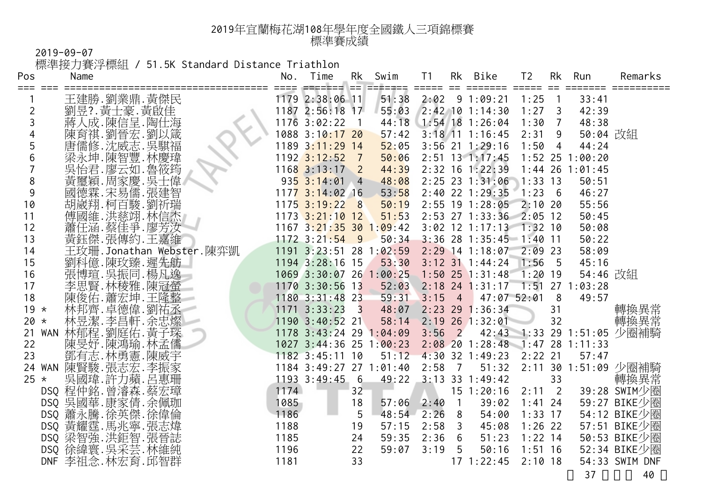標準接力賽浮標組 / 51.5K Standard Distance Triathlon

| Pos<br>===               | Name                                                       | No.  | Time                    | Rk              | Swim                                            | T1             | Rk Bike                               | T <sub>2</sub> | Rk | Run                 | Remarks                                                   |
|--------------------------|------------------------------------------------------------|------|-------------------------|-----------------|-------------------------------------------------|----------------|---------------------------------------|----------------|----|---------------------|-----------------------------------------------------------|
|                          | 王建勝.劉業鼎.黃傑民<br>劉昱?.黃士豪.黃啟佳                                 |      | 1179 2:38:06 11         |                 | 51:38                                           |                | 2:02 9 1:09:21                        | $1:25$ 1       |    | 33:41               |                                                           |
| $\overline{2}$           |                                                            |      | 1187 2:56:18 17         |                 |                                                 |                | 55:03 2:42 10 1:14:30                 | $1:27 \quad 3$ |    | 42:39               |                                                           |
| $\overline{3}$           | 蔣人成.陳信呈.陶仕海                                                |      | $1176$ $3:02:22$ 1      |                 |                                                 |                | 44:18 1:54 18 1:26:04                 | $1:30 \quad 7$ |    | 48:38               |                                                           |
| $\overline{\mathcal{A}}$ |                                                            |      | 1088 3:10:17 20         |                 | 57:42                                           |                | 3:18 11 1:16:45 2:31 9                |                |    | 50:04 改組            |                                                           |
| 5                        | ·陳育祺.劉晉宏.劉以福<br>唐儒修.沈威志.吳騏福<br>梁永坤.陳智豐.林慶                  |      | 1189 3:11:29 14         |                 | 52:05                                           |                | 3:56 21 1:29:16 1:50 4                |                |    | 44:24               |                                                           |
| 6                        |                                                            |      | $1192$ $3:12:52$ 7      |                 | 50:06                                           |                | $2:51$ 13 1:17:45                     |                |    | 1:52 25 1:00:20     |                                                           |
| $\overline{7}$           | 吳怡君.廖云如.魯筱筠                                                |      | $1168$ 3:13:17 2        |                 | 44:39                                           |                | 2:32 16 1:22:39                       |                |    | $1:44$ 26 $1:01:45$ |                                                           |
| 8                        | 黃璽穎.周家慶.吳士偉<br>國德霖.宋易儒.張建智.                                |      | $935$ $3:14:01$ 4       |                 | 48:08                                           |                | $2:25$ 23 1:31:06                     | $1:33$ 13      |    | 50:51               |                                                           |
| 9                        |                                                            |      | $1177$ $3:14:02$ 16     |                 | 53:58                                           |                | 2:40 22 1:29:35                       | $1:23 \quad 6$ |    | 46:27               |                                                           |
| 10                       | 胡崴翔.柯百駿.劉祈瑞                                                |      | 1175 3:19:22 8          |                 | 50:19                                           |                | 2:55 19 1:28:05 2:10 20               |                |    | 55:56               |                                                           |
| 11                       | 傅國維.洪慈翊.林信杰                                                |      | 1173 3:21:10 12         |                 | 51:53                                           |                | 2:53 27 1:33:36 2:05 12               |                |    | 50:45               |                                                           |
| 12                       |                                                            |      |                         |                 | 1167 3:21:35 30 1:09:42 3:02 12 1:17:13 1:32 10 |                |                                       |                |    | 50:08               |                                                           |
| 13                       | ,萧任涵.蔡佳爭.廖芳汝<br>黃鈺傑.張傳約.王嘉維                                |      | $1172$ $3:21:54$ 9      |                 |                                                 |                | 50:34 3:36 28 1:35:45 1:40 11         |                |    | 50:22               |                                                           |
| 14                       | 王玫珊.Jonathan Webster.陳弈凱                                   |      | 1191 3:23:51 28 1:02:59 |                 |                                                 |                | 2:29 14 1:18:07 2:09 23               |                |    | 58:09               |                                                           |
| 15                       | 劉科億.陳玫臻.遲先舫                                                |      | 1194 3:28:16 15         |                 | 53:30                                           |                | $3:12$ $31$ $1:44:24$                 | $1:56$ 5       |    | 45:16               |                                                           |
| 16                       | 張博瑄. 吳振同. 楊凡逸                                              |      | 1069 3:30:07 26 1:00:25 |                 |                                                 |                | $1:50$ 25 1:31:48 1:20 19             |                |    | 54:46 改組            |                                                           |
| 17                       | 李思賢.林稜雅.陳冠螢                                                |      | 1170 3:30:56 13         |                 |                                                 |                | 52:03 2:18 24 1:31:17 1:51 27 1:03:28 |                |    |                     |                                                           |
| 18                       | 陳俊佑.蕭宏坤.王隆整                                                |      | 1180 3:31:48 23         |                 | 59:31                                           |                | 3:15 4 47:07 52:01 8                  |                |    | 49:57               |                                                           |
|                          |                                                            |      | $1171$ $3:33:23$ 3      |                 | 48:07                                           |                | 2:23 29 1:36:34                       |                | 31 |                     | 轉換異常                                                      |
|                          | 19 * 林邦齊.卓德偉.劉祐丞<br>20 * 林昱潔.李昌軒.余忠燦<br>21 WAN 林郁程.劉庭佑.黃子琛 |      | 1190 3:40:52 21         |                 |                                                 |                | 58:14 2:19 26 1:32:01                 |                | 32 |                     | 轉換異常                                                      |
|                          |                                                            |      |                         |                 |                                                 |                |                                       |                |    |                     | 1178 3:43:24 29 1:04:09 3:56 2 42:43 1:33 29 1:51:05 少圈補騎 |
| 22                       | 陳旻妤.陳鴻瑜.林孟儒                                                |      | 1027 3:44:36 25 1:00:23 |                 |                                                 |                | 2:08 20 1:28:48 1:47 28 1:11:33       |                |    |                     |                                                           |
| 23                       | 鄧有志.林勇憲.陳威宇                                                |      | 1182 3:45:11 10         |                 | 51:12                                           |                | $4:30$ 32 1:49:23                     | $2:22$ 21      |    | 57:47               |                                                           |
|                          | 24 WAN 陳賢駿.張志宏.李振家                                         |      |                         |                 | 1184 3:49:27 27 1:01:40 2:58 7                  |                | 51:32                                 |                |    |                     | 2:11 30 1:51:09 少圈補騎                                      |
| $25 *$                   | 吳國瑋.許力蘋.呂惠珊                                                |      | 1193 3:49:45 6          |                 |                                                 |                | 49:22 3:13 33 1:49:42                 |                | 33 |                     | 轉換異常                                                      |
|                          | DSQ 程仲銘.曾濬森.蔡宏璋<br>DSQ 吳國華.康家倩.余佩珈<br>DSQ 萧永騰.徐英傑.徐偉倫.     | 1174 |                         | 32              |                                                 |                | $15$ $1:20:16$                        | $2:11 \quad 2$ |    |                     | 39:28 SWIM少圈                                              |
|                          |                                                            | 1085 |                         | 18              | 57:06                                           | $2:40 \quad 1$ | 39:02                                 | $1:41$ 24      |    |                     | 59:27 BIKE少圈                                              |
|                          |                                                            | 1186 |                         | $5\overline{)}$ | 48:54 2:26 8                                    |                | 54:00                                 | $1:33$ 17      |    |                     | 54:12 BIKE少圈                                              |
|                          |                                                            | 1188 |                         | 19              | 57:15                                           | $2:58$ 3       | 45:08                                 | $1:26$ 22      |    |                     | 57:51 BIKE少圈                                              |
|                          | DSQ 黄耀霆.馬兆寧.張志煒<br>DSQ 梁智強.洪鉅智.張晉誌<br>DSQ 徐緯寰.吳采芸.林維純      | 1185 |                         | 24              | 59:35 2:36 6                                    |                | 51:23                                 | $1:22$ 14      |    |                     | 50:53 BIKE少圈                                              |
|                          |                                                            |      | 1196 11                 | 22              | 59:07                                           | $3:19$ 5       | 50:16                                 | $1:51$ 16      |    |                     | 52:34 BIKE少圈                                              |
|                          | DNF 李祖念. 林宏育. 邱智群                                          | 1181 |                         | 33              |                                                 |                | $17 \t1:22:45$                        | $2:10$ 18      |    |                     | 54:33 SWIM DNF                                            |
|                          |                                                            |      |                         |                 |                                                 |                |                                       |                |    | 37                  | 40                                                        |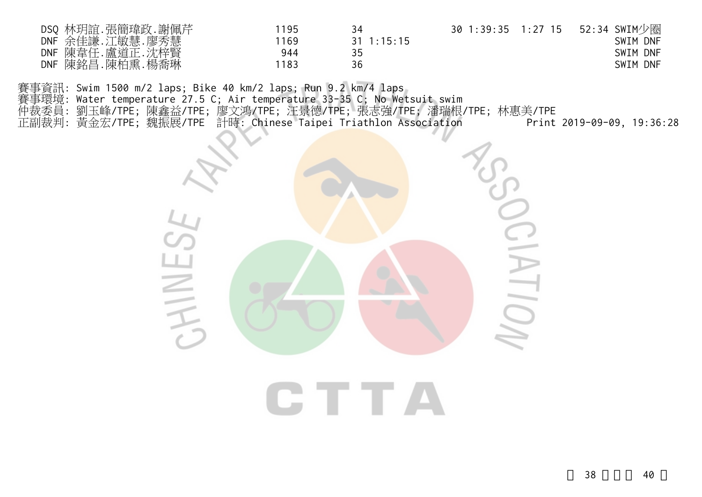| DSQ 林玥誼.張簡瑋政.謝佩芹   | 195  | 34             | $1:27$ 15<br>301:39:35 | 52:34 SWIM少圈 |
|--------------------|------|----------------|------------------------|--------------|
| 余佳謙.江敏慧.廖秀慧<br>DNF | 1169 | $31 \t1:15:15$ |                        | SWIM DNF     |
| DNF 陳韋任.盧道正.沈梓賢    | 944  |                |                        | SWIM DNF     |
| DNF 陳銘昌.陳柏熏.楊喬琳    | 1183 | 36             |                        | SWIM DNF     |

賽事資訊: Swim 1500 m/2 laps; Bike 40 km/2 laps; Run 9.2 km/4 laps 賽事環境: Water temperature 27.5 C; Air temperature 33-35 C; No Wetsuit swim 仲裁委員: 劉玉峰/TPE; 陳鑫益/TPE; 廖文鴻/TPE; 汪景德/TPE; 張志強/TPE; 潘瑞根/TPE; 林惠美/TPE 正副裁判: 黃金宏/TPE; 魏振展/TPE 計時: Chinese Taipei Triathlon Association Print 2019-09-09, 19:36:28

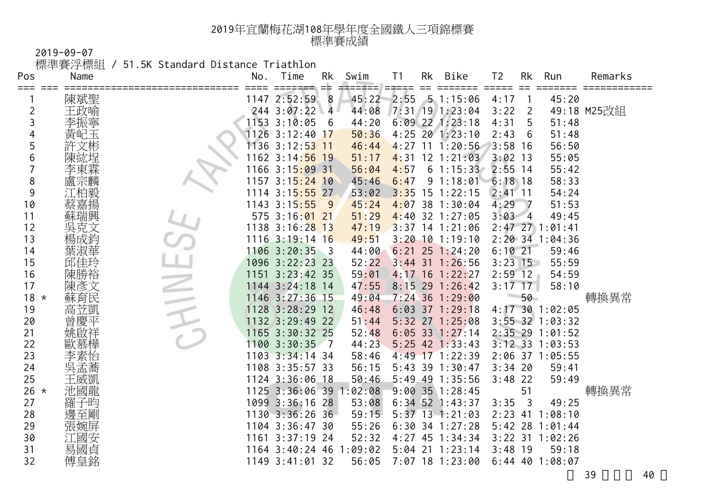標準賽浮標組 / 51.5K Standard Distance Triathlon

| Pos    | Name       | No. | Time                    | Rk<br>=⊨                | Swim  | T1            | <b>Rk</b> | Bike              | T <sub>2</sub> | <b>Rk</b>      | Run               | Remarks     |    |
|--------|------------|-----|-------------------------|-------------------------|-------|---------------|-----------|-------------------|----------------|----------------|-------------------|-------------|----|
| ⋍⋍⋍    | 陳斌聖        |     | 1147 2:52:59 8          |                         | 45:22 | =====<br>2:55 |           | 51:15:06          | 4:17           |                | 45:20             |             |    |
| 2      |            |     | 244 3:07:22             | $\overline{4}$          | 44:08 |               |           | 7:31 19 1:23:04   | 3:22           | $\overline{2}$ |                   | 49:18 M25改組 |    |
| 3      | 王政喻<br>李振寧 |     | 1153 3:10:05            | 6                       | 44:20 |               |           | $6:09$ 22 1:23:18 | 4:31           | 5              | 51:48             |             |    |
| 4      | 黃屺玉        |     | 1126 3:12:40 17         |                         | 50:36 |               |           | 4:25 20 1:23:10   | 2:43           | 6              | 51:48             |             |    |
| 5      |            |     | 1136 3:12:53 11         |                         | 46:44 |               |           | $4:27$ 11 1:20:56 | $3:58$ 16      |                | 56:50             |             |    |
| 6      |            |     | 1162 3:14:56 19         |                         | 51:17 | 4:31          |           | 12 1:21:03        | $3:02$ 13      |                | 55:05             |             |    |
|        |            |     | 1166 3:15:09 31         |                         | 56:04 | 4:57          |           | $6 \; 1:15:33$    | $2:55$ 14      |                | 55:42             |             |    |
| 8      |            |     | 1157 3:15:24 10         |                         | 45:46 | 6:47          |           | 9 1:18:01         | $6:18$ 18      |                | 58:33             |             |    |
| 9      |            |     | 1114 3:15:55 27         |                         | 53:02 | 3:35          |           | $15$ 1:22:15      | $2:41$ 11      |                | 54:24             |             |    |
| 10     |            |     | $1143$ $3:15:55$        | 9                       | 45:24 |               |           | $4:07$ 38 1:30:04 | 4:29           | $-7$           | 51:53             |             |    |
| 11     | 蘇瑞興        |     | 575 3:16:01 21          |                         | 51:29 |               |           | $4:40$ 32 1:27:05 | $3:03$ 4       |                | 49:45             |             |    |
| 12     | 吳克文        |     | 1138 3:16:28 13         |                         | 47:19 |               |           | $3:37$ 14 1:21:06 |                |                | $2:47$ 27 1:01:41 |             |    |
| 13     | 成鈞         |     | 1116 3:19:14 16         |                         | 49:51 |               |           | $3:20$ 10 1:19:10 |                |                | 2:20 34 1:04:36   |             |    |
| 14     | 葉淑華        |     | 1106 3:20:35            | $\overline{\mathbf{3}}$ | 44:00 |               |           | $6:21$ 25 1:24:20 | $6:10$ 21      |                | 59:46             |             |    |
| 15     | 邱佳玲        |     | 1096 3:22:23 23         |                         | 52:22 |               |           | $3:44$ 31 1:26:56 | $3:23$ 15      |                | 55:59             |             |    |
| 16     |            |     | 1151 3:23:42 35         |                         | 59:01 |               |           | 4:17 16 1:22:27   | $2:59$ 12      |                | 54:59             |             |    |
| 17     | 陳彥文        |     | 1144 3:24:18 14         |                         | 47:55 |               |           | $8:15$ 29 1:26:42 | $3:17$ 17      |                | 58:10             |             |    |
| $18 *$ | 蘇育民        |     | 1146 3:27:36 15         |                         | 49:04 |               |           | $7:24$ 36 1:29:00 |                | 50             |                   | 轉換異常        |    |
| 19     | 高苙凱        |     | 1128 3:28:29 12         |                         | 46:48 |               |           | $6:03$ 37 1:29:18 |                |                | 4:17 30 1:02:05   |             |    |
| 20     | 曾慶平        |     | 1132 3:29:49 22         |                         | 51:44 |               |           | $5:32$ 27 1:25:08 |                |                | $3:55$ 32 1:03:32 |             |    |
| 21     |            |     | 1165 3:30:32 25         |                         | 52:48 |               |           | $6:05$ 33 1:27:14 |                |                | 2:35 29 1:01:52   |             |    |
| 22     |            |     | 1100 3:30:35 7          |                         | 44:23 |               |           | $5:25$ 42 1:33:43 |                |                | $3:12$ 33 1:03:53 |             |    |
| 23     | ・系旧        |     | 1103 3:34:14 34         |                         | 58:46 |               |           | 4:49 17 1:22:39   |                |                | 2:06 37 1:05:55   |             |    |
| 24     | 吳孟蕎        |     | 1108 3:35:57 33         |                         | 56:15 |               |           | 5:43 39 1:30:47   | $3:34$ 20      |                | 59:41             |             |    |
| 25     | 王威凱        |     | 1124 3:36:06 18         |                         | 50:46 |               |           | 5:49 49 1:35:56   | $3:48$ 22      |                | 59:49             |             |    |
| $26 *$ | 池國龍        |     | 1125 3:36:06 39 1:02:08 |                         |       |               |           | $9:00$ 35 1:28:45 |                | 51             |                   | 轉換異常        |    |
| 27     | 羅子昀        |     | 1099 3:36:16 28         |                         | 53:08 |               |           | $6:34$ 52 1:43:37 | 3:35           | 3              | 49:25             |             |    |
| 28     | 邊至剛        |     | 1130 3:36:26 36         |                         | 59:15 |               |           | $5:37$ 13 1:21:03 |                |                | 2:23 41 1:08:10   |             |    |
| 29     | 張婉屏        |     | 1104 3:36:47 30         |                         | 55:26 |               |           | $6:30$ 34 1:27:28 |                |                | 5:42 28 1:01:44   |             |    |
| 30     | 江國安        |     | 1161 3:37:19 24         |                         | 52:32 |               |           | 4:27 45 1:34:34   |                |                | 3:22 31 1:02:26   |             |    |
| 31     | 易國貞        |     | 1164 3:40:24 46 1:09:02 |                         |       |               |           | $5:04$ 21 1:23:14 | $3:48$ 19      |                | 59:18             |             |    |
| 32     | 傅皇銘        |     | 1149 3:41:01 32         |                         | 56:05 |               |           | 7:07 18 1:23:00   |                |                | $6:44$ 40 1:08:07 |             |    |
|        |            |     |                         |                         |       |               |           |                   |                |                |                   | 39          | 40 |